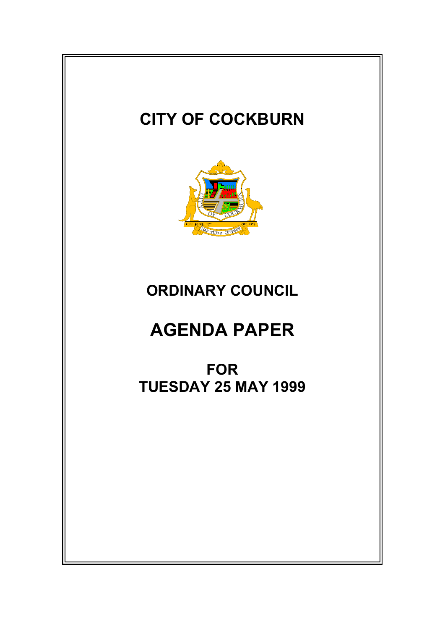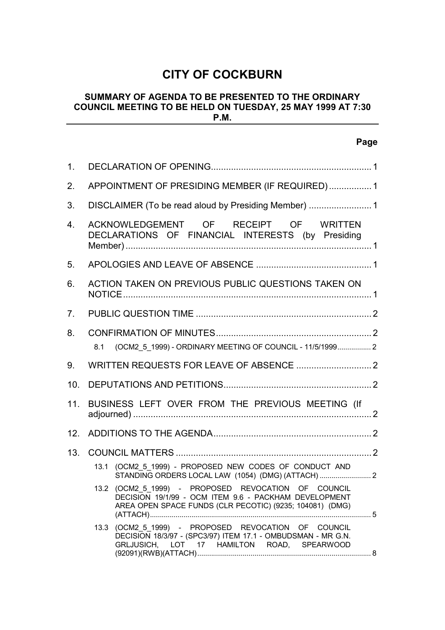# **CITY OF COCKBURN**

## **SUMMARY OF AGENDA TO BE PRESENTED TO THE ORDINARY COUNCIL MEETING TO BE HELD ON TUESDAY, 25 MAY 1999 AT 7:30 P.M.**

**Page**

| $\mathbf{1}$ .  |                                                 |                                                                                                                                                                          |  |
|-----------------|-------------------------------------------------|--------------------------------------------------------------------------------------------------------------------------------------------------------------------------|--|
| 2.              | APPOINTMENT OF PRESIDING MEMBER (IF REQUIRED) 1 |                                                                                                                                                                          |  |
| 3.              |                                                 |                                                                                                                                                                          |  |
| 4.              |                                                 | ACKNOWLEDGEMENT OF RECEIPT OF WRITTEN<br>DECLARATIONS OF FINANCIAL INTERESTS (by Presiding                                                                               |  |
| 5.              |                                                 |                                                                                                                                                                          |  |
| 6.              |                                                 | ACTION TAKEN ON PREVIOUS PUBLIC QUESTIONS TAKEN ON                                                                                                                       |  |
| 7 <sub>1</sub>  |                                                 |                                                                                                                                                                          |  |
| 8.              | 8.1                                             | (OCM2_5_1999) - ORDINARY MEETING OF COUNCIL - 11/5/1999 2                                                                                                                |  |
| 9.              |                                                 |                                                                                                                                                                          |  |
| 10 <sub>1</sub> |                                                 |                                                                                                                                                                          |  |
| 11.             |                                                 | BUSINESS LEFT OVER FROM THE PREVIOUS MEETING (If                                                                                                                         |  |
| 12 <sub>1</sub> |                                                 |                                                                                                                                                                          |  |
| 13.             |                                                 |                                                                                                                                                                          |  |
|                 |                                                 | 13.1 (OCM2 5 1999) - PROPOSED NEW CODES OF CONDUCT AND                                                                                                                   |  |
|                 |                                                 | 13.2 (OCM2_5_1999) - PROPOSED REVOCATION OF COUNCIL<br>DECISION 19/1/99 - OCM ITEM 9.6 - PACKHAM DEVELOPMENT<br>AREA OPEN SPACE FUNDS (CLR PECOTIC) (9235; 104081) (DMG) |  |
|                 |                                                 | 13.3 (OCM2_5_1999) - PROPOSED REVOCATION OF COUNCIL<br>DECISION 18/3/97 - (SPC3/97) ITEM 17.1 - OMBUDSMAN - MR G.N.<br>GRLJUSICH, LOT 17 HAMILTON ROAD, SPEARWOOD        |  |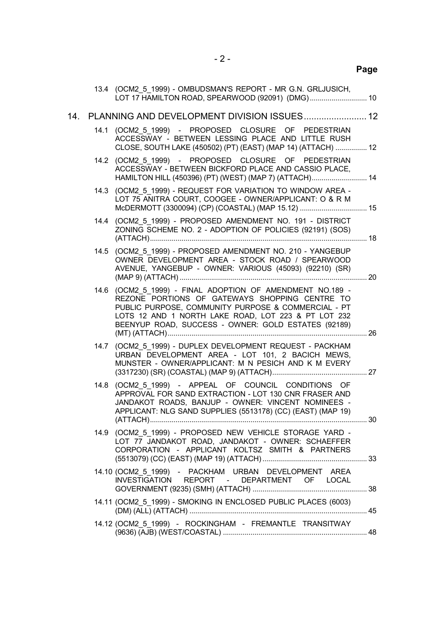|     |      | 13.4 (OCM2 5 1999) - OMBUDSMAN'S REPORT - MR G.N. GRLJUSICH,<br>LOT 17 HAMILTON ROAD, SPEARWOOD (92091) (DMG) 10                                                                                                                                                                 |  |
|-----|------|----------------------------------------------------------------------------------------------------------------------------------------------------------------------------------------------------------------------------------------------------------------------------------|--|
| 14. |      | PLANNING AND DEVELOPMENT DIVISION ISSUES 12                                                                                                                                                                                                                                      |  |
|     |      | 14.1 (OCM2 5 1999) - PROPOSED CLOSURE OF PEDESTRIAN<br>ACCESSWAY - BETWEEN LESSING PLACE AND LITTLE RUSH<br>CLOSE, SOUTH LAKE (450502) (PT) (EAST) (MAP 14) (ATTACH)  12                                                                                                         |  |
|     |      | 14.2 (OCM2 5 1999) - PROPOSED CLOSURE OF PEDESTRIAN<br>ACCESSWAY - BETWEEN BICKFORD PLACE AND CASSIO PLACE,<br>HAMILTON HILL (450396) (PT) (WEST) (MAP 7) (ATTACH) 14                                                                                                            |  |
|     |      | 14.3 (OCM2 5 1999) - REQUEST FOR VARIATION TO WINDOW AREA -<br>LOT 75 ANITRA COURT, COOGEE - OWNER/APPLICANT: O & R M<br>McDERMOTT (3300094) (CP) (COASTAL) (MAP 15.12)  15                                                                                                      |  |
|     |      | 14.4 (OCM2 5 1999) - PROPOSED AMENDMENT NO. 191 - DISTRICT<br>ZONING SCHEME NO. 2 - ADOPTION OF POLICIES (92191) (SOS)                                                                                                                                                           |  |
|     | 14.5 | (OCM2 5 1999) - PROPOSED AMENDMENT NO. 210 - YANGEBUP<br>OWNER DEVELOPMENT AREA - STOCK ROAD / SPEARWOOD<br>AVENUE, YANGEBUP - OWNER: VARIOUS (45093) (92210) (SR)                                                                                                               |  |
|     |      | 14.6 (OCM2 5 1999) - FINAL ADOPTION OF AMENDMENT NO.189 -<br>REZONE PORTIONS OF GATEWAYS SHOPPING CENTRE TO<br>PUBLIC PURPOSE, COMMUNITY PURPOSE & COMMERCIAL - PT<br>LOTS 12 AND 1 NORTH LAKE ROAD, LOT 223 & PT LOT 232<br>BEENYUP ROAD, SUCCESS - OWNER: GOLD ESTATES (92189) |  |
|     |      | 14.7 (OCM2 5 1999) - DUPLEX DEVELOPMENT REQUEST - PACKHAM<br>URBAN DEVELOPMENT AREA - LOT 101, 2 BACICH MEWS,<br>MUNSTER - OWNER/APPLICANT: M N PESICH AND K M EVERY                                                                                                             |  |
|     |      | 14.8 (OCM2 5 1999) - APPEAL OF COUNCIL CONDITIONS OF<br>APPROVAL FOR SAND EXTRACTION - LOT 130 CNR FRASER AND<br>JANDAKOT ROADS, BANJUP - OWNER: VINCENT NOMINEES -<br>APPLICANT: NLG SAND SUPPLIES (5513178) (CC) (EAST) (MAP 19)                                               |  |
|     |      | 14.9 (OCM2 5 1999) - PROPOSED NEW VEHICLE STORAGE YARD -<br>LOT 77 JANDAKOT ROAD, JANDAKOT - OWNER: SCHAEFFER<br>CORPORATION - APPLICANT KOLTSZ SMITH & PARTNERS                                                                                                                 |  |
|     |      | 14.10 (OCM2 5 1999) - PACKHAM URBAN DEVELOPMENT AREA<br>INVESTIGATION REPORT - DEPARTMENT OF LOCAL                                                                                                                                                                               |  |
|     |      | 14.11 (OCM2 5 1999) - SMOKING IN ENCLOSED PUBLIC PLACES (6003)                                                                                                                                                                                                                   |  |
|     |      | 14.12 (OCM2 5 1999) - ROCKINGHAM - FREMANTLE TRANSITWAY                                                                                                                                                                                                                          |  |
|     |      |                                                                                                                                                                                                                                                                                  |  |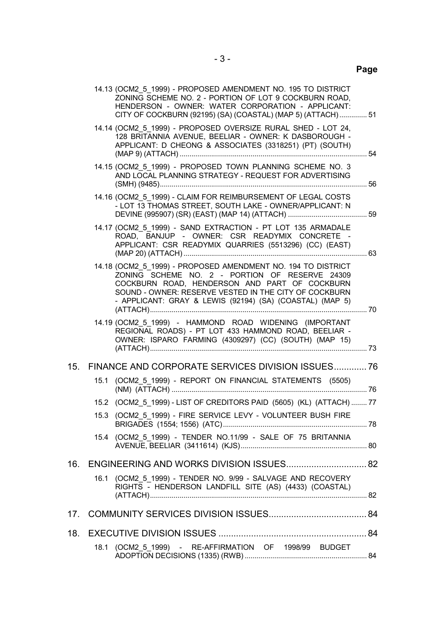|     |      | 14.13 (OCM2_5_1999) - PROPOSED AMENDMENT NO. 195 TO DISTRICT<br>ZONING SCHEME NO. 2 - PORTION OF LOT 9 COCKBURN ROAD,<br>HENDERSON - OWNER: WATER CORPORATION - APPLICANT:<br>CITY OF COCKBURN (92195) (SA) (COASTAL) (MAP 5) (ATTACH) 51                                            |  |
|-----|------|--------------------------------------------------------------------------------------------------------------------------------------------------------------------------------------------------------------------------------------------------------------------------------------|--|
|     |      | 14.14 (OCM2 5 1999) - PROPOSED OVERSIZE RURAL SHED - LOT 24,<br>128 BRITANNIA AVENUE, BEELIAR - OWNER: K DASBOROUGH -<br>APPLICANT: D CHEONG & ASSOCIATES (3318251) (PT) (SOUTH)                                                                                                     |  |
|     |      | 14.15 (OCM2_5_1999) - PROPOSED TOWN PLANNING SCHEME NO. 3<br>AND LOCAL PLANNING STRATEGY - REQUEST FOR ADVERTISING                                                                                                                                                                   |  |
|     |      | 14.16 (OCM2 5 1999) - CLAIM FOR REIMBURSEMENT OF LEGAL COSTS<br>- LOT 13 THOMAS STREET, SOUTH LAKE - OWNER/APPLICANT: N                                                                                                                                                              |  |
|     |      | 14.17 (OCM2 5 1999) - SAND EXTRACTION - PT LOT 135 ARMADALE<br>ROAD, BANJUP - OWNER: CSR READYMIX CONCRETE -<br>APPLICANT: CSR READYMIX QUARRIES (5513296) (CC) (EAST)                                                                                                               |  |
|     |      | 14.18 (OCM2_5_1999) - PROPOSED AMENDMENT NO. 194 TO DISTRICT<br>ZONING SCHEME NO. 2 - PORTION OF RESERVE 24309<br>COCKBURN ROAD, HENDERSON AND PART OF COCKBURN<br>SOUND - OWNER: RESERVE VESTED IN THE CITY OF COCKBURN<br>- APPLICANT: GRAY & LEWIS (92194) (SA) (COASTAL) (MAP 5) |  |
|     |      | 14.19 (OCM2 5 1999) - HAMMOND ROAD WIDENING (IMPORTANT<br>REGIONAL ROADS) - PT LOT 433 HAMMOND ROAD, BEELIAR -<br>OWNER: ISPARO FARMING (4309297) (CC) (SOUTH) (MAP 15)                                                                                                              |  |
| 15. |      |                                                                                                                                                                                                                                                                                      |  |
|     |      | 15.1 (OCM2_5_1999) - REPORT ON FINANCIAL STATEMENTS (5505)                                                                                                                                                                                                                           |  |
|     |      | 15.2 (OCM2_5_1999) - LIST OF CREDITORS PAID (5605) (KL) (ATTACH) 77                                                                                                                                                                                                                  |  |
|     |      | 15.3 (OCM2 5 1999) - FIRE SERVICE LEVY - VOLUNTEER BUSH FIRE                                                                                                                                                                                                                         |  |
|     |      | 15.4 (OCM2 5 1999) - TENDER NO.11/99 - SALE OF 75 BRITANNIA                                                                                                                                                                                                                          |  |
|     |      | 16. ENGINEERING AND WORKS DIVISION ISSUES 82                                                                                                                                                                                                                                         |  |
|     | 16.1 | (OCM2_5_1999) - TENDER NO. 9/99 - SALVAGE AND RECOVERY<br>RIGHTS - HENDERSON LANDFILL SITE (AS) (4433) (COASTAL)                                                                                                                                                                     |  |
| 17. |      |                                                                                                                                                                                                                                                                                      |  |
| 18. |      |                                                                                                                                                                                                                                                                                      |  |
|     |      | 18.1 (OCM2 5 1999) - RE-AFFIRMATION OF 1998/99 BUDGET                                                                                                                                                                                                                                |  |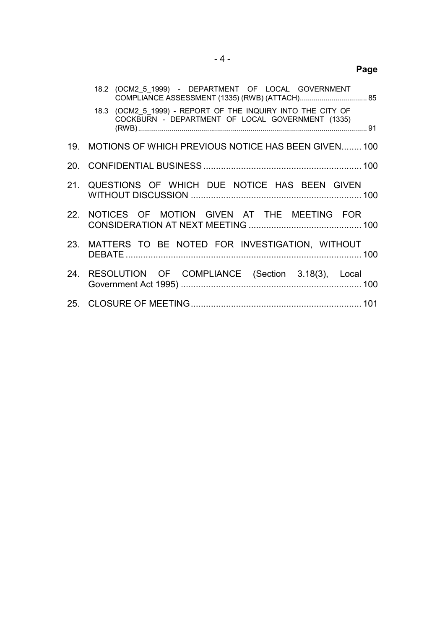| . .<br>×<br>۰.<br>×<br>٠ |
|--------------------------|
|--------------------------|

|     | 18.2 (OCM2_5_1999) - DEPARTMENT OF LOCAL GOVERNMENT                                                             |  |
|-----|-----------------------------------------------------------------------------------------------------------------|--|
|     | 18.3 (OCM2 5 1999) - REPORT OF THE INQUIRY INTO THE CITY OF<br>COCKBURN - DEPARTMENT OF LOCAL GOVERNMENT (1335) |  |
|     | 19. MOTIONS OF WHICH PREVIOUS NOTICE HAS BEEN GIVEN 100                                                         |  |
|     |                                                                                                                 |  |
|     | 21. QUESTIONS OF WHICH DUE NOTICE HAS BEEN GIVEN                                                                |  |
|     | 22. NOTICES OF MOTION GIVEN AT THE MEETING FOR                                                                  |  |
|     | 23. MATTERS TO BE NOTED FOR INVESTIGATION, WITHOUT                                                              |  |
| 24. | RESOLUTION OF COMPLIANCE (Section 3.18(3), Local                                                                |  |
|     |                                                                                                                 |  |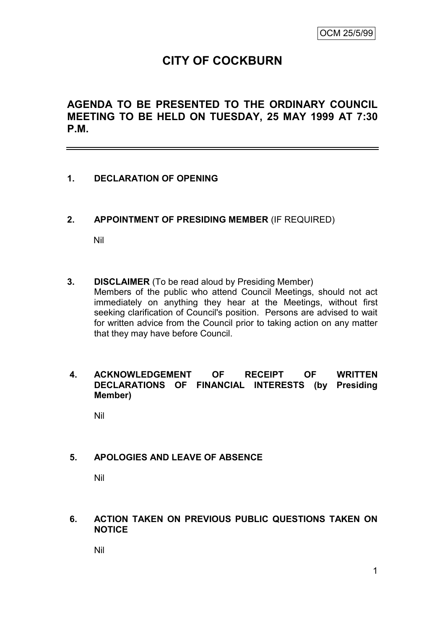# **CITY OF COCKBURN**

# **AGENDA TO BE PRESENTED TO THE ORDINARY COUNCIL MEETING TO BE HELD ON TUESDAY, 25 MAY 1999 AT 7:30 P.M.**

# **1. DECLARATION OF OPENING**

**2. APPOINTMENT OF PRESIDING MEMBER** (IF REQUIRED)

Nil

**3. DISCLAIMER** (To be read aloud by Presiding Member) Members of the public who attend Council Meetings, should not act immediately on anything they hear at the Meetings, without first seeking clarification of Council's position. Persons are advised to wait for written advice from the Council prior to taking action on any matter that they may have before Council.

## **4. ACKNOWLEDGEMENT OF RECEIPT OF WRITTEN DECLARATIONS OF FINANCIAL INTERESTS (by Presiding Member)**

Nil

# **5. APOLOGIES AND LEAVE OF ABSENCE**

Nil

#### **6. ACTION TAKEN ON PREVIOUS PUBLIC QUESTIONS TAKEN ON NOTICE**

Nil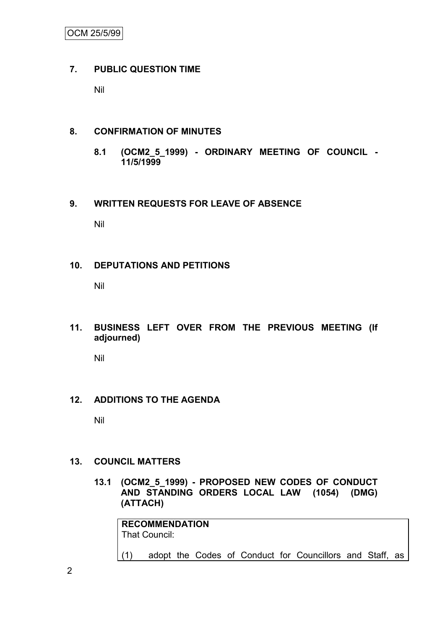# **7. PUBLIC QUESTION TIME**

Nil

# **8. CONFIRMATION OF MINUTES**

**8.1 (OCM2\_5\_1999) - ORDINARY MEETING OF COUNCIL - 11/5/1999**

# **9. WRITTEN REQUESTS FOR LEAVE OF ABSENCE**

Nil

# **10. DEPUTATIONS AND PETITIONS**

Nil

**11. BUSINESS LEFT OVER FROM THE PREVIOUS MEETING (If adjourned)**

Nil

# **12. ADDITIONS TO THE AGENDA**

Nil

# **13. COUNCIL MATTERS**

**13.1 (OCM2\_5\_1999) - PROPOSED NEW CODES OF CONDUCT AND STANDING ORDERS LOCAL LAW (1054) (DMG) (ATTACH)**

**RECOMMENDATION** That Council: (1) adopt the Codes of Conduct for Councillors and Staff, as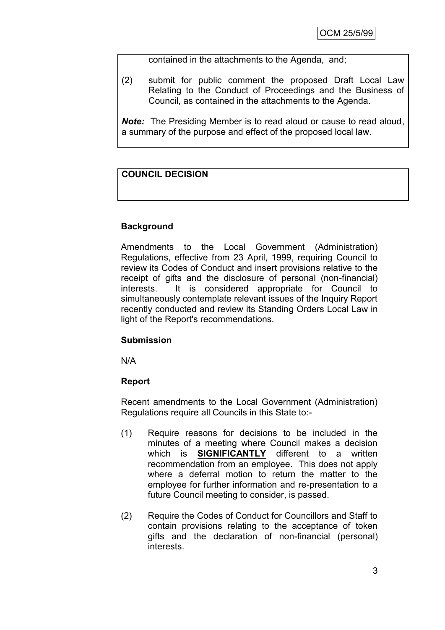contained in the attachments to the Agenda, and;

(2) submit for public comment the proposed Draft Local Law Relating to the Conduct of Proceedings and the Business of Council, as contained in the attachments to the Agenda.

*Note:* The Presiding Member is to read aloud or cause to read aloud, a summary of the purpose and effect of the proposed local law.

## **COUNCIL DECISION**

## **Background**

Amendments to the Local Government (Administration) Regulations, effective from 23 April, 1999, requiring Council to review its Codes of Conduct and insert provisions relative to the receipt of gifts and the disclosure of personal (non-financial) interests. It is considered appropriate for Council to simultaneously contemplate relevant issues of the Inquiry Report recently conducted and review its Standing Orders Local Law in light of the Report's recommendations.

#### **Submission**

N/A

#### **Report**

Recent amendments to the Local Government (Administration) Regulations require all Councils in this State to:-

- (1) Require reasons for decisions to be included in the minutes of a meeting where Council makes a decision which is **SIGNIFICANTLY** different to a written recommendation from an employee. This does not apply where a deferral motion to return the matter to the employee for further information and re-presentation to a future Council meeting to consider, is passed.
- (2) Require the Codes of Conduct for Councillors and Staff to contain provisions relating to the acceptance of token gifts and the declaration of non-financial (personal) interests.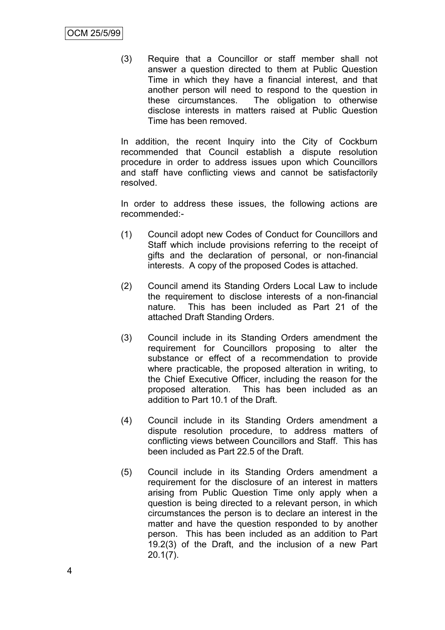(3) Require that a Councillor or staff member shall not answer a question directed to them at Public Question Time in which they have a financial interest, and that another person will need to respond to the question in these circumstances. The obligation to otherwise disclose interests in matters raised at Public Question Time has been removed.

In addition, the recent Inquiry into the City of Cockburn recommended that Council establish a dispute resolution procedure in order to address issues upon which Councillors and staff have conflicting views and cannot be satisfactorily resolved.

In order to address these issues, the following actions are recommended:-

- (1) Council adopt new Codes of Conduct for Councillors and Staff which include provisions referring to the receipt of gifts and the declaration of personal, or non-financial interests. A copy of the proposed Codes is attached.
- (2) Council amend its Standing Orders Local Law to include the requirement to disclose interests of a non-financial nature. This has been included as Part 21 of the attached Draft Standing Orders.
- (3) Council include in its Standing Orders amendment the requirement for Councillors proposing to alter the substance or effect of a recommendation to provide where practicable, the proposed alteration in writing, to the Chief Executive Officer, including the reason for the proposed alteration. This has been included as an addition to Part 10.1 of the Draft.
- (4) Council include in its Standing Orders amendment a dispute resolution procedure, to address matters of conflicting views between Councillors and Staff. This has been included as Part 22.5 of the Draft.
- (5) Council include in its Standing Orders amendment a requirement for the disclosure of an interest in matters arising from Public Question Time only apply when a question is being directed to a relevant person, in which circumstances the person is to declare an interest in the matter and have the question responded to by another person. This has been included as an addition to Part 19.2(3) of the Draft, and the inclusion of a new Part 20.1(7).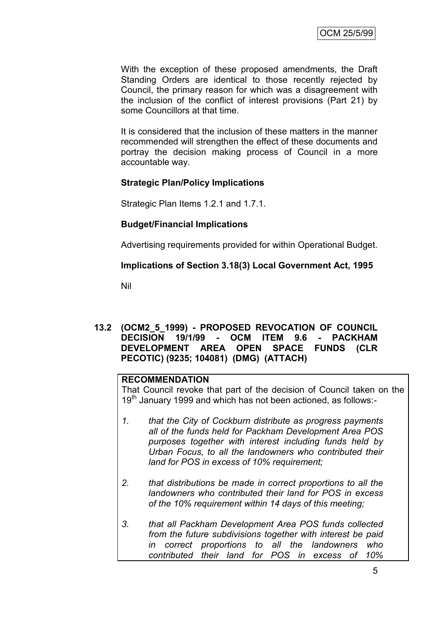With the exception of these proposed amendments, the Draft Standing Orders are identical to those recently rejected by Council, the primary reason for which was a disagreement with the inclusion of the conflict of interest provisions (Part 21) by some Councillors at that time.

It is considered that the inclusion of these matters in the manner recommended will strengthen the effect of these documents and portray the decision making process of Council in a more accountable way.

#### **Strategic Plan/Policy Implications**

Strategic Plan Items 1.2.1 and 1.7.1.

#### **Budget/Financial Implications**

Advertising requirements provided for within Operational Budget.

#### **Implications of Section 3.18(3) Local Government Act, 1995**

Nil

### **13.2 (OCM2\_5\_1999) - PROPOSED REVOCATION OF COUNCIL DECISION 19/1/99 - OCM ITEM 9.6 - PACKHAM DEVELOPMENT AREA OPEN SPACE FUNDS (CLR PECOTIC) (9235; 104081) (DMG) (ATTACH)**

#### **RECOMMENDATION**

That Council revoke that part of the decision of Council taken on the 19<sup>th</sup> January 1999 and which has not been actioned, as follows:-

- *1. that the City of Cockburn distribute as progress payments all of the funds held for Packham Development Area POS purposes together with interest including funds held by Urban Focus, to all the landowners who contributed their land for POS in excess of 10% requirement;*
- *2. that distributions be made in correct proportions to all the landowners who contributed their land for POS in excess of the 10% requirement within 14 days of this meeting;*
- *3. that all Packham Development Area POS funds collected from the future subdivisions together with interest be paid in correct proportions to all the landowners who contributed their land for POS in excess of 10%*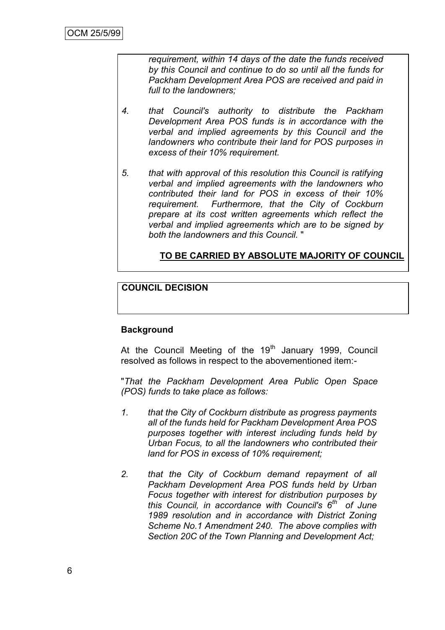*requirement, within 14 days of the date the funds received by this Council and continue to do so until all the funds for Packham Development Area POS are received and paid in full to the landowners;*

- *4. that Council's authority to distribute the Packham Development Area POS funds is in accordance with the verbal and implied agreements by this Council and the landowners who contribute their land for POS purposes in excess of their 10% requirement.*
- *5. that with approval of this resolution this Council is ratifying verbal and implied agreements with the landowners who contributed their land for POS in excess of their 10% requirement. Furthermore, that the City of Cockburn prepare at its cost written agreements which reflect the verbal and implied agreements which are to be signed by both the landowners and this Council.* "

## **TO BE CARRIED BY ABSOLUTE MAJORITY OF COUNCIL**

## **COUNCIL DECISION**

#### **Background**

At the Council Meeting of the  $19<sup>th</sup>$  January 1999, Council resolved as follows in respect to the abovementioned item:-

"*That the Packham Development Area Public Open Space (POS) funds to take place as follows:*

- *1. that the City of Cockburn distribute as progress payments all of the funds held for Packham Development Area POS purposes together with interest including funds held by Urban Focus, to all the landowners who contributed their land for POS in excess of 10% requirement;*
- *2. that the City of Cockburn demand repayment of all Packham Development Area POS funds held by Urban Focus together with interest for distribution purposes by this Council, in accordance with Council's 6th of June 1989 resolution and in accordance with District Zoning Scheme No.1 Amendment 240. The above complies with Section 20C of the Town Planning and Development Act;*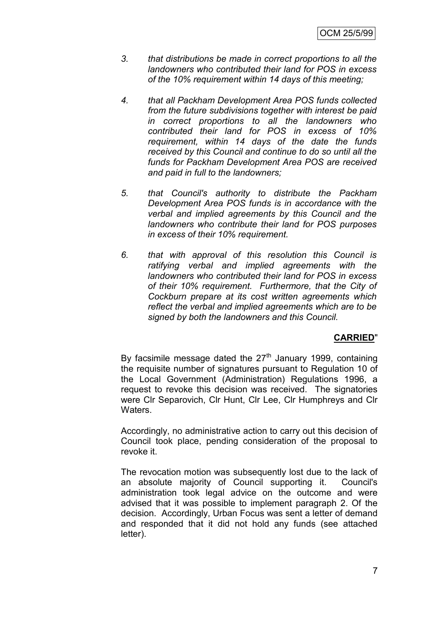- *3. that distributions be made in correct proportions to all the landowners who contributed their land for POS in excess of the 10% requirement within 14 days of this meeting;*
- *4. that all Packham Development Area POS funds collected from the future subdivisions together with interest be paid in correct proportions to all the landowners who contributed their land for POS in excess of 10% requirement, within 14 days of the date the funds received by this Council and continue to do so until all the funds for Packham Development Area POS are received and paid in full to the landowners;*
- *5. that Council's authority to distribute the Packham Development Area POS funds is in accordance with the verbal and implied agreements by this Council and the landowners who contribute their land for POS purposes in excess of their 10% requirement.*
- *6. that with approval of this resolution this Council is ratifying verbal and implied agreements with the landowners who contributed their land for POS in excess of their 10% requirement. Furthermore, that the City of Cockburn prepare at its cost written agreements which reflect the verbal and implied agreements which are to be signed by both the landowners and this Council.*

# **CARRIED**"

By facsimile message dated the  $27<sup>th</sup>$  January 1999, containing the requisite number of signatures pursuant to Regulation 10 of the Local Government (Administration) Regulations 1996, a request to revoke this decision was received. The signatories were Clr Separovich, Clr Hunt, Clr Lee, Clr Humphreys and Clr Waters.

Accordingly, no administrative action to carry out this decision of Council took place, pending consideration of the proposal to revoke it.

The revocation motion was subsequently lost due to the lack of an absolute majority of Council supporting it. Council's administration took legal advice on the outcome and were advised that it was possible to implement paragraph 2. Of the decision. Accordingly, Urban Focus was sent a letter of demand and responded that it did not hold any funds (see attached letter).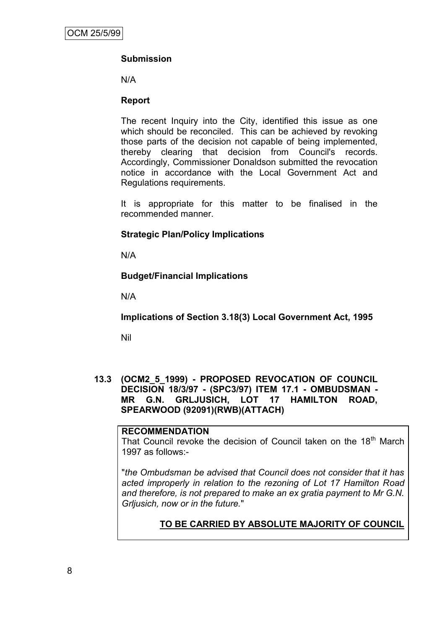# **Submission**

N/A

### **Report**

The recent Inquiry into the City, identified this issue as one which should be reconciled. This can be achieved by revoking those parts of the decision not capable of being implemented, thereby clearing that decision from Council's records. Accordingly, Commissioner Donaldson submitted the revocation notice in accordance with the Local Government Act and Regulations requirements.

It is appropriate for this matter to be finalised in the recommended manner.

## **Strategic Plan/Policy Implications**

N/A

## **Budget/Financial Implications**

N/A

**Implications of Section 3.18(3) Local Government Act, 1995**

Nil

**13.3 (OCM2\_5\_1999) - PROPOSED REVOCATION OF COUNCIL DECISION 18/3/97 - (SPC3/97) ITEM 17.1 - OMBUDSMAN - MR G.N. GRLJUSICH, LOT 17 HAMILTON ROAD, SPEARWOOD (92091)(RWB)(ATTACH)**

#### **RECOMMENDATION**

That Council revoke the decision of Council taken on the 18<sup>th</sup> March 1997 as follows:-

"*the Ombudsman be advised that Council does not consider that it has acted improperly in relation to the rezoning of Lot 17 Hamilton Road and therefore, is not prepared to make an ex gratia payment to Mr G.N. Grljusich, now or in the future.*"

# **TO BE CARRIED BY ABSOLUTE MAJORITY OF COUNCIL**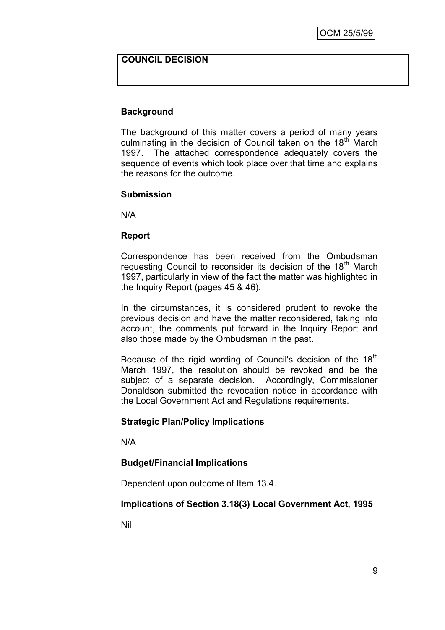#### **COUNCIL DECISION**

#### **Background**

The background of this matter covers a period of many years culminating in the decision of Council taken on the  $18<sup>th</sup>$  March 1997. The attached correspondence adequately covers the sequence of events which took place over that time and explains the reasons for the outcome.

#### **Submission**

N/A

#### **Report**

Correspondence has been received from the Ombudsman requesting Council to reconsider its decision of the 18<sup>th</sup> March 1997, particularly in view of the fact the matter was highlighted in the Inquiry Report (pages 45 & 46).

In the circumstances, it is considered prudent to revoke the previous decision and have the matter reconsidered, taking into account, the comments put forward in the Inquiry Report and also those made by the Ombudsman in the past.

Because of the rigid wording of Council's decision of the  $18<sup>th</sup>$ March 1997, the resolution should be revoked and be the subject of a separate decision. Accordingly, Commissioner Donaldson submitted the revocation notice in accordance with the Local Government Act and Regulations requirements.

#### **Strategic Plan/Policy Implications**

N/A

#### **Budget/Financial Implications**

Dependent upon outcome of Item 13.4.

#### **Implications of Section 3.18(3) Local Government Act, 1995**

Nil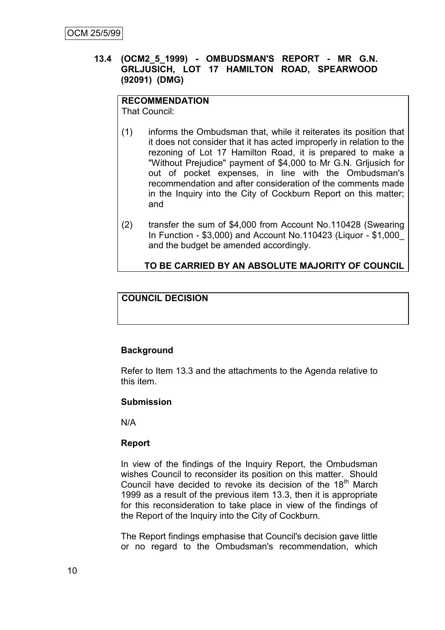### **13.4 (OCM2\_5\_1999) - OMBUDSMAN'S REPORT - MR G.N. GRLJUSICH, LOT 17 HAMILTON ROAD, SPEARWOOD (92091) (DMG)**

# **RECOMMENDATION**

That Council:

- (1) informs the Ombudsman that, while it reiterates its position that it does not consider that it has acted improperly in relation to the rezoning of Lot 17 Hamilton Road, it is prepared to make a "Without Prejudice" payment of \$4,000 to Mr G.N. Grljusich for out of pocket expenses, in line with the Ombudsman's recommendation and after consideration of the comments made in the Inquiry into the City of Cockburn Report on this matter; and
- (2) transfer the sum of \$4,000 from Account No.110428 (Swearing In Function - \$3,000) and Account No.110423 (Liquor - \$1,000\_ and the budget be amended accordingly.

# **TO BE CARRIED BY AN ABSOLUTE MAJORITY OF COUNCIL**

# **COUNCIL DECISION**

# **Background**

Refer to Item 13.3 and the attachments to the Agenda relative to this item.

## **Submission**

N/A

#### **Report**

In view of the findings of the Inquiry Report, the Ombudsman wishes Council to reconsider its position on this matter. Should Council have decided to revoke its decision of the  $18<sup>th</sup>$  March 1999 as a result of the previous item 13.3, then it is appropriate for this reconsideration to take place in view of the findings of the Report of the Inquiry into the City of Cockburn.

The Report findings emphasise that Council's decision gave little or no regard to the Ombudsman's recommendation, which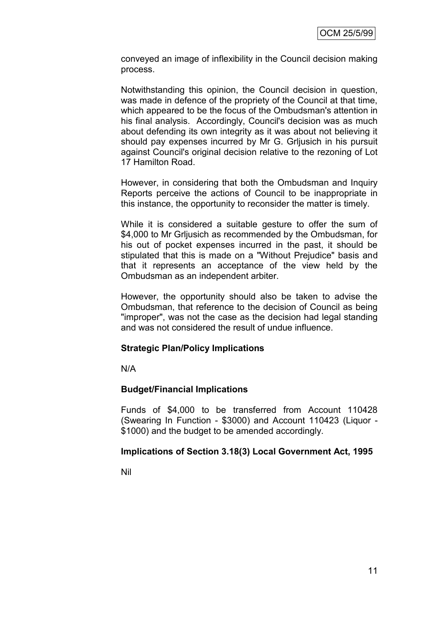conveyed an image of inflexibility in the Council decision making process.

Notwithstanding this opinion, the Council decision in question, was made in defence of the propriety of the Council at that time, which appeared to be the focus of the Ombudsman's attention in his final analysis. Accordingly, Council's decision was as much about defending its own integrity as it was about not believing it should pay expenses incurred by Mr G. Grljusich in his pursuit against Council's original decision relative to the rezoning of Lot 17 Hamilton Road.

However, in considering that both the Ombudsman and Inquiry Reports perceive the actions of Council to be inappropriate in this instance, the opportunity to reconsider the matter is timely.

While it is considered a suitable gesture to offer the sum of \$4,000 to Mr Grijusich as recommended by the Ombudsman, for his out of pocket expenses incurred in the past, it should be stipulated that this is made on a "Without Prejudice" basis and that it represents an acceptance of the view held by the Ombudsman as an independent arbiter.

However, the opportunity should also be taken to advise the Ombudsman, that reference to the decision of Council as being "improper", was not the case as the decision had legal standing and was not considered the result of undue influence.

#### **Strategic Plan/Policy Implications**

N/A

#### **Budget/Financial Implications**

Funds of \$4,000 to be transferred from Account 110428 (Swearing In Function - \$3000) and Account 110423 (Liquor - \$1000) and the budget to be amended accordingly.

#### **Implications of Section 3.18(3) Local Government Act, 1995**

Nil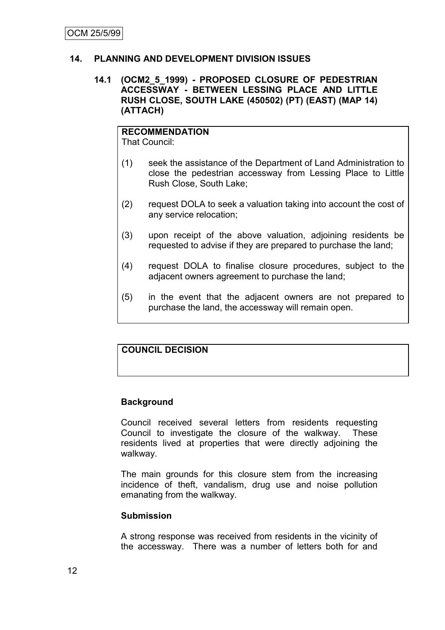# **14. PLANNING AND DEVELOPMENT DIVISION ISSUES**

#### **14.1 (OCM2\_5\_1999) - PROPOSED CLOSURE OF PEDESTRIAN ACCESSWAY - BETWEEN LESSING PLACE AND LITTLE RUSH CLOSE, SOUTH LAKE (450502) (PT) (EAST) (MAP 14) (ATTACH)**

# **RECOMMENDATION**

That Council:

- (1) seek the assistance of the Department of Land Administration to close the pedestrian accessway from Lessing Place to Little Rush Close, South Lake;
- (2) request DOLA to seek a valuation taking into account the cost of any service relocation;
- (3) upon receipt of the above valuation, adjoining residents be requested to advise if they are prepared to purchase the land;
- (4) request DOLA to finalise closure procedures, subject to the adjacent owners agreement to purchase the land;
- (5) in the event that the adjacent owners are not prepared to purchase the land, the accessway will remain open.

#### **COUNCIL DECISION**

# **Background**

Council received several letters from residents requesting Council to investigate the closure of the walkway. These residents lived at properties that were directly adjoining the walkway.

The main grounds for this closure stem from the increasing incidence of theft, vandalism, drug use and noise pollution emanating from the walkway.

#### **Submission**

A strong response was received from residents in the vicinity of the accessway. There was a number of letters both for and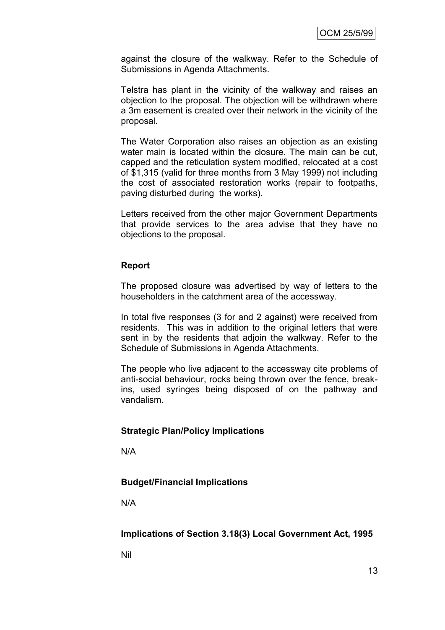against the closure of the walkway. Refer to the Schedule of Submissions in Agenda Attachments.

Telstra has plant in the vicinity of the walkway and raises an objection to the proposal. The objection will be withdrawn where a 3m easement is created over their network in the vicinity of the proposal.

The Water Corporation also raises an objection as an existing water main is located within the closure. The main can be cut, capped and the reticulation system modified, relocated at a cost of \$1,315 (valid for three months from 3 May 1999) not including the cost of associated restoration works (repair to footpaths, paving disturbed during the works).

Letters received from the other major Government Departments that provide services to the area advise that they have no objections to the proposal.

#### **Report**

The proposed closure was advertised by way of letters to the householders in the catchment area of the accessway.

In total five responses (3 for and 2 against) were received from residents. This was in addition to the original letters that were sent in by the residents that adjoin the walkway. Refer to the Schedule of Submissions in Agenda Attachments.

The people who live adjacent to the accessway cite problems of anti-social behaviour, rocks being thrown over the fence, breakins, used syringes being disposed of on the pathway and vandalism.

#### **Strategic Plan/Policy Implications**

N/A

#### **Budget/Financial Implications**

N/A

**Implications of Section 3.18(3) Local Government Act, 1995**

Nil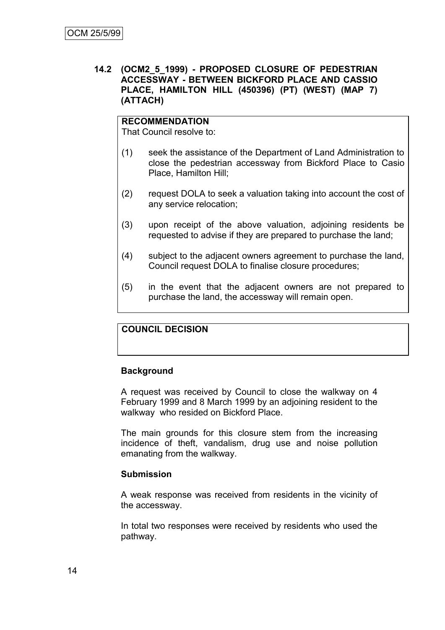#### **14.2 (OCM2\_5\_1999) - PROPOSED CLOSURE OF PEDESTRIAN ACCESSWAY - BETWEEN BICKFORD PLACE AND CASSIO PLACE, HAMILTON HILL (450396) (PT) (WEST) (MAP 7) (ATTACH)**

### **RECOMMENDATION**

That Council resolve to:

- (1) seek the assistance of the Department of Land Administration to close the pedestrian accessway from Bickford Place to Casio Place, Hamilton Hill;
- (2) request DOLA to seek a valuation taking into account the cost of any service relocation;
- (3) upon receipt of the above valuation, adjoining residents be requested to advise if they are prepared to purchase the land;
- (4) subject to the adjacent owners agreement to purchase the land, Council request DOLA to finalise closure procedures;
- (5) in the event that the adjacent owners are not prepared to purchase the land, the accessway will remain open.

#### **COUNCIL DECISION**

#### **Background**

A request was received by Council to close the walkway on 4 February 1999 and 8 March 1999 by an adjoining resident to the walkway who resided on Bickford Place.

The main grounds for this closure stem from the increasing incidence of theft, vandalism, drug use and noise pollution emanating from the walkway.

#### **Submission**

A weak response was received from residents in the vicinity of the accessway.

In total two responses were received by residents who used the pathway.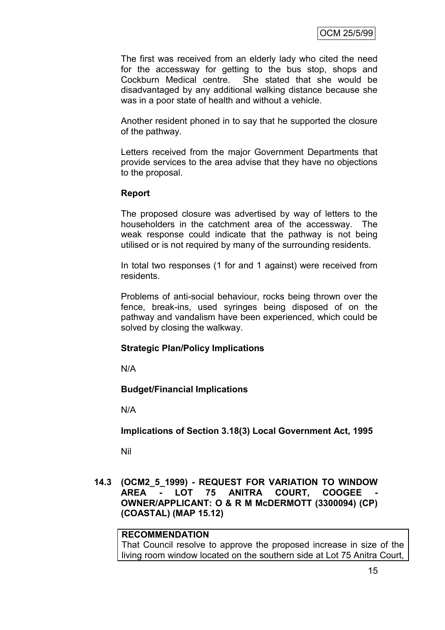The first was received from an elderly lady who cited the need for the accessway for getting to the bus stop, shops and Cockburn Medical centre. She stated that she would be disadvantaged by any additional walking distance because she was in a poor state of health and without a vehicle.

Another resident phoned in to say that he supported the closure of the pathway.

Letters received from the major Government Departments that provide services to the area advise that they have no objections to the proposal.

#### **Report**

The proposed closure was advertised by way of letters to the householders in the catchment area of the accessway. The weak response could indicate that the pathway is not being utilised or is not required by many of the surrounding residents.

In total two responses (1 for and 1 against) were received from residents.

Problems of anti-social behaviour, rocks being thrown over the fence, break-ins, used syringes being disposed of on the pathway and vandalism have been experienced, which could be solved by closing the walkway.

#### **Strategic Plan/Policy Implications**

N/A

#### **Budget/Financial Implications**

N/A

**Implications of Section 3.18(3) Local Government Act, 1995**

Nil

**14.3 (OCM2\_5\_1999) - REQUEST FOR VARIATION TO WINDOW AREA - LOT 75 ANITRA COURT, COOGEE - OWNER/APPLICANT: O & R M McDERMOTT (3300094) (CP) (COASTAL) (MAP 15.12)**

#### **RECOMMENDATION**

That Council resolve to approve the proposed increase in size of the living room window located on the southern side at Lot 75 Anitra Court,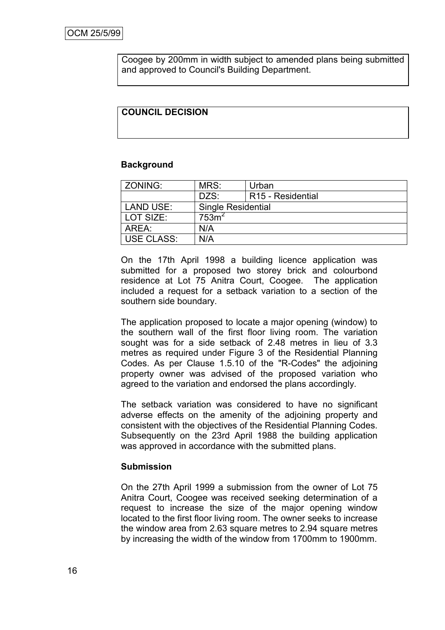Coogee by 200mm in width subject to amended plans being submitted and approved to Council's Building Department.

#### **COUNCIL DECISION**

#### **Background**

| ZONING:           | MRS:                      | Urban                         |
|-------------------|---------------------------|-------------------------------|
|                   | DZS:                      | R <sub>15</sub> - Residential |
| LAND USE:         | <b>Single Residential</b> |                               |
| LOT SIZE:         | 753m <sup>2</sup>         |                               |
| AREA:             | N/A                       |                               |
| <b>USE CLASS:</b> | N/A                       |                               |

On the 17th April 1998 a building licence application was submitted for a proposed two storey brick and colourbond residence at Lot 75 Anitra Court, Coogee. The application included a request for a setback variation to a section of the southern side boundary.

The application proposed to locate a major opening (window) to the southern wall of the first floor living room. The variation sought was for a side setback of 2.48 metres in lieu of 3.3 metres as required under Figure 3 of the Residential Planning Codes. As per Clause 1.5.10 of the "R-Codes" the adjoining property owner was advised of the proposed variation who agreed to the variation and endorsed the plans accordingly.

The setback variation was considered to have no significant adverse effects on the amenity of the adjoining property and consistent with the objectives of the Residential Planning Codes. Subsequently on the 23rd April 1988 the building application was approved in accordance with the submitted plans.

#### **Submission**

On the 27th April 1999 a submission from the owner of Lot 75 Anitra Court, Coogee was received seeking determination of a request to increase the size of the major opening window located to the first floor living room. The owner seeks to increase the window area from 2.63 square metres to 2.94 square metres by increasing the width of the window from 1700mm to 1900mm.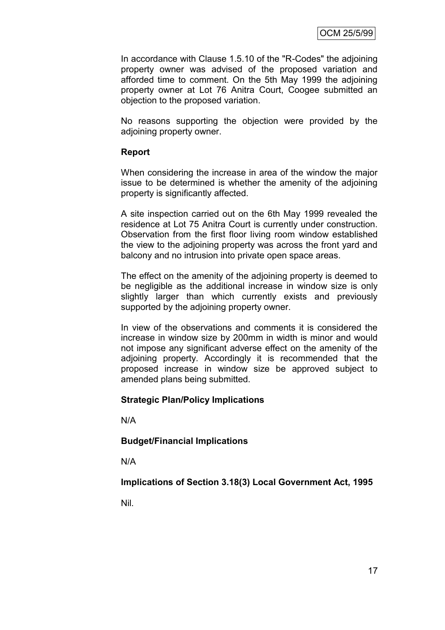In accordance with Clause 1.5.10 of the "R-Codes" the adjoining property owner was advised of the proposed variation and afforded time to comment. On the 5th May 1999 the adjoining property owner at Lot 76 Anitra Court, Coogee submitted an objection to the proposed variation.

No reasons supporting the objection were provided by the adjoining property owner.

#### **Report**

When considering the increase in area of the window the major issue to be determined is whether the amenity of the adjoining property is significantly affected.

A site inspection carried out on the 6th May 1999 revealed the residence at Lot 75 Anitra Court is currently under construction. Observation from the first floor living room window established the view to the adjoining property was across the front yard and balcony and no intrusion into private open space areas.

The effect on the amenity of the adjoining property is deemed to be negligible as the additional increase in window size is only slightly larger than which currently exists and previously supported by the adjoining property owner.

In view of the observations and comments it is considered the increase in window size by 200mm in width is minor and would not impose any significant adverse effect on the amenity of the adjoining property. Accordingly it is recommended that the proposed increase in window size be approved subject to amended plans being submitted.

#### **Strategic Plan/Policy Implications**

N/A

**Budget/Financial Implications**

N/A

**Implications of Section 3.18(3) Local Government Act, 1995**

Nil.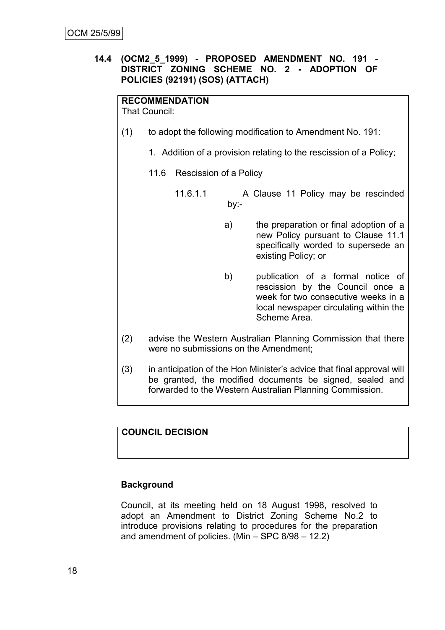## **14.4 (OCM2\_5\_1999) - PROPOSED AMENDMENT NO. 191 - DISTRICT ZONING SCHEME NO. 2 - ADOPTION OF POLICIES (92191) (SOS) (ATTACH)**

# **RECOMMENDATION**

That Council:

- (1) to adopt the following modification to Amendment No. 191:
	- 1. Addition of a provision relating to the rescission of a Policy;
	- 11.6 Rescission of a Policy
		- 11.6.1.1 A Clause 11 Policy may be rescinded by:
			- a) the preparation or final adoption of a new Policy pursuant to Clause 11.1 specifically worded to supersede an existing Policy; or
			- b) publication of a formal notice of rescission by the Council once a week for two consecutive weeks in a local newspaper circulating within the Scheme Area.
- (2) advise the Western Australian Planning Commission that there were no submissions on the Amendment;
- (3) in anticipation of the Hon Minister's advice that final approval will be granted, the modified documents be signed, sealed and forwarded to the Western Australian Planning Commission.

# **COUNCIL DECISION**

#### **Background**

Council, at its meeting held on 18 August 1998, resolved to adopt an Amendment to District Zoning Scheme No.2 to introduce provisions relating to procedures for the preparation and amendment of policies. (Min – SPC 8/98 – 12.2)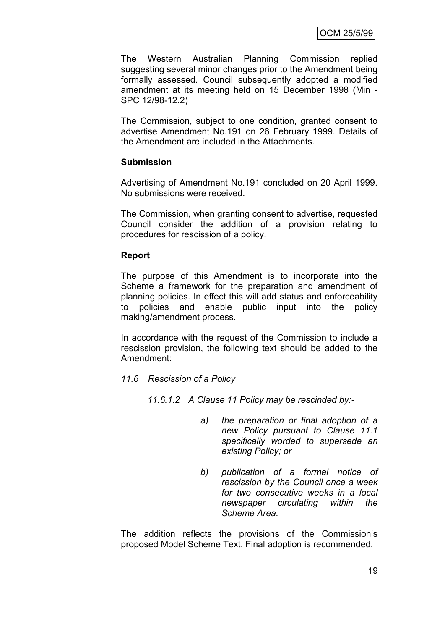The Western Australian Planning Commission replied suggesting several minor changes prior to the Amendment being formally assessed. Council subsequently adopted a modified amendment at its meeting held on 15 December 1998 (Min - SPC 12/98-12.2)

The Commission, subject to one condition, granted consent to advertise Amendment No.191 on 26 February 1999. Details of the Amendment are included in the Attachments.

#### **Submission**

Advertising of Amendment No.191 concluded on 20 April 1999. No submissions were received.

The Commission, when granting consent to advertise, requested Council consider the addition of a provision relating to procedures for rescission of a policy.

#### **Report**

The purpose of this Amendment is to incorporate into the Scheme a framework for the preparation and amendment of planning policies. In effect this will add status and enforceability to policies and enable public input into the policy making/amendment process.

In accordance with the request of the Commission to include a rescission provision, the following text should be added to the Amendment:

*11.6 Rescission of a Policy*

*11.6.1.2 A Clause 11 Policy may be rescinded by:-*

- *a) the preparation or final adoption of a new Policy pursuant to Clause 11.1 specifically worded to supersede an existing Policy; or*
- *b) publication of a formal notice of rescission by the Council once a week for two consecutive weeks in a local newspaper circulating within the Scheme Area.*

The addition reflects the provisions of the Commission's proposed Model Scheme Text. Final adoption is recommended.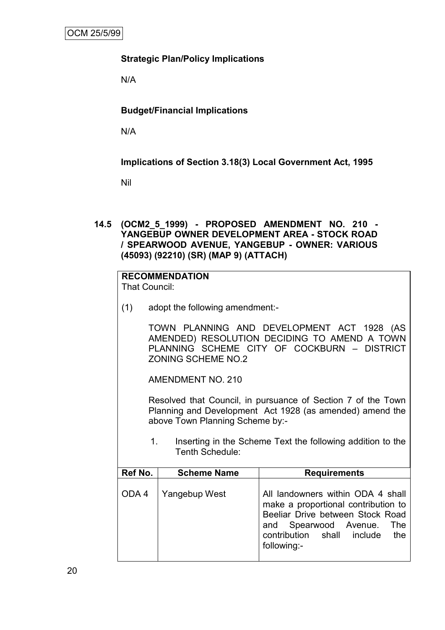# **Strategic Plan/Policy Implications**

N/A

# **Budget/Financial Implications**

N/A

**Implications of Section 3.18(3) Local Government Act, 1995**

Nil

**14.5 (OCM2\_5\_1999) - PROPOSED AMENDMENT NO. 210 - YANGEBUP OWNER DEVELOPMENT AREA - STOCK ROAD / SPEARWOOD AVENUE, YANGEBUP - OWNER: VARIOUS (45093) (92210) (SR) (MAP 9) (ATTACH)**

# **RECOMMENDATION**

That Council:

(1) adopt the following amendment:-

TOWN PLANNING AND DEVELOPMENT ACT 1928 (AS AMENDED) RESOLUTION DECIDING TO AMEND A TOWN PLANNING SCHEME CITY OF COCKBURN – DISTRICT ZONING SCHEME NO.2

AMENDMENT NO. 210

Resolved that Council, in pursuance of Section 7 of the Town Planning and Development Act 1928 (as amended) amend the above Town Planning Scheme by:-

1. Inserting in the Scheme Text the following addition to the Tenth Schedule:

| Ref No. | <b>Scheme Name</b> | <b>Requirements</b>                                                                                                                                                                              |
|---------|--------------------|--------------------------------------------------------------------------------------------------------------------------------------------------------------------------------------------------|
| ODA4    | Yangebup West      | All landowners within ODA 4 shall<br>make a proportional contribution to<br>Beeliar Drive between Stock Road<br>and Spearwood Avenue.<br>The<br>contribution shall include<br>the<br>following:- |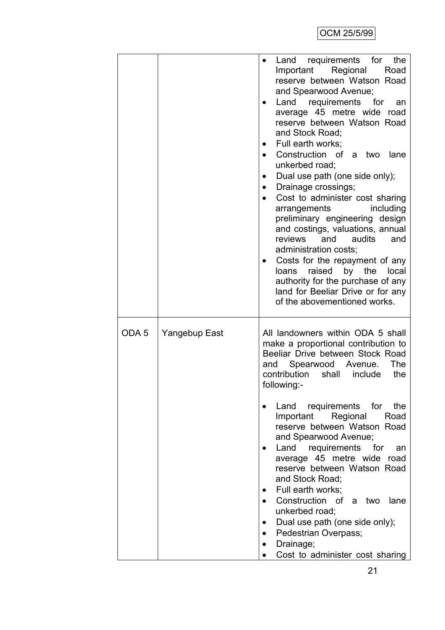|                  |               | requirements for<br>Land<br>the<br>Important Regional<br>Road<br>reserve between Watson Road<br>and Spearwood Avenue;<br>Land requirements for<br>an<br>average 45 metre wide road<br>reserve between Watson Road<br>and Stock Road;<br>Full earth works;<br>Construction of a two<br>lane<br>unkerbed road;<br>Dual use path (one side only);<br>Drainage crossings;<br>$\bullet$<br>Cost to administer cost sharing<br>including<br>arrangements<br>preliminary engineering design<br>and costings, valuations, annual<br>reviews<br>audits<br>and<br>and<br>administration costs;<br>Costs for the repayment of any<br>loans raised by the local<br>authority for the purchase of any<br>land for Beeliar Drive or for any<br>of the abovementioned works. |
|------------------|---------------|---------------------------------------------------------------------------------------------------------------------------------------------------------------------------------------------------------------------------------------------------------------------------------------------------------------------------------------------------------------------------------------------------------------------------------------------------------------------------------------------------------------------------------------------------------------------------------------------------------------------------------------------------------------------------------------------------------------------------------------------------------------|
| ODA <sub>5</sub> | Yangebup East | All landowners within ODA 5 shall<br>make a proportional contribution to<br>Beeliar Drive between Stock Road<br>Spearwood Avenue.<br>The<br>and<br>contribution<br>shall<br>include<br>the<br>following:-                                                                                                                                                                                                                                                                                                                                                                                                                                                                                                                                                     |
|                  |               | Land<br>requirements for<br>the<br>Important Regional<br>Road<br>reserve between Watson Road<br>and Spearwood Avenue;<br>Land requirements for<br>an<br>average 45 metre wide road<br>reserve between Watson Road<br>and Stock Road;<br>Full earth works;                                                                                                                                                                                                                                                                                                                                                                                                                                                                                                     |
|                  |               | Construction of<br>a two<br>lane<br>unkerbed road;<br>Dual use path (one side only);<br>Pedestrian Overpass;<br>Drainage;<br>Cost to administer cost sharing                                                                                                                                                                                                                                                                                                                                                                                                                                                                                                                                                                                                  |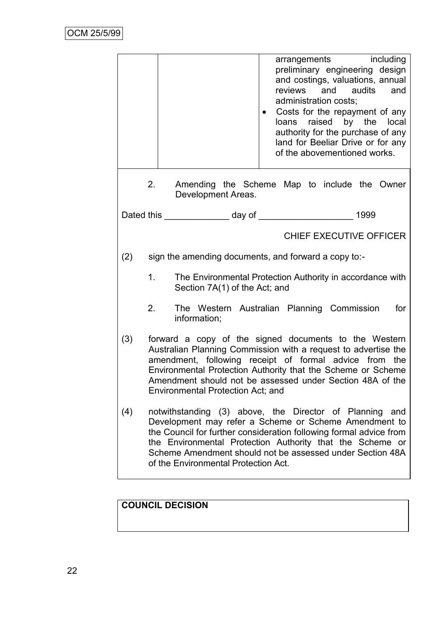|     |    | arrangements including<br>preliminary engineering design<br>and costings, valuations, annual<br>and audits<br>reviews<br>and<br>administration costs;<br>Costs for the repayment of any<br>loans raised by the local<br>authority for the purchase of any<br>land for Beeliar Drive or for any<br>of the abovementioned works.                           |
|-----|----|----------------------------------------------------------------------------------------------------------------------------------------------------------------------------------------------------------------------------------------------------------------------------------------------------------------------------------------------------------|
|     | 2. | Amending the Scheme Map to include the Owner<br>Development Areas.                                                                                                                                                                                                                                                                                       |
|     |    |                                                                                                                                                                                                                                                                                                                                                          |
|     |    | <b>CHIEF EXECUTIVE OFFICER</b>                                                                                                                                                                                                                                                                                                                           |
| (2) |    | sign the amending documents, and forward a copy to:-                                                                                                                                                                                                                                                                                                     |
|     | 1. | The Environmental Protection Authority in accordance with<br>Section 7A(1) of the Act; and                                                                                                                                                                                                                                                               |
|     | 2. | The Western Australian Planning Commission<br>for<br>information;                                                                                                                                                                                                                                                                                        |
| (3) |    | forward a copy of the signed documents to the Western<br>Australian Planning Commission with a request to advertise the<br>amendment, following receipt of formal advice from the<br>Environmental Protection Authority that the Scheme or Scheme<br>Amendment should not be assessed under Section 48A of the<br>Environmental Protection Act; and      |
| (4) |    | notwithstanding (3) above, the Director of Planning and<br>Development may refer a Scheme or Scheme Amendment to<br>the Council for further consideration following formal advice from<br>the Environmental Protection Authority that the Scheme or<br>Scheme Amendment should not be assessed under Section 48A<br>of the Environmental Protection Act. |

# **COUNCIL DECISION**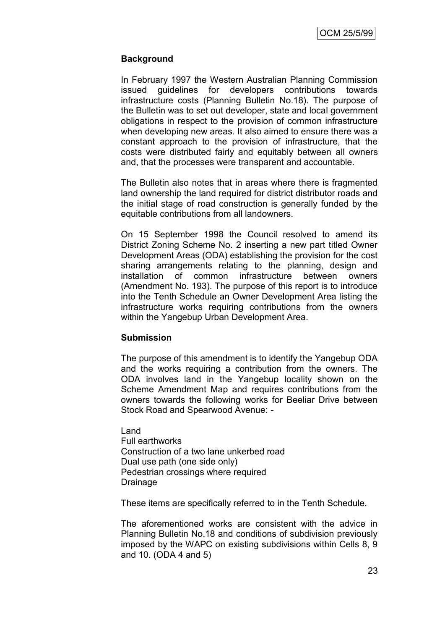## **Background**

In February 1997 the Western Australian Planning Commission issued guidelines for developers contributions towards infrastructure costs (Planning Bulletin No.18). The purpose of the Bulletin was to set out developer, state and local government obligations in respect to the provision of common infrastructure when developing new areas. It also aimed to ensure there was a constant approach to the provision of infrastructure, that the costs were distributed fairly and equitably between all owners and, that the processes were transparent and accountable.

The Bulletin also notes that in areas where there is fragmented land ownership the land required for district distributor roads and the initial stage of road construction is generally funded by the equitable contributions from all landowners.

On 15 September 1998 the Council resolved to amend its District Zoning Scheme No. 2 inserting a new part titled Owner Development Areas (ODA) establishing the provision for the cost sharing arrangements relating to the planning, design and installation of common infrastructure between owners (Amendment No. 193). The purpose of this report is to introduce into the Tenth Schedule an Owner Development Area listing the infrastructure works requiring contributions from the owners within the Yangebup Urban Development Area.

#### **Submission**

The purpose of this amendment is to identify the Yangebup ODA and the works requiring a contribution from the owners. The ODA involves land in the Yangebup locality shown on the Scheme Amendment Map and requires contributions from the owners towards the following works for Beeliar Drive between Stock Road and Spearwood Avenue: -

Land Full earthworks Construction of a two lane unkerbed road Dual use path (one side only) Pedestrian crossings where required Drainage

These items are specifically referred to in the Tenth Schedule.

The aforementioned works are consistent with the advice in Planning Bulletin No.18 and conditions of subdivision previously imposed by the WAPC on existing subdivisions within Cells 8, 9 and 10. (ODA 4 and 5)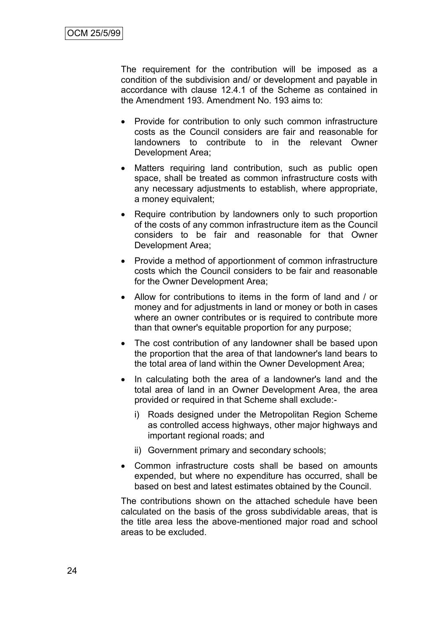The requirement for the contribution will be imposed as a condition of the subdivision and/ or development and payable in accordance with clause 12.4.1 of the Scheme as contained in the Amendment 193. Amendment No. 193 aims to:

- Provide for contribution to only such common infrastructure costs as the Council considers are fair and reasonable for landowners to contribute to in the relevant Owner Development Area;
- Matters requiring land contribution, such as public open space, shall be treated as common infrastructure costs with any necessary adjustments to establish, where appropriate, a money equivalent;
- Require contribution by landowners only to such proportion of the costs of any common infrastructure item as the Council considers to be fair and reasonable for that Owner Development Area;
- Provide a method of apportionment of common infrastructure costs which the Council considers to be fair and reasonable for the Owner Development Area;
- Allow for contributions to items in the form of land and / or money and for adjustments in land or money or both in cases where an owner contributes or is required to contribute more than that owner's equitable proportion for any purpose;
- The cost contribution of any landowner shall be based upon the proportion that the area of that landowner's land bears to the total area of land within the Owner Development Area;
- In calculating both the area of a landowner's land and the total area of land in an Owner Development Area, the area provided or required in that Scheme shall exclude:
	- i) Roads designed under the Metropolitan Region Scheme as controlled access highways, other major highways and important regional roads; and
	- ii) Government primary and secondary schools;
- Common infrastructure costs shall be based on amounts expended, but where no expenditure has occurred, shall be based on best and latest estimates obtained by the Council.

The contributions shown on the attached schedule have been calculated on the basis of the gross subdividable areas, that is the title area less the above-mentioned major road and school areas to be excluded.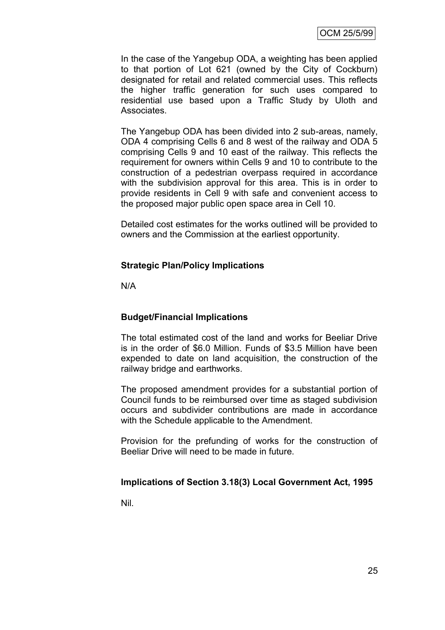In the case of the Yangebup ODA, a weighting has been applied to that portion of Lot 621 (owned by the City of Cockburn) designated for retail and related commercial uses. This reflects the higher traffic generation for such uses compared to residential use based upon a Traffic Study by Uloth and Associates.

The Yangebup ODA has been divided into 2 sub-areas, namely, ODA 4 comprising Cells 6 and 8 west of the railway and ODA 5 comprising Cells 9 and 10 east of the railway. This reflects the requirement for owners within Cells 9 and 10 to contribute to the construction of a pedestrian overpass required in accordance with the subdivision approval for this area. This is in order to provide residents in Cell 9 with safe and convenient access to the proposed major public open space area in Cell 10.

Detailed cost estimates for the works outlined will be provided to owners and the Commission at the earliest opportunity.

#### **Strategic Plan/Policy Implications**

N/A

#### **Budget/Financial Implications**

The total estimated cost of the land and works for Beeliar Drive is in the order of \$6.0 Million. Funds of \$3.5 Million have been expended to date on land acquisition, the construction of the railway bridge and earthworks.

The proposed amendment provides for a substantial portion of Council funds to be reimbursed over time as staged subdivision occurs and subdivider contributions are made in accordance with the Schedule applicable to the Amendment.

Provision for the prefunding of works for the construction of Beeliar Drive will need to be made in future.

# **Implications of Section 3.18(3) Local Government Act, 1995**

Nil.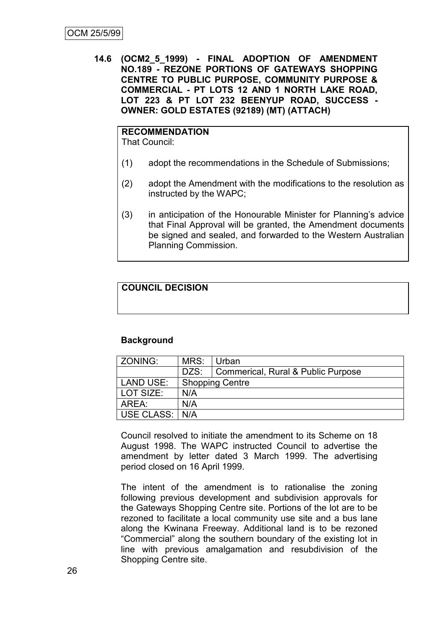**14.6 (OCM2\_5\_1999) - FINAL ADOPTION OF AMENDMENT NO.189 - REZONE PORTIONS OF GATEWAYS SHOPPING CENTRE TO PUBLIC PURPOSE, COMMUNITY PURPOSE & COMMERCIAL - PT LOTS 12 AND 1 NORTH LAKE ROAD, LOT 223 & PT LOT 232 BEENYUP ROAD, SUCCESS - OWNER: GOLD ESTATES (92189) (MT) (ATTACH)**

# **RECOMMENDATION**

That Council:

- (1) adopt the recommendations in the Schedule of Submissions;
- (2) adopt the Amendment with the modifications to the resolution as instructed by the WAPC;
- (3) in anticipation of the Honourable Minister for Planning's advice that Final Approval will be granted, the Amendment documents be signed and sealed, and forwarded to the Western Australian Planning Commission.

# **COUNCIL DECISION**

# **Background**

| ZONING:        | MRS:                   | l Urban                                   |  |
|----------------|------------------------|-------------------------------------------|--|
|                |                        | DZS:   Commerical, Rural & Public Purpose |  |
| LAND USE:      | <b>Shopping Centre</b> |                                           |  |
| l LOT SIZE:    | N/A                    |                                           |  |
| AREA:          | N/A                    |                                           |  |
| USE CLASS: N/A |                        |                                           |  |

Council resolved to initiate the amendment to its Scheme on 18 August 1998. The WAPC instructed Council to advertise the amendment by letter dated 3 March 1999. The advertising period closed on 16 April 1999.

The intent of the amendment is to rationalise the zoning following previous development and subdivision approvals for the Gateways Shopping Centre site. Portions of the lot are to be rezoned to facilitate a local community use site and a bus lane along the Kwinana Freeway. Additional land is to be rezoned "Commercial" along the southern boundary of the existing lot in line with previous amalgamation and resubdivision of the Shopping Centre site.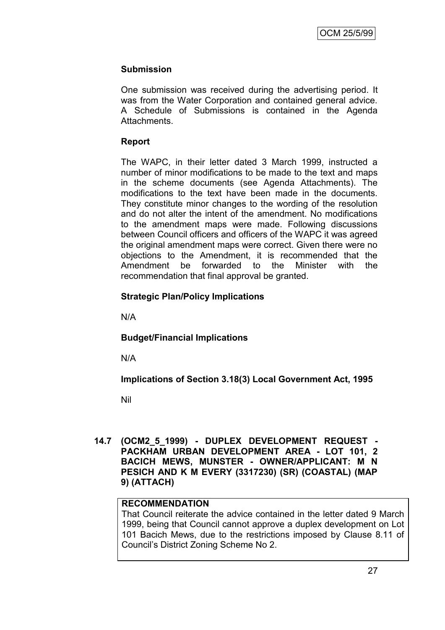## **Submission**

One submission was received during the advertising period. It was from the Water Corporation and contained general advice. A Schedule of Submissions is contained in the Agenda Attachments.

## **Report**

The WAPC, in their letter dated 3 March 1999, instructed a number of minor modifications to be made to the text and maps in the scheme documents (see Agenda Attachments). The modifications to the text have been made in the documents. They constitute minor changes to the wording of the resolution and do not alter the intent of the amendment. No modifications to the amendment maps were made. Following discussions between Council officers and officers of the WAPC it was agreed the original amendment maps were correct. Given there were no objections to the Amendment, it is recommended that the Amendment be forwarded to the Minister with the recommendation that final approval be granted.

## **Strategic Plan/Policy Implications**

N/A

# **Budget/Financial Implications**

N/A

**Implications of Section 3.18(3) Local Government Act, 1995**

Nil

**14.7 (OCM2\_5\_1999) - DUPLEX DEVELOPMENT REQUEST - PACKHAM URBAN DEVELOPMENT AREA - LOT 101, 2 BACICH MEWS, MUNSTER - OWNER/APPLICANT: M N PESICH AND K M EVERY (3317230) (SR) (COASTAL) (MAP 9) (ATTACH)**

# **RECOMMENDATION**

That Council reiterate the advice contained in the letter dated 9 March 1999, being that Council cannot approve a duplex development on Lot 101 Bacich Mews, due to the restrictions imposed by Clause 8.11 of Council's District Zoning Scheme No 2.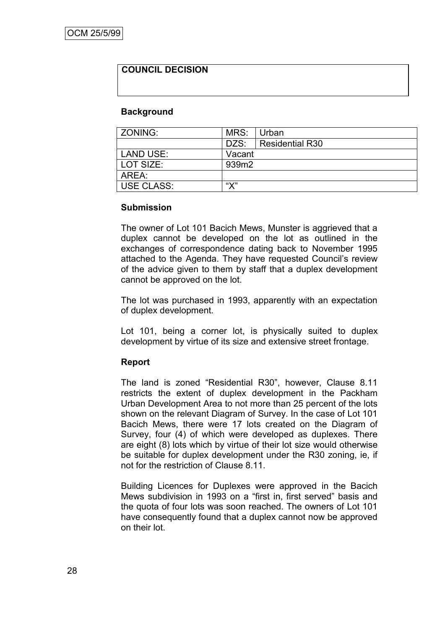## **COUNCIL DECISION**

#### **Background**

| l ZONING:         | MRS:         | ∣ Urban         |
|-------------------|--------------|-----------------|
|                   | DZS:         | Residential R30 |
| LAND USE:         | Vacant       |                 |
| l LOT SIZE:       | 939m2        |                 |
| AREA:             |              |                 |
| <b>USE CLASS:</b> | $\mathbf{W}$ |                 |

#### **Submission**

The owner of Lot 101 Bacich Mews, Munster is aggrieved that a duplex cannot be developed on the lot as outlined in the exchanges of correspondence dating back to November 1995 attached to the Agenda. They have requested Council's review of the advice given to them by staff that a duplex development cannot be approved on the lot.

The lot was purchased in 1993, apparently with an expectation of duplex development.

Lot 101, being a corner lot, is physically suited to duplex development by virtue of its size and extensive street frontage.

#### **Report**

The land is zoned "Residential R30", however, Clause 8.11 restricts the extent of duplex development in the Packham Urban Development Area to not more than 25 percent of the lots shown on the relevant Diagram of Survey. In the case of Lot 101 Bacich Mews, there were 17 lots created on the Diagram of Survey, four (4) of which were developed as duplexes. There are eight (8) lots which by virtue of their lot size would otherwise be suitable for duplex development under the R30 zoning, ie, if not for the restriction of Clause 8.11.

Building Licences for Duplexes were approved in the Bacich Mews subdivision in 1993 on a "first in, first served" basis and the quota of four lots was soon reached. The owners of Lot 101 have consequently found that a duplex cannot now be approved on their lot.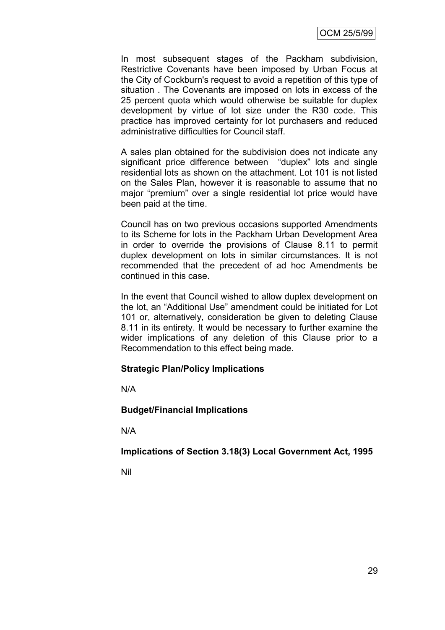In most subsequent stages of the Packham subdivision, Restrictive Covenants have been imposed by Urban Focus at the City of Cockburn's request to avoid a repetition of this type of situation . The Covenants are imposed on lots in excess of the 25 percent quota which would otherwise be suitable for duplex development by virtue of lot size under the R30 code. This practice has improved certainty for lot purchasers and reduced administrative difficulties for Council staff.

A sales plan obtained for the subdivision does not indicate any significant price difference between "duplex" lots and single residential lots as shown on the attachment. Lot 101 is not listed on the Sales Plan, however it is reasonable to assume that no major "premium" over a single residential lot price would have been paid at the time.

Council has on two previous occasions supported Amendments to its Scheme for lots in the Packham Urban Development Area in order to override the provisions of Clause 8.11 to permit duplex development on lots in similar circumstances. It is not recommended that the precedent of ad hoc Amendments be continued in this case.

In the event that Council wished to allow duplex development on the lot, an "Additional Use" amendment could be initiated for Lot 101 or, alternatively, consideration be given to deleting Clause 8.11 in its entirety. It would be necessary to further examine the wider implications of any deletion of this Clause prior to a Recommendation to this effect being made.

#### **Strategic Plan/Policy Implications**

N/A

**Budget/Financial Implications**

N/A

**Implications of Section 3.18(3) Local Government Act, 1995**

Nil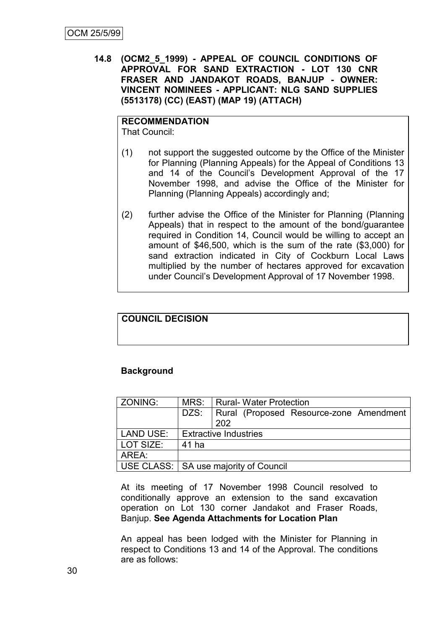**14.8 (OCM2\_5\_1999) - APPEAL OF COUNCIL CONDITIONS OF APPROVAL FOR SAND EXTRACTION - LOT 130 CNR FRASER AND JANDAKOT ROADS, BANJUP - OWNER: VINCENT NOMINEES - APPLICANT: NLG SAND SUPPLIES (5513178) (CC) (EAST) (MAP 19) (ATTACH)**

# **RECOMMENDATION**

That Council:

- (1) not support the suggested outcome by the Office of the Minister for Planning (Planning Appeals) for the Appeal of Conditions 13 and 14 of the Council's Development Approval of the 17 November 1998, and advise the Office of the Minister for Planning (Planning Appeals) accordingly and;
- (2) further advise the Office of the Minister for Planning (Planning Appeals) that in respect to the amount of the bond/guarantee required in Condition 14, Council would be willing to accept an amount of \$46,500, which is the sum of the rate (\$3,000) for sand extraction indicated in City of Cockburn Local Laws multiplied by the number of hectares approved for excavation under Council's Development Approval of 17 November 1998.

# **COUNCIL DECISION**

#### **Background**

| ZONING:          |                              | MRS: Rural-Water Protection             |  |  |
|------------------|------------------------------|-----------------------------------------|--|--|
|                  | DZS:                         | Rural (Proposed Resource-zone Amendment |  |  |
|                  |                              | 202                                     |  |  |
| <b>LAND USE:</b> | <b>Extractive Industries</b> |                                         |  |  |
| LOT SIZE:        | 41 ha                        |                                         |  |  |
| AREA:            |                              |                                         |  |  |
|                  |                              | USE CLASS:   SA use majority of Council |  |  |

At its meeting of 17 November 1998 Council resolved to conditionally approve an extension to the sand excavation operation on Lot 130 corner Jandakot and Fraser Roads, Banjup. **See Agenda Attachments for Location Plan**

An appeal has been lodged with the Minister for Planning in respect to Conditions 13 and 14 of the Approval. The conditions are as follows: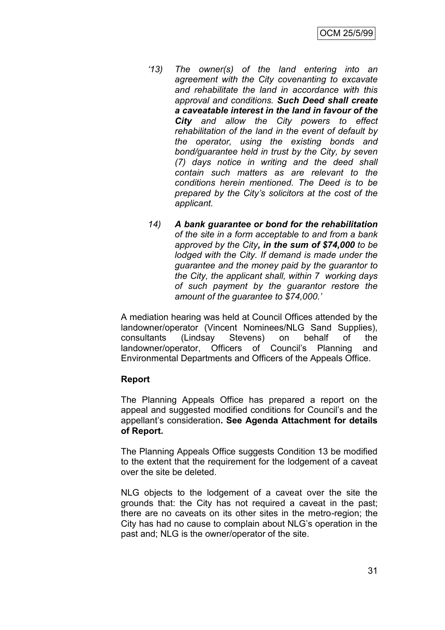- *'13) The owner(s) of the land entering into an agreement with the City covenanting to excavate and rehabilitate the land in accordance with this approval and conditions. Such Deed shall create a caveatable interest in the land in favour of the City and allow the City powers to effect rehabilitation of the land in the event of default by the operator, using the existing bonds and bond/guarantee held in trust by the City, by seven (7) days notice in writing and the deed shall contain such matters as are relevant to the conditions herein mentioned. The Deed is to be prepared by the City's solicitors at the cost of the applicant.*
- *14) A bank guarantee or bond for the rehabilitation of the site in a form acceptable to and from a bank approved by the City, in the sum of \$74,000 to be lodged with the City. If demand is made under the guarantee and the money paid by the guarantor to the City, the applicant shall, within 7 working days of such payment by the guarantor restore the amount of the guarantee to \$74,000.'*

A mediation hearing was held at Council Offices attended by the landowner/operator (Vincent Nominees/NLG Sand Supplies), consultants (Lindsay Stevens) on behalf of the landowner/operator, Officers of Council's Planning and Environmental Departments and Officers of the Appeals Office.

#### **Report**

The Planning Appeals Office has prepared a report on the appeal and suggested modified conditions for Council's and the appellant's consideration**. See Agenda Attachment for details of Report.**

The Planning Appeals Office suggests Condition 13 be modified to the extent that the requirement for the lodgement of a caveat over the site be deleted.

NLG objects to the lodgement of a caveat over the site the grounds that: the City has not required a caveat in the past; there are no caveats on its other sites in the metro-region; the City has had no cause to complain about NLG's operation in the past and; NLG is the owner/operator of the site.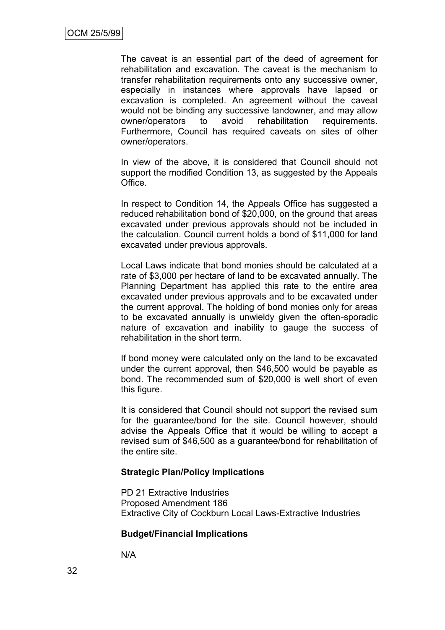The caveat is an essential part of the deed of agreement for rehabilitation and excavation. The caveat is the mechanism to transfer rehabilitation requirements onto any successive owner, especially in instances where approvals have lapsed or excavation is completed. An agreement without the caveat would not be binding any successive landowner, and may allow owner/operators to avoid rehabilitation requirements. Furthermore, Council has required caveats on sites of other owner/operators.

In view of the above, it is considered that Council should not support the modified Condition 13, as suggested by the Appeals Office.

In respect to Condition 14, the Appeals Office has suggested a reduced rehabilitation bond of \$20,000, on the ground that areas excavated under previous approvals should not be included in the calculation. Council current holds a bond of \$11,000 for land excavated under previous approvals.

Local Laws indicate that bond monies should be calculated at a rate of \$3,000 per hectare of land to be excavated annually. The Planning Department has applied this rate to the entire area excavated under previous approvals and to be excavated under the current approval. The holding of bond monies only for areas to be excavated annually is unwieldy given the often-sporadic nature of excavation and inability to gauge the success of rehabilitation in the short term.

If bond money were calculated only on the land to be excavated under the current approval, then \$46,500 would be payable as bond. The recommended sum of \$20,000 is well short of even this figure.

It is considered that Council should not support the revised sum for the guarantee/bond for the site. Council however, should advise the Appeals Office that it would be willing to accept a revised sum of \$46,500 as a guarantee/bond for rehabilitation of the entire site.

#### **Strategic Plan/Policy Implications**

PD 21 Extractive Industries Proposed Amendment 186 Extractive City of Cockburn Local Laws-Extractive Industries

#### **Budget/Financial Implications**

N/A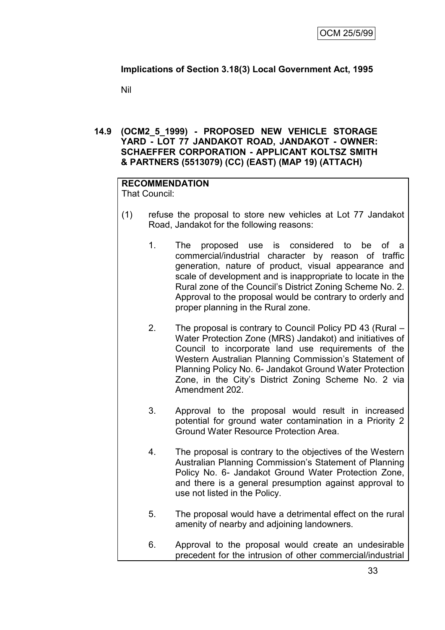# **Implications of Section 3.18(3) Local Government Act, 1995**

Nil

### **14.9 (OCM2\_5\_1999) - PROPOSED NEW VEHICLE STORAGE YARD - LOT 77 JANDAKOT ROAD, JANDAKOT - OWNER: SCHAEFFER CORPORATION - APPLICANT KOLTSZ SMITH & PARTNERS (5513079) (CC) (EAST) (MAP 19) (ATTACH)**

# **RECOMMENDATION**

That Council:

- (1) refuse the proposal to store new vehicles at Lot 77 Jandakot Road, Jandakot for the following reasons:
	- 1. The proposed use is considered to be of a commercial/industrial character by reason of traffic generation, nature of product, visual appearance and scale of development and is inappropriate to locate in the Rural zone of the Council's District Zoning Scheme No. 2. Approval to the proposal would be contrary to orderly and proper planning in the Rural zone.
	- 2. The proposal is contrary to Council Policy PD 43 (Rural Water Protection Zone (MRS) Jandakot) and initiatives of Council to incorporate land use requirements of the Western Australian Planning Commission's Statement of Planning Policy No. 6- Jandakot Ground Water Protection Zone, in the City's District Zoning Scheme No. 2 via Amendment 202.
	- 3. Approval to the proposal would result in increased potential for ground water contamination in a Priority 2 Ground Water Resource Protection Area.
	- 4. The proposal is contrary to the objectives of the Western Australian Planning Commission's Statement of Planning Policy No. 6- Jandakot Ground Water Protection Zone, and there is a general presumption against approval to use not listed in the Policy.
	- 5. The proposal would have a detrimental effect on the rural amenity of nearby and adjoining landowners.
	- 6. Approval to the proposal would create an undesirable precedent for the intrusion of other commercial/industrial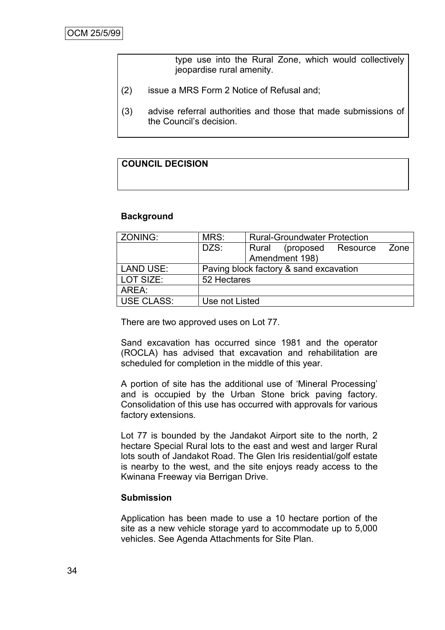type use into the Rural Zone, which would collectively jeopardise rural amenity.

- (2) issue a MRS Form 2 Notice of Refusal and;
- (3) advise referral authorities and those that made submissions of the Council's decision.

# **COUNCIL DECISION**

#### **Background**

| ZONING:           | MRS:                                   |       | <b>Rural-Groundwater Protection</b> |      |
|-------------------|----------------------------------------|-------|-------------------------------------|------|
|                   | DZS:                                   | Rural | (proposed Resource                  | Zone |
|                   |                                        |       | Amendment 198)                      |      |
| <b>LAND USE:</b>  | Paving block factory & sand excavation |       |                                     |      |
| LOT SIZE:         | 52 Hectares                            |       |                                     |      |
| AREA:             |                                        |       |                                     |      |
| <b>USE CLASS:</b> | Use not Listed                         |       |                                     |      |

There are two approved uses on Lot 77.

Sand excavation has occurred since 1981 and the operator (ROCLA) has advised that excavation and rehabilitation are scheduled for completion in the middle of this year.

A portion of site has the additional use of 'Mineral Processing' and is occupied by the Urban Stone brick paving factory. Consolidation of this use has occurred with approvals for various factory extensions.

Lot 77 is bounded by the Jandakot Airport site to the north, 2 hectare Special Rural lots to the east and west and larger Rural lots south of Jandakot Road. The Glen Iris residential/golf estate is nearby to the west, and the site enjoys ready access to the Kwinana Freeway via Berrigan Drive.

#### **Submission**

Application has been made to use a 10 hectare portion of the site as a new vehicle storage yard to accommodate up to 5,000 vehicles. See Agenda Attachments for Site Plan.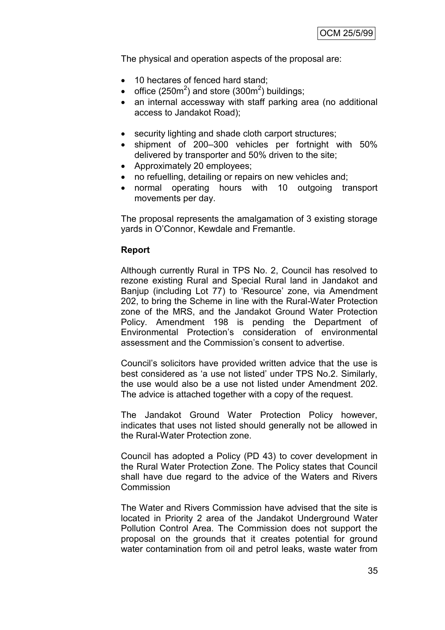The physical and operation aspects of the proposal are:

- 10 hectares of fenced hard stand;
- office (250 $\text{m}^2$ ) and store (300 $\text{m}^2$ ) buildings;
- an internal accessway with staff parking area (no additional access to Jandakot Road);
- security lighting and shade cloth carport structures;
- shipment of 200–300 vehicles per fortnight with 50% delivered by transporter and 50% driven to the site;
- Approximately 20 employees;
- no refuelling, detailing or repairs on new vehicles and;
- normal operating hours with 10 outgoing transport movements per day.

The proposal represents the amalgamation of 3 existing storage yards in O'Connor, Kewdale and Fremantle.

#### **Report**

Although currently Rural in TPS No. 2, Council has resolved to rezone existing Rural and Special Rural land in Jandakot and Banjup (including Lot 77) to 'Resource' zone, via Amendment 202, to bring the Scheme in line with the Rural-Water Protection zone of the MRS, and the Jandakot Ground Water Protection Policy. Amendment 198 is pending the Department of Environmental Protection's consideration of environmental assessment and the Commission's consent to advertise.

Council's solicitors have provided written advice that the use is best considered as 'a use not listed' under TPS No.2. Similarly, the use would also be a use not listed under Amendment 202. The advice is attached together with a copy of the request.

The Jandakot Ground Water Protection Policy however, indicates that uses not listed should generally not be allowed in the Rural-Water Protection zone.

Council has adopted a Policy (PD 43) to cover development in the Rural Water Protection Zone. The Policy states that Council shall have due regard to the advice of the Waters and Rivers Commission

The Water and Rivers Commission have advised that the site is located in Priority 2 area of the Jandakot Underground Water Pollution Control Area. The Commission does not support the proposal on the grounds that it creates potential for ground water contamination from oil and petrol leaks, waste water from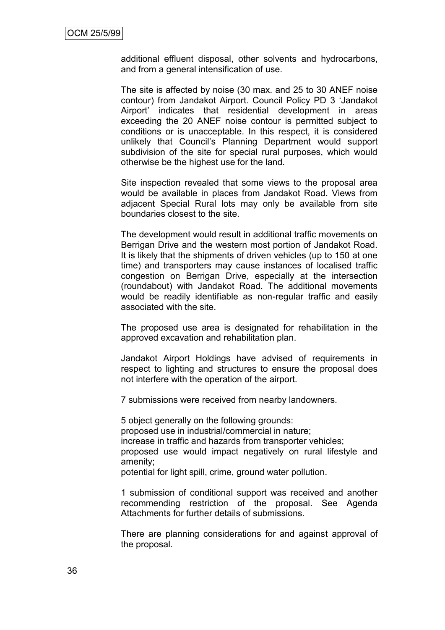additional effluent disposal, other solvents and hydrocarbons, and from a general intensification of use.

The site is affected by noise (30 max. and 25 to 30 ANEF noise contour) from Jandakot Airport. Council Policy PD 3 'Jandakot Airport' indicates that residential development in areas exceeding the 20 ANEF noise contour is permitted subject to conditions or is unacceptable. In this respect, it is considered unlikely that Council's Planning Department would support subdivision of the site for special rural purposes, which would otherwise be the highest use for the land.

Site inspection revealed that some views to the proposal area would be available in places from Jandakot Road. Views from adjacent Special Rural lots may only be available from site boundaries closest to the site.

The development would result in additional traffic movements on Berrigan Drive and the western most portion of Jandakot Road. It is likely that the shipments of driven vehicles (up to 150 at one time) and transporters may cause instances of localised traffic congestion on Berrigan Drive, especially at the intersection (roundabout) with Jandakot Road. The additional movements would be readily identifiable as non-regular traffic and easily associated with the site.

The proposed use area is designated for rehabilitation in the approved excavation and rehabilitation plan.

Jandakot Airport Holdings have advised of requirements in respect to lighting and structures to ensure the proposal does not interfere with the operation of the airport.

7 submissions were received from nearby landowners.

5 object generally on the following grounds: proposed use in industrial/commercial in nature; increase in traffic and hazards from transporter vehicles; proposed use would impact negatively on rural lifestyle and amenity;

potential for light spill, crime, ground water pollution.

1 submission of conditional support was received and another recommending restriction of the proposal. See Agenda Attachments for further details of submissions.

There are planning considerations for and against approval of the proposal.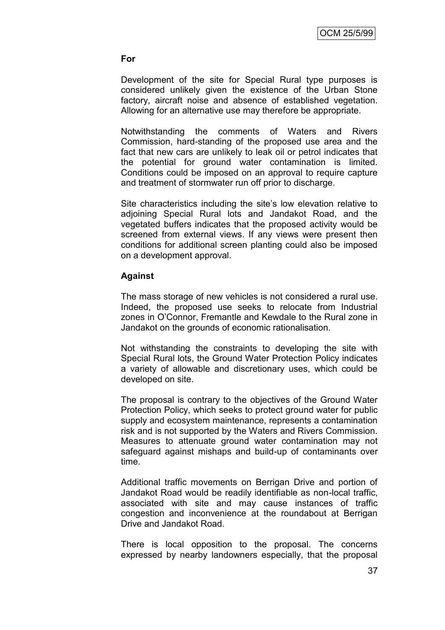#### **For**

Development of the site for Special Rural type purposes is considered unlikely given the existence of the Urban Stone factory, aircraft noise and absence of established vegetation. Allowing for an alternative use may therefore be appropriate.

Notwithstanding the comments of Waters and Rivers Commission, hard-standing of the proposed use area and the fact that new cars are unlikely to leak oil or petrol indicates that the potential for ground water contamination is limited. Conditions could be imposed on an approval to require capture and treatment of stormwater run off prior to discharge.

Site characteristics including the site's low elevation relative to adjoining Special Rural lots and Jandakot Road, and the vegetated buffers indicates that the proposed activity would be screened from external views. If any views were present then conditions for additional screen planting could also be imposed on a development approval.

#### **Against**

The mass storage of new vehicles is not considered a rural use. Indeed, the proposed use seeks to relocate from Industrial zones in O'Connor, Fremantle and Kewdale to the Rural zone in Jandakot on the grounds of economic rationalisation.

Not withstanding the constraints to developing the site with Special Rural lots, the Ground Water Protection Policy indicates a variety of allowable and discretionary uses, which could be developed on site.

The proposal is contrary to the objectives of the Ground Water Protection Policy, which seeks to protect ground water for public supply and ecosystem maintenance, represents a contamination risk and is not supported by the Waters and Rivers Commission. Measures to attenuate ground water contamination may not safeguard against mishaps and build-up of contaminants over time.

Additional traffic movements on Berrigan Drive and portion of Jandakot Road would be readily identifiable as non-local traffic, associated with site and may cause instances of traffic congestion and inconvenience at the roundabout at Berrigan Drive and Jandakot Road.

There is local opposition to the proposal. The concerns expressed by nearby landowners especially, that the proposal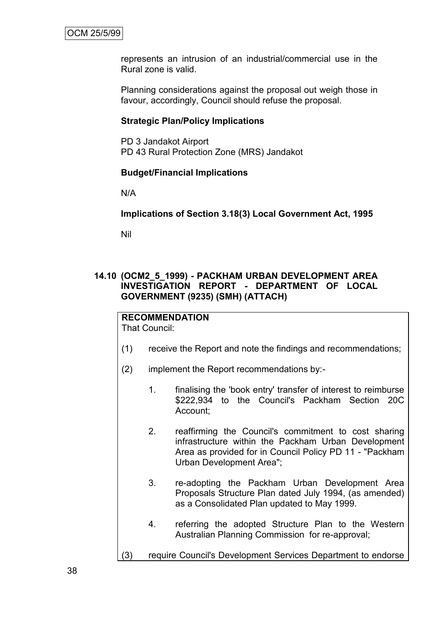represents an intrusion of an industrial/commercial use in the Rural zone is valid.

Planning considerations against the proposal out weigh those in favour, accordingly, Council should refuse the proposal.

#### **Strategic Plan/Policy Implications**

PD 3 Jandakot Airport PD 43 Rural Protection Zone (MRS) Jandakot

#### **Budget/Financial Implications**

N/A

#### **Implications of Section 3.18(3) Local Government Act, 1995**

Nil

# **14.10 (OCM2\_5\_1999) - PACKHAM URBAN DEVELOPMENT AREA INVESTIGATION REPORT - DEPARTMENT OF LOCAL GOVERNMENT (9235) (SMH) (ATTACH)**

# **RECOMMENDATION**

That Council:

- (1) receive the Report and note the findings and recommendations;
- (2) implement the Report recommendations by:-
	- 1. finalising the 'book entry' transfer of interest to reimburse \$222,934 to the Council's Packham Section 20C Account;
	- 2. reaffirming the Council's commitment to cost sharing infrastructure within the Packham Urban Development Area as provided for in Council Policy PD 11 - "Packham Urban Development Area";
	- 3. re-adopting the Packham Urban Development Area Proposals Structure Plan dated July 1994, (as amended) as a Consolidated Plan updated to May 1999.
	- 4. referring the adopted Structure Plan to the Western Australian Planning Commission for re-approval;
- (3) require Council's Development Services Department to endorse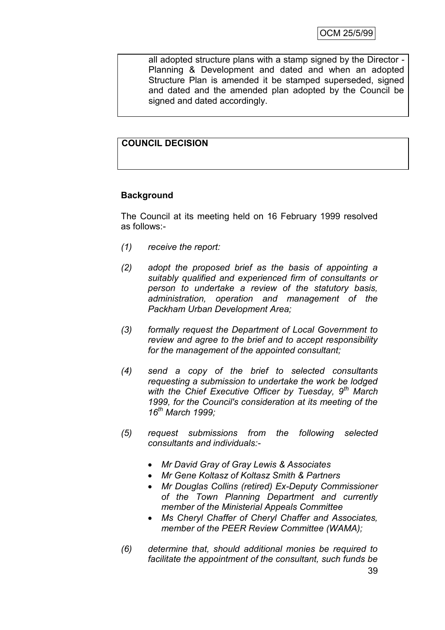all adopted structure plans with a stamp signed by the Director - Planning & Development and dated and when an adopted Structure Plan is amended it be stamped superseded, signed and dated and the amended plan adopted by the Council be signed and dated accordingly.

# **COUNCIL DECISION**

# **Background**

The Council at its meeting held on 16 February 1999 resolved as follows:-

- *(1) receive the report:*
- *(2) adopt the proposed brief as the basis of appointing a suitably qualified and experienced firm of consultants or person to undertake a review of the statutory basis, administration, operation and management of the Packham Urban Development Area;*
- *(3) formally request the Department of Local Government to review and agree to the brief and to accept responsibility for the management of the appointed consultant;*
- *(4) send a copy of the brief to selected consultants requesting a submission to undertake the work be lodged with the Chief Executive Officer by Tuesday, 9th March 1999, for the Council's consideration at its meeting of the 16th March 1999;*
- *(5) request submissions from the following selected consultants and individuals:-*
	- *Mr David Gray of Gray Lewis & Associates*
	- *Mr Gene Koltasz of Koltasz Smith & Partners*
	- *Mr Douglas Collins (retired) Ex-Deputy Commissioner of the Town Planning Department and currently member of the Ministerial Appeals Committee*
	- *Ms Cheryl Chaffer of Cheryl Chaffer and Associates, member of the PEER Review Committee (WAMA);*
- *(6) determine that, should additional monies be required to facilitate the appointment of the consultant, such funds be*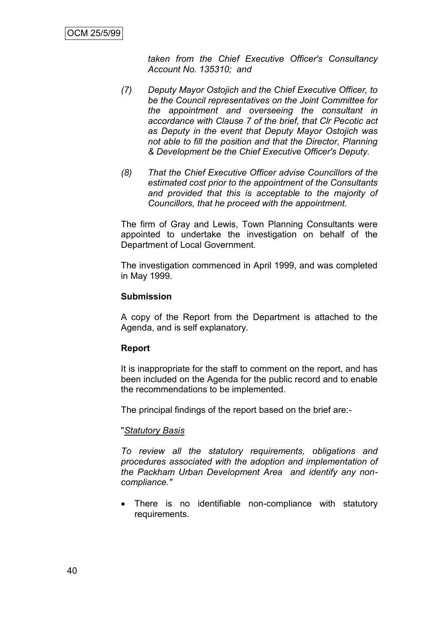*taken from the Chief Executive Officer's Consultancy Account No. 135310; and*

- *(7) Deputy Mayor Ostojich and the Chief Executive Officer, to be the Council representatives on the Joint Committee for the appointment and overseeing the consultant in accordance with Clause 7 of the brief, that Clr Pecotic act as Deputy in the event that Deputy Mayor Ostojich was not able to fill the position and that the Director, Planning & Development be the Chief Executive Officer's Deputy.*
- *(8) That the Chief Executive Officer advise Councillors of the estimated cost prior to the appointment of the Consultants and provided that this is acceptable to the majority of Councillors, that he proceed with the appointment.*

The firm of Gray and Lewis, Town Planning Consultants were appointed to undertake the investigation on behalf of the Department of Local Government.

The investigation commenced in April 1999, and was completed in May 1999.

#### **Submission**

A copy of the Report from the Department is attached to the Agenda, and is self explanatory.

#### **Report**

It is inappropriate for the staff to comment on the report, and has been included on the Agenda for the public record and to enable the recommendations to be implemented.

The principal findings of the report based on the brief are:-

#### "*Statutory Basis*

*To review all the statutory requirements, obligations and procedures associated with the adoption and implementation of the Packham Urban Development Area and identify any noncompliance."*

 There is no identifiable non-compliance with statutory requirements.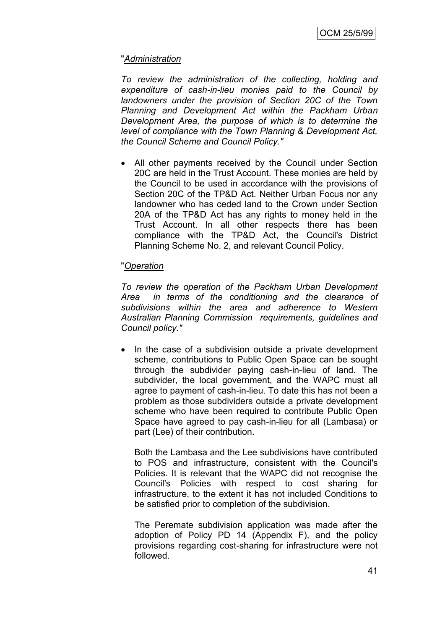# "*Administration*

*To review the administration of the collecting, holding and expenditure of cash-in-lieu monies paid to the Council by landowners under the provision of Section 20C of the Town Planning and Development Act within the Packham Urban Development Area, the purpose of which is to determine the level of compliance with the Town Planning & Development Act, the Council Scheme and Council Policy."*

 All other payments received by the Council under Section 20C are held in the Trust Account. These monies are held by the Council to be used in accordance with the provisions of Section 20C of the TP&D Act. Neither Urban Focus nor any landowner who has ceded land to the Crown under Section 20A of the TP&D Act has any rights to money held in the Trust Account. In all other respects there has been compliance with the TP&D Act, the Council's District Planning Scheme No. 2, and relevant Council Policy.

# "*Operation*

*To review the operation of the Packham Urban Development Area in terms of the conditioning and the clearance of subdivisions within the area and adherence to Western Australian Planning Commission requirements, guidelines and Council policy."*

• In the case of a subdivision outside a private development scheme, contributions to Public Open Space can be sought through the subdivider paying cash-in-lieu of land. The subdivider, the local government, and the WAPC must all agree to payment of cash-in-lieu. To date this has not been a problem as those subdividers outside a private development scheme who have been required to contribute Public Open Space have agreed to pay cash-in-lieu for all (Lambasa) or part (Lee) of their contribution.

Both the Lambasa and the Lee subdivisions have contributed to POS and infrastructure, consistent with the Council's Policies. It is relevant that the WAPC did not recognise the Council's Policies with respect to cost sharing for infrastructure, to the extent it has not included Conditions to be satisfied prior to completion of the subdivision.

The Peremate subdivision application was made after the adoption of Policy PD 14 (Appendix F), and the policy provisions regarding cost-sharing for infrastructure were not followed.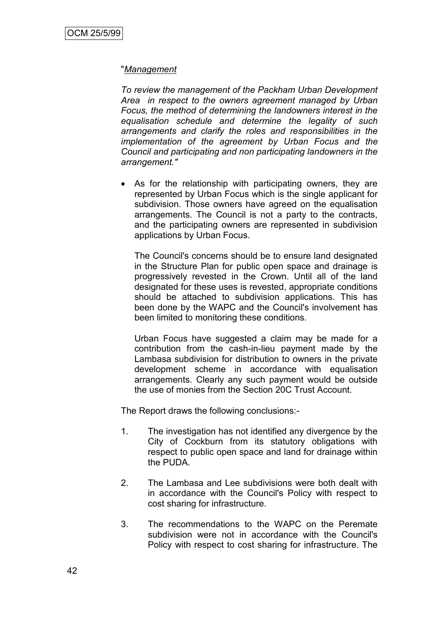#### "*Management*

*To review the management of the Packham Urban Development Area in respect to the owners agreement managed by Urban Focus, the method of determining the landowners interest in the equalisation schedule and determine the legality of such arrangements and clarify the roles and responsibilities in the implementation of the agreement by Urban Focus and the Council and participating and non participating landowners in the arrangement."*

 As for the relationship with participating owners, they are represented by Urban Focus which is the single applicant for subdivision. Those owners have agreed on the equalisation arrangements. The Council is not a party to the contracts, and the participating owners are represented in subdivision applications by Urban Focus.

The Council's concerns should be to ensure land designated in the Structure Plan for public open space and drainage is progressively revested in the Crown. Until all of the land designated for these uses is revested, appropriate conditions should be attached to subdivision applications. This has been done by the WAPC and the Council's involvement has been limited to monitoring these conditions.

Urban Focus have suggested a claim may be made for a contribution from the cash-in-lieu payment made by the Lambasa subdivision for distribution to owners in the private development scheme in accordance with equalisation arrangements. Clearly any such payment would be outside the use of monies from the Section 20C Trust Account.

The Report draws the following conclusions:-

- 1. The investigation has not identified any divergence by the City of Cockburn from its statutory obligations with respect to public open space and land for drainage within the PUDA.
- 2. The Lambasa and Lee subdivisions were both dealt with in accordance with the Council's Policy with respect to cost sharing for infrastructure.
- 3. The recommendations to the WAPC on the Peremate subdivision were not in accordance with the Council's Policy with respect to cost sharing for infrastructure. The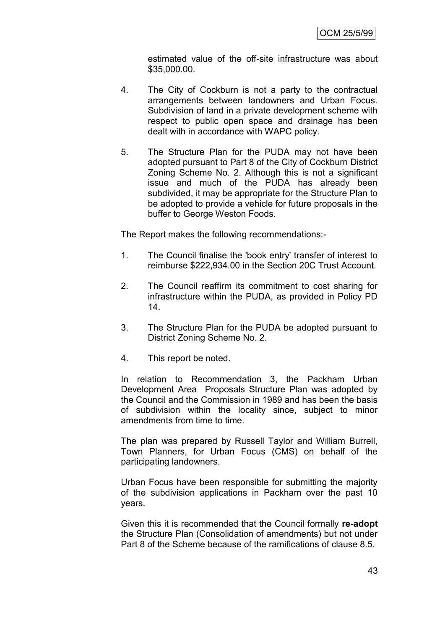estimated value of the off-site infrastructure was about \$35,000.00.

- 4. The City of Cockburn is not a party to the contractual arrangements between landowners and Urban Focus. Subdivision of land in a private development scheme with respect to public open space and drainage has been dealt with in accordance with WAPC policy.
- 5. The Structure Plan for the PUDA may not have been adopted pursuant to Part 8 of the City of Cockburn District Zoning Scheme No. 2. Although this is not a significant issue and much of the PUDA has already been subdivided, it may be appropriate for the Structure Plan to be adopted to provide a vehicle for future proposals in the buffer to George Weston Foods.

The Report makes the following recommendations:-

- 1. The Council finalise the 'book entry' transfer of interest to reimburse \$222,934.00 in the Section 20C Trust Account.
- 2. The Council reaffirm its commitment to cost sharing for infrastructure within the PUDA, as provided in Policy PD 14.
- 3. The Structure Plan for the PUDA be adopted pursuant to District Zoning Scheme No. 2.
- 4. This report be noted.

In relation to Recommendation 3, the Packham Urban Development Area Proposals Structure Plan was adopted by the Council and the Commission in 1989 and has been the basis of subdivision within the locality since, subject to minor amendments from time to time.

The plan was prepared by Russell Taylor and William Burrell, Town Planners, for Urban Focus (CMS) on behalf of the participating landowners.

Urban Focus have been responsible for submitting the majority of the subdivision applications in Packham over the past 10 years.

Given this it is recommended that the Council formally **re-adopt**  the Structure Plan (Consolidation of amendments) but not under Part 8 of the Scheme because of the ramifications of clause 8.5.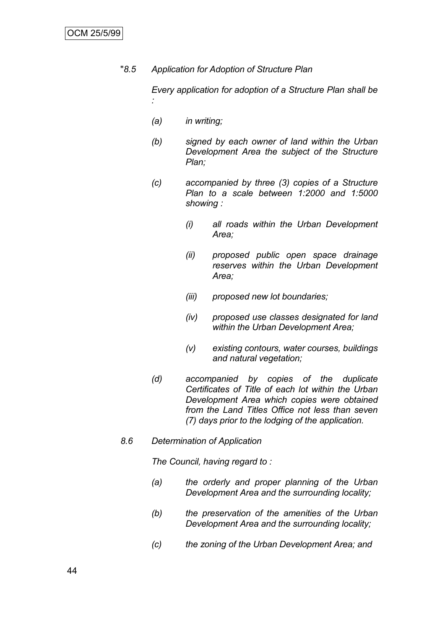"*8.5 Application for Adoption of Structure Plan*

*Every application for adoption of a Structure Plan shall be :*

- *(a) in writing;*
- *(b) signed by each owner of land within the Urban Development Area the subject of the Structure Plan;*
- *(c) accompanied by three (3) copies of a Structure Plan to a scale between 1:2000 and 1:5000 showing :*
	- *(i) all roads within the Urban Development Area;*
	- *(ii) proposed public open space drainage reserves within the Urban Development Area;*
	- *(iii) proposed new lot boundaries;*
	- *(iv) proposed use classes designated for land within the Urban Development Area;*
	- *(v) existing contours, water courses, buildings and natural vegetation;*
- *(d) accompanied by copies of the duplicate Certificates of Title of each lot within the Urban Development Area which copies were obtained from the Land Titles Office not less than seven (7) days prior to the lodging of the application.*
- *8.6 Determination of Application*

*The Council, having regard to :*

- *(a) the orderly and proper planning of the Urban Development Area and the surrounding locality;*
- *(b) the preservation of the amenities of the Urban Development Area and the surrounding locality;*
- *(c) the zoning of the Urban Development Area; and*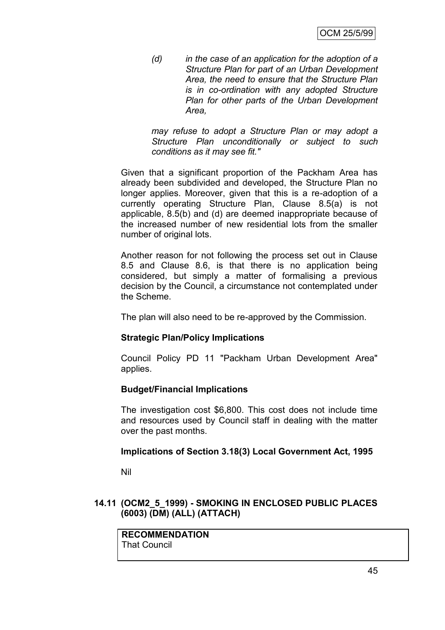*(d) in the case of an application for the adoption of a Structure Plan for part of an Urban Development Area, the need to ensure that the Structure Plan is in co-ordination with any adopted Structure Plan for other parts of the Urban Development Area,*

*may refuse to adopt a Structure Plan or may adopt a Structure Plan unconditionally or subject to such conditions as it may see fit."*

Given that a significant proportion of the Packham Area has already been subdivided and developed, the Structure Plan no longer applies. Moreover, given that this is a re-adoption of a currently operating Structure Plan, Clause 8.5(a) is not applicable, 8.5(b) and (d) are deemed inappropriate because of the increased number of new residential lots from the smaller number of original lots.

Another reason for not following the process set out in Clause 8.5 and Clause 8.6, is that there is no application being considered, but simply a matter of formalising a previous decision by the Council, a circumstance not contemplated under the Scheme.

The plan will also need to be re-approved by the Commission.

#### **Strategic Plan/Policy Implications**

Council Policy PD 11 "Packham Urban Development Area" applies.

#### **Budget/Financial Implications**

The investigation cost \$6,800. This cost does not include time and resources used by Council staff in dealing with the matter over the past months.

#### **Implications of Section 3.18(3) Local Government Act, 1995**

Nil

# **14.11 (OCM2\_5\_1999) - SMOKING IN ENCLOSED PUBLIC PLACES (6003) (DM) (ALL) (ATTACH)**

**RECOMMENDATION** That Council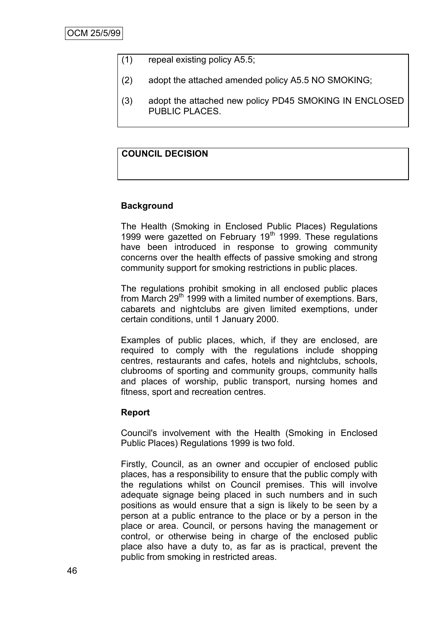- (1) repeal existing policy A5.5;
- (2) adopt the attached amended policy A5.5 NO SMOKING;
- (3) adopt the attached new policy PD45 SMOKING IN ENCLOSED PUBLIC PLACES.

# **COUNCIL DECISION**

# **Background**

The Health (Smoking in Enclosed Public Places) Regulations 1999 were gazetted on February  $19<sup>th</sup>$  1999. These regulations have been introduced in response to growing community concerns over the health effects of passive smoking and strong community support for smoking restrictions in public places.

The regulations prohibit smoking in all enclosed public places from March  $29<sup>th</sup>$  1999 with a limited number of exemptions. Bars, cabarets and nightclubs are given limited exemptions, under certain conditions, until 1 January 2000.

Examples of public places, which, if they are enclosed, are required to comply with the regulations include shopping centres, restaurants and cafes, hotels and nightclubs, schools, clubrooms of sporting and community groups, community halls and places of worship, public transport, nursing homes and fitness, sport and recreation centres.

#### **Report**

Council's involvement with the Health (Smoking in Enclosed Public Places) Regulations 1999 is two fold.

Firstly, Council, as an owner and occupier of enclosed public places, has a responsibility to ensure that the public comply with the regulations whilst on Council premises. This will involve adequate signage being placed in such numbers and in such positions as would ensure that a sign is likely to be seen by a person at a public entrance to the place or by a person in the place or area. Council, or persons having the management or control, or otherwise being in charge of the enclosed public place also have a duty to, as far as is practical, prevent the public from smoking in restricted areas.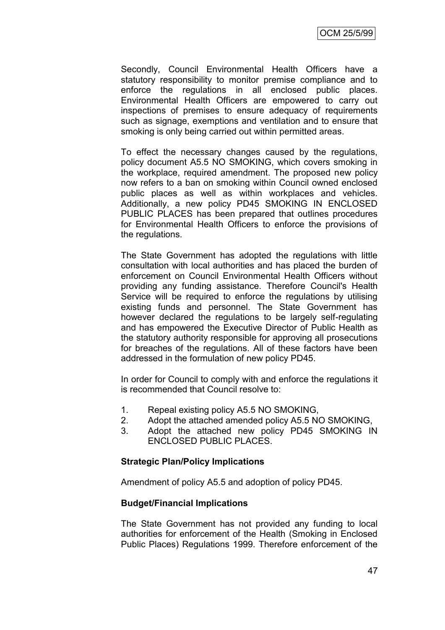Secondly, Council Environmental Health Officers have a statutory responsibility to monitor premise compliance and to enforce the regulations in all enclosed public places. Environmental Health Officers are empowered to carry out inspections of premises to ensure adequacy of requirements such as signage, exemptions and ventilation and to ensure that smoking is only being carried out within permitted areas.

To effect the necessary changes caused by the regulations, policy document A5.5 NO SMOKING, which covers smoking in the workplace, required amendment. The proposed new policy now refers to a ban on smoking within Council owned enclosed public places as well as within workplaces and vehicles. Additionally, a new policy PD45 SMOKING IN ENCLOSED PUBLIC PLACES has been prepared that outlines procedures for Environmental Health Officers to enforce the provisions of the regulations.

The State Government has adopted the regulations with little consultation with local authorities and has placed the burden of enforcement on Council Environmental Health Officers without providing any funding assistance. Therefore Council's Health Service will be required to enforce the regulations by utilising existing funds and personnel. The State Government has however declared the regulations to be largely self-regulating and has empowered the Executive Director of Public Health as the statutory authority responsible for approving all prosecutions for breaches of the regulations. All of these factors have been addressed in the formulation of new policy PD45.

In order for Council to comply with and enforce the regulations it is recommended that Council resolve to:

- 1. Repeal existing policy A5.5 NO SMOKING,
- 2. Adopt the attached amended policy A5.5 NO SMOKING,
- 3. Adopt the attached new policy PD45 SMOKING IN ENCLOSED PUBLIC PLACES.

#### **Strategic Plan/Policy Implications**

Amendment of policy A5.5 and adoption of policy PD45.

#### **Budget/Financial Implications**

The State Government has not provided any funding to local authorities for enforcement of the Health (Smoking in Enclosed Public Places) Regulations 1999. Therefore enforcement of the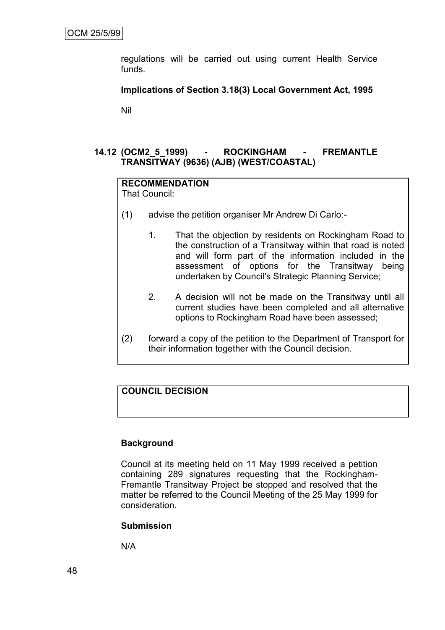regulations will be carried out using current Health Service funds.

#### **Implications of Section 3.18(3) Local Government Act, 1995**

Nil

# **14.12 (OCM2\_5\_1999) - ROCKINGHAM - FREMANTLE TRANSITWAY (9636) (AJB) (WEST/COASTAL)**

# **RECOMMENDATION**

That Council:

- (1) advise the petition organiser Mr Andrew Di Carlo:-
	- 1. That the objection by residents on Rockingham Road to the construction of a Transitway within that road is noted and will form part of the information included in the assessment of options for the Transitway being undertaken by Council's Strategic Planning Service;
	- 2. A decision will not be made on the Transitway until all current studies have been completed and all alternative options to Rockingham Road have been assessed;
- (2) forward a copy of the petition to the Department of Transport for their information together with the Council decision.

# **COUNCIL DECISION**

#### **Background**

Council at its meeting held on 11 May 1999 received a petition containing 289 signatures requesting that the Rockingham-Fremantle Transitway Project be stopped and resolved that the matter be referred to the Council Meeting of the 25 May 1999 for consideration.

#### **Submission**

N/A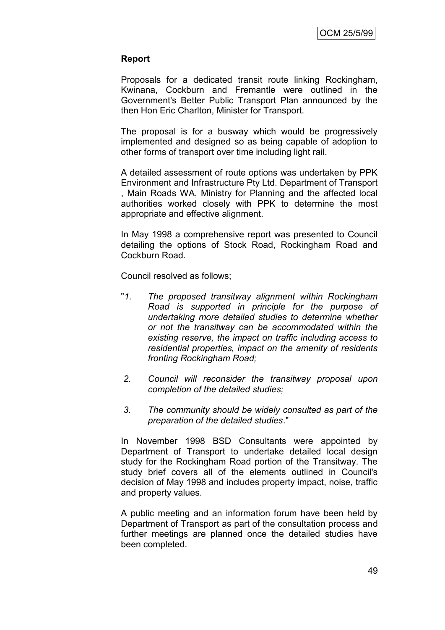#### **Report**

Proposals for a dedicated transit route linking Rockingham, Kwinana, Cockburn and Fremantle were outlined in the Government's Better Public Transport Plan announced by the then Hon Eric Charlton, Minister for Transport.

The proposal is for a busway which would be progressively implemented and designed so as being capable of adoption to other forms of transport over time including light rail.

A detailed assessment of route options was undertaken by PPK Environment and Infrastructure Pty Ltd. Department of Transport , Main Roads WA, Ministry for Planning and the affected local authorities worked closely with PPK to determine the most appropriate and effective alignment.

In May 1998 a comprehensive report was presented to Council detailing the options of Stock Road, Rockingham Road and Cockburn Road.

Council resolved as follows;

- "*1. The proposed transitway alignment within Rockingham Road is supported in principle for the purpose of undertaking more detailed studies to determine whether or not the transitway can be accommodated within the existing reserve, the impact on traffic including access to residential properties, impact on the amenity of residents fronting Rockingham Road;*
- *2. Council will reconsider the transitway proposal upon completion of the detailed studies;*
- *3. The community should be widely consulted as part of the preparation of the detailed studies*."

In November 1998 BSD Consultants were appointed by Department of Transport to undertake detailed local design study for the Rockingham Road portion of the Transitway. The study brief covers all of the elements outlined in Council's decision of May 1998 and includes property impact, noise, traffic and property values.

A public meeting and an information forum have been held by Department of Transport as part of the consultation process and further meetings are planned once the detailed studies have been completed.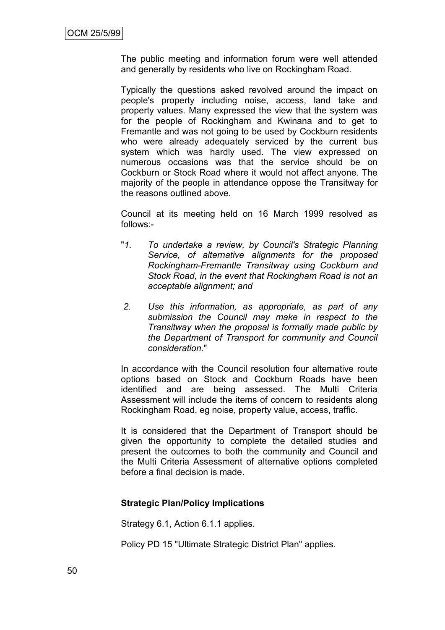The public meeting and information forum were well attended and generally by residents who live on Rockingham Road.

Typically the questions asked revolved around the impact on people's property including noise, access, land take and property values. Many expressed the view that the system was for the people of Rockingham and Kwinana and to get to Fremantle and was not going to be used by Cockburn residents who were already adequately serviced by the current bus system which was hardly used. The view expressed on numerous occasions was that the service should be on Cockburn or Stock Road where it would not affect anyone. The majority of the people in attendance oppose the Transitway for the reasons outlined above.

Council at its meeting held on 16 March 1999 resolved as follows:-

- "*1. To undertake a review, by Council's Strategic Planning Service, of alternative alignments for the proposed Rockingham-Fremantle Transitway using Cockburn and Stock Road, in the event that Rockingham Road is not an acceptable alignment; and*
- *2. Use this information, as appropriate, as part of any submission the Council may make in respect to the Transitway when the proposal is formally made public by the Department of Transport for community and Council consideration.*"

In accordance with the Council resolution four alternative route options based on Stock and Cockburn Roads have been identified and are being assessed. The Multi Criteria Assessment will include the items of concern to residents along Rockingham Road, eg noise, property value, access, traffic.

It is considered that the Department of Transport should be given the opportunity to complete the detailed studies and present the outcomes to both the community and Council and the Multi Criteria Assessment of alternative options completed before a final decision is made.

#### **Strategic Plan/Policy Implications**

Strategy 6.1, Action 6.1.1 applies.

Policy PD 15 "Ultimate Strategic District Plan" applies.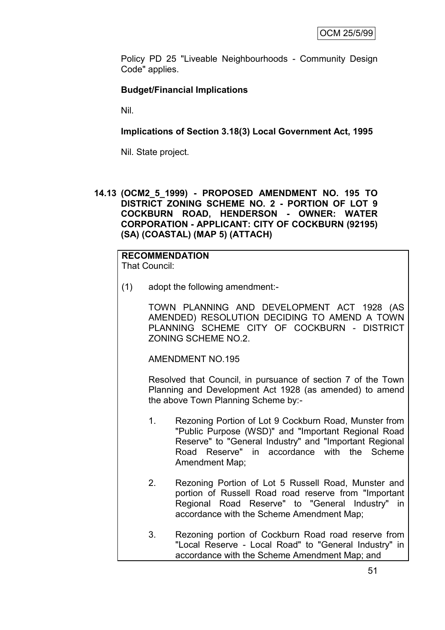Policy PD 25 "Liveable Neighbourhoods - Community Design Code" applies.

# **Budget/Financial Implications**

Nil.

**Implications of Section 3.18(3) Local Government Act, 1995**

Nil. State project.

**14.13 (OCM2\_5\_1999) - PROPOSED AMENDMENT NO. 195 TO DISTRICT ZONING SCHEME NO. 2 - PORTION OF LOT 9 COCKBURN ROAD, HENDERSON - OWNER: WATER CORPORATION - APPLICANT: CITY OF COCKBURN (92195) (SA) (COASTAL) (MAP 5) (ATTACH)**

# **RECOMMENDATION**

That Council:

(1) adopt the following amendment:-

TOWN PLANNING AND DEVELOPMENT ACT 1928 (AS AMENDED) RESOLUTION DECIDING TO AMEND A TOWN PLANNING SCHEME CITY OF COCKBURN - DISTRICT ZONING SCHEME NO.2.

AMENDMENT NO.195

Resolved that Council, in pursuance of section 7 of the Town Planning and Development Act 1928 (as amended) to amend the above Town Planning Scheme by:-

- 1. Rezoning Portion of Lot 9 Cockburn Road, Munster from "Public Purpose (WSD)" and "Important Regional Road Reserve" to "General Industry" and "Important Regional Road Reserve" in accordance with the Scheme Amendment Map;
- 2. Rezoning Portion of Lot 5 Russell Road, Munster and portion of Russell Road road reserve from "Important Regional Road Reserve" to "General Industry" in accordance with the Scheme Amendment Map;
- 3. Rezoning portion of Cockburn Road road reserve from "Local Reserve - Local Road" to "General Industry" in accordance with the Scheme Amendment Map; and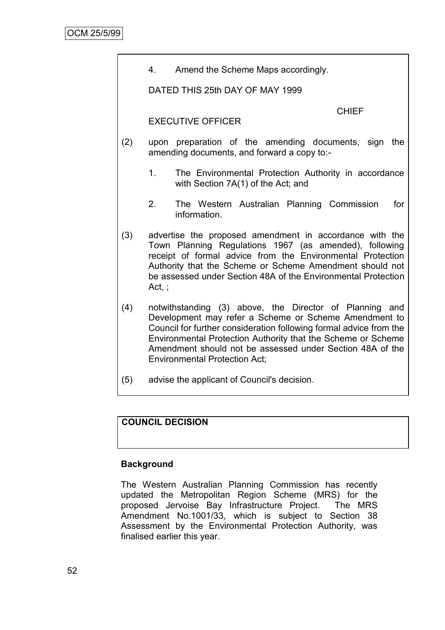4. Amend the Scheme Maps accordingly.

DATED THIS 25th DAY OF MAY 1999

CHIEF

#### EXECUTIVE OFFICER

- (2) upon preparation of the amending documents, sign the amending documents, and forward a copy to:-
	- 1. The Environmental Protection Authority in accordance with Section 7A(1) of the Act; and
	- 2. The Western Australian Planning Commission for information.
- (3) advertise the proposed amendment in accordance with the Town Planning Regulations 1967 (as amended), following receipt of formal advice from the Environmental Protection Authority that the Scheme or Scheme Amendment should not be assessed under Section 48A of the Environmental Protection Act, ;
- (4) notwithstanding (3) above, the Director of Planning and Development may refer a Scheme or Scheme Amendment to Council for further consideration following formal advice from the Environmental Protection Authority that the Scheme or Scheme Amendment should not be assessed under Section 48A of the Environmental Protection Act;
- (5) advise the applicant of Council's decision.

# **COUNCIL DECISION**

#### **Background**

The Western Australian Planning Commission has recently updated the Metropolitan Region Scheme (MRS) for the proposed Jervoise Bay Infrastructure Project. The MRS Amendment No.1001/33, which is subject to Section 38 Assessment by the Environmental Protection Authority, was finalised earlier this year.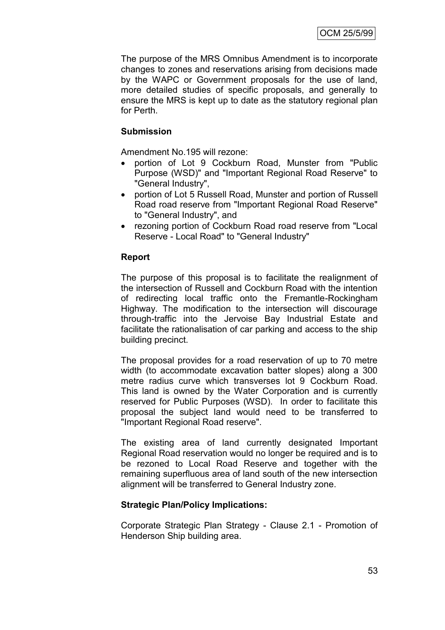The purpose of the MRS Omnibus Amendment is to incorporate changes to zones and reservations arising from decisions made by the WAPC or Government proposals for the use of land, more detailed studies of specific proposals, and generally to ensure the MRS is kept up to date as the statutory regional plan for Perth.

# **Submission**

Amendment No.195 will rezone:

- portion of Lot 9 Cockburn Road, Munster from "Public Purpose (WSD)" and "Important Regional Road Reserve" to "General Industry",
- portion of Lot 5 Russell Road, Munster and portion of Russell Road road reserve from "Important Regional Road Reserve" to "General Industry", and
- rezoning portion of Cockburn Road road reserve from "Local Reserve - Local Road" to "General Industry"

#### **Report**

The purpose of this proposal is to facilitate the realignment of the intersection of Russell and Cockburn Road with the intention of redirecting local traffic onto the Fremantle-Rockingham Highway. The modification to the intersection will discourage through-traffic into the Jervoise Bay Industrial Estate and facilitate the rationalisation of car parking and access to the ship building precinct.

The proposal provides for a road reservation of up to 70 metre width (to accommodate excavation batter slopes) along a 300 metre radius curve which transverses lot 9 Cockburn Road. This land is owned by the Water Corporation and is currently reserved for Public Purposes (WSD). In order to facilitate this proposal the subject land would need to be transferred to "Important Regional Road reserve".

The existing area of land currently designated Important Regional Road reservation would no longer be required and is to be rezoned to Local Road Reserve and together with the remaining superfluous area of land south of the new intersection alignment will be transferred to General Industry zone.

#### **Strategic Plan/Policy Implications:**

Corporate Strategic Plan Strategy - Clause 2.1 - Promotion of Henderson Ship building area.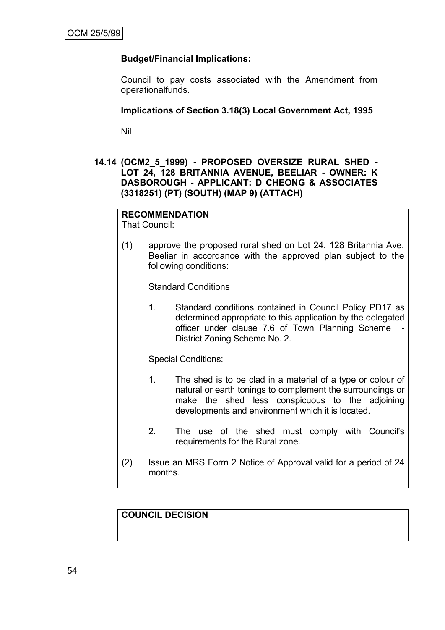# **Budget/Financial Implications:**

Council to pay costs associated with the Amendment from operationalfunds.

#### **Implications of Section 3.18(3) Local Government Act, 1995**

Nil

### **14.14 (OCM2\_5\_1999) - PROPOSED OVERSIZE RURAL SHED - LOT 24, 128 BRITANNIA AVENUE, BEELIAR - OWNER: K DASBOROUGH - APPLICANT: D CHEONG & ASSOCIATES (3318251) (PT) (SOUTH) (MAP 9) (ATTACH)**

#### **RECOMMENDATION**

That Council:

(1) approve the proposed rural shed on Lot 24, 128 Britannia Ave, Beeliar in accordance with the approved plan subject to the following conditions:

Standard Conditions

1. Standard conditions contained in Council Policy PD17 as determined appropriate to this application by the delegated officer under clause 7.6 of Town Planning Scheme District Zoning Scheme No. 2.

Special Conditions:

- 1. The shed is to be clad in a material of a type or colour of natural or earth tonings to complement the surroundings or make the shed less conspicuous to the adjoining developments and environment which it is located.
- 2. The use of the shed must comply with Council's requirements for the Rural zone.
- (2) Issue an MRS Form 2 Notice of Approval valid for a period of 24 months.

# **COUNCIL DECISION**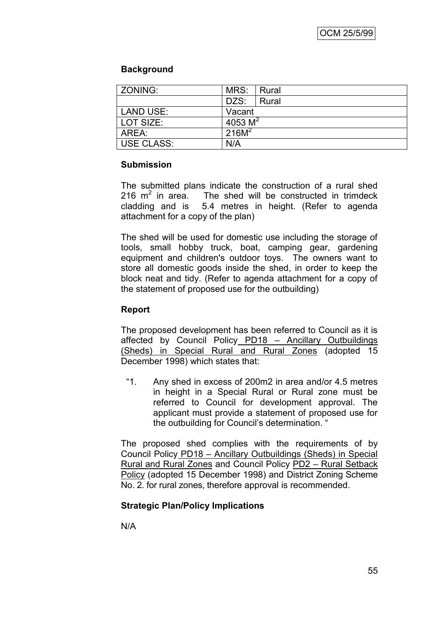# **Background**

| ZONING:          | MRS:              | Rural |
|------------------|-------------------|-------|
|                  | DZS:              | Rural |
| <b>LAND USE:</b> | Vacant            |       |
| LOT SIZE:        | 4053 $M^2$        |       |
| AREA:            | 216M <sup>2</sup> |       |
| USE CLASS:       | N/A               |       |

#### **Submission**

The submitted plans indicate the construction of a rural shed 216  $m^2$  in area. The shed will be constructed in trimdeck cladding and is 5.4 metres in height. (Refer to agenda attachment for a copy of the plan)

The shed will be used for domestic use including the storage of tools, small hobby truck, boat, camping gear, gardening equipment and children's outdoor toys. The owners want to store all domestic goods inside the shed, in order to keep the block neat and tidy. (Refer to agenda attachment for a copy of the statement of proposed use for the outbuilding)

# **Report**

The proposed development has been referred to Council as it is affected by Council Policy PD18 – Ancillary Outbuildings (Sheds) in Special Rural and Rural Zones (adopted 15 December 1998) which states that:

"1. Any shed in excess of 200m2 in area and/or 4.5 metres in height in a Special Rural or Rural zone must be referred to Council for development approval. The applicant must provide a statement of proposed use for the outbuilding for Council's determination. "

The proposed shed complies with the requirements of by Council Policy PD18 – Ancillary Outbuildings (Sheds) in Special Rural and Rural Zones and Council Policy PD2 – Rural Setback Policy (adopted 15 December 1998) and District Zoning Scheme No. 2. for rural zones, therefore approval is recommended.

# **Strategic Plan/Policy Implications**

N/A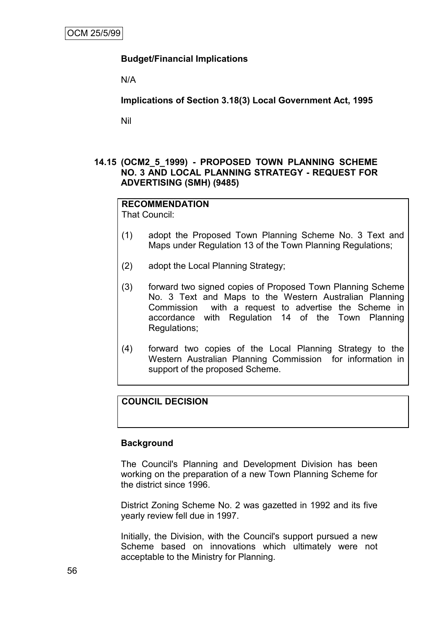# **Budget/Financial Implications**

N/A

**Implications of Section 3.18(3) Local Government Act, 1995**

Nil

#### **14.15 (OCM2\_5\_1999) - PROPOSED TOWN PLANNING SCHEME NO. 3 AND LOCAL PLANNING STRATEGY - REQUEST FOR ADVERTISING (SMH) (9485)**

# **RECOMMENDATION**

That Council:

- (1) adopt the Proposed Town Planning Scheme No. 3 Text and Maps under Regulation 13 of the Town Planning Regulations;
- (2) adopt the Local Planning Strategy;
- (3) forward two signed copies of Proposed Town Planning Scheme No. 3 Text and Maps to the Western Australian Planning Commission with a request to advertise the Scheme in accordance with Regulation 14 of the Town Planning Regulations;
- (4) forward two copies of the Local Planning Strategy to the Western Australian Planning Commission for information in support of the proposed Scheme.

# **COUNCIL DECISION**

#### **Background**

The Council's Planning and Development Division has been working on the preparation of a new Town Planning Scheme for the district since 1996.

District Zoning Scheme No. 2 was gazetted in 1992 and its five yearly review fell due in 1997.

Initially, the Division, with the Council's support pursued a new Scheme based on innovations which ultimately were not acceptable to the Ministry for Planning.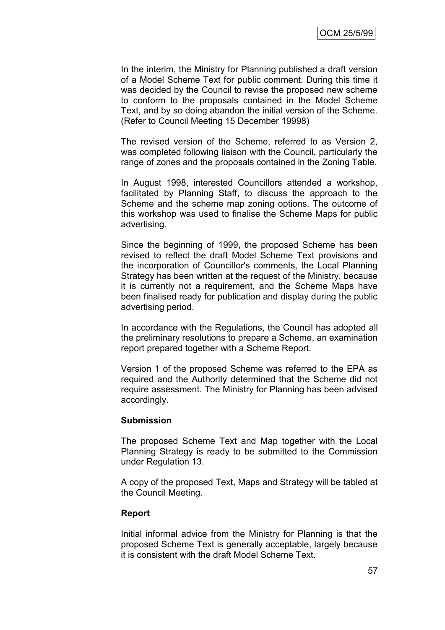In the interim, the Ministry for Planning published a draft version of a Model Scheme Text for public comment. During this time it was decided by the Council to revise the proposed new scheme to conform to the proposals contained in the Model Scheme Text, and by so doing abandon the initial version of the Scheme. (Refer to Council Meeting 15 December 19998)

The revised version of the Scheme, referred to as Version 2, was completed following liaison with the Council, particularly the range of zones and the proposals contained in the Zoning Table.

In August 1998, interested Councillors attended a workshop, facilitated by Planning Staff, to discuss the approach to the Scheme and the scheme map zoning options. The outcome of this workshop was used to finalise the Scheme Maps for public advertising.

Since the beginning of 1999, the proposed Scheme has been revised to reflect the draft Model Scheme Text provisions and the incorporation of Councillor's comments, the Local Planning Strategy has been written at the request of the Ministry, because it is currently not a requirement, and the Scheme Maps have been finalised ready for publication and display during the public advertising period.

In accordance with the Regulations, the Council has adopted all the preliminary resolutions to prepare a Scheme, an examination report prepared together with a Scheme Report.

Version 1 of the proposed Scheme was referred to the EPA as required and the Authority determined that the Scheme did not require assessment. The Ministry for Planning has been advised accordingly.

#### **Submission**

The proposed Scheme Text and Map together with the Local Planning Strategy is ready to be submitted to the Commission under Regulation 13.

A copy of the proposed Text, Maps and Strategy will be tabled at the Council Meeting.

#### **Report**

Initial informal advice from the Ministry for Planning is that the proposed Scheme Text is generally acceptable, largely because it is consistent with the draft Model Scheme Text.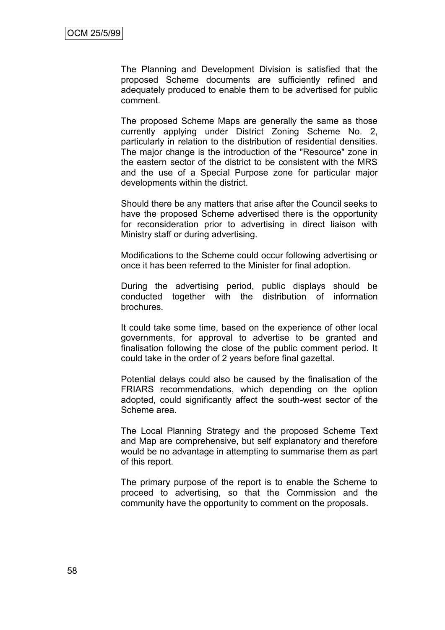The Planning and Development Division is satisfied that the proposed Scheme documents are sufficiently refined and adequately produced to enable them to be advertised for public comment.

The proposed Scheme Maps are generally the same as those currently applying under District Zoning Scheme No. 2, particularly in relation to the distribution of residential densities. The major change is the introduction of the "Resource" zone in the eastern sector of the district to be consistent with the MRS and the use of a Special Purpose zone for particular major developments within the district.

Should there be any matters that arise after the Council seeks to have the proposed Scheme advertised there is the opportunity for reconsideration prior to advertising in direct liaison with Ministry staff or during advertising.

Modifications to the Scheme could occur following advertising or once it has been referred to the Minister for final adoption.

During the advertising period, public displays should be conducted together with the distribution of information brochures.

It could take some time, based on the experience of other local governments, for approval to advertise to be granted and finalisation following the close of the public comment period. It could take in the order of 2 years before final gazettal.

Potential delays could also be caused by the finalisation of the FRIARS recommendations, which depending on the option adopted, could significantly affect the south-west sector of the Scheme area.

The Local Planning Strategy and the proposed Scheme Text and Map are comprehensive, but self explanatory and therefore would be no advantage in attempting to summarise them as part of this report.

The primary purpose of the report is to enable the Scheme to proceed to advertising, so that the Commission and the community have the opportunity to comment on the proposals.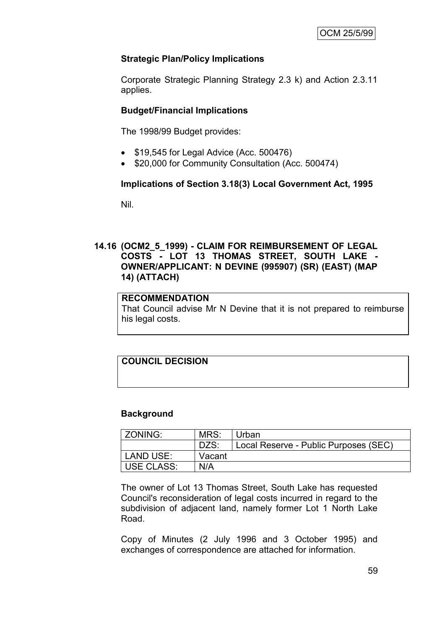# **Strategic Plan/Policy Implications**

Corporate Strategic Planning Strategy 2.3 k) and Action 2.3.11 applies.

### **Budget/Financial Implications**

The 1998/99 Budget provides:

- \$19,545 for Legal Advice (Acc. 500476)
- \$20,000 for Community Consultation (Acc. 500474)

#### **Implications of Section 3.18(3) Local Government Act, 1995**

Nil.

#### **14.16 (OCM2\_5\_1999) - CLAIM FOR REIMBURSEMENT OF LEGAL COSTS - LOT 13 THOMAS STREET, SOUTH LAKE - OWNER/APPLICANT: N DEVINE (995907) (SR) (EAST) (MAP 14) (ATTACH)**

#### **RECOMMENDATION**

That Council advise Mr N Devine that it is not prepared to reimburse his legal costs.

# **COUNCIL DECISION**

#### **Background**

| ZONING:    | MRS:   | Urban                                 |
|------------|--------|---------------------------------------|
|            | DZS:   | Local Reserve - Public Purposes (SEC) |
| LAND USE:  | Vacant |                                       |
| USE CLASS: | N/A    |                                       |

The owner of Lot 13 Thomas Street, South Lake has requested Council's reconsideration of legal costs incurred in regard to the subdivision of adjacent land, namely former Lot 1 North Lake Road.

Copy of Minutes (2 July 1996 and 3 October 1995) and exchanges of correspondence are attached for information.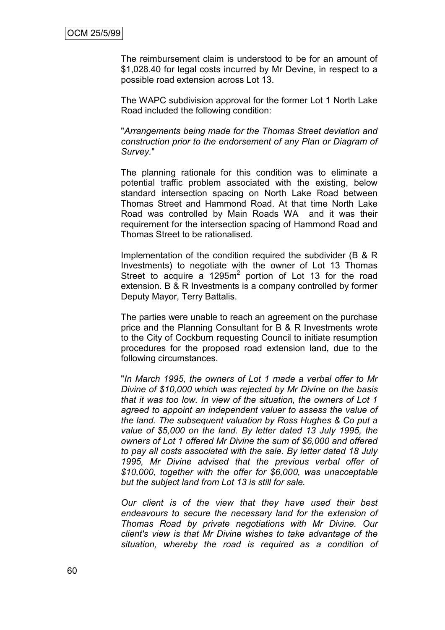The reimbursement claim is understood to be for an amount of \$1,028.40 for legal costs incurred by Mr Devine, in respect to a possible road extension across Lot 13.

The WAPC subdivision approval for the former Lot 1 North Lake Road included the following condition:

"*Arrangements being made for the Thomas Street deviation and construction prior to the endorsement of any Plan or Diagram of Survey.*"

The planning rationale for this condition was to eliminate a potential traffic problem associated with the existing, below standard intersection spacing on North Lake Road between Thomas Street and Hammond Road. At that time North Lake Road was controlled by Main Roads WA and it was their requirement for the intersection spacing of Hammond Road and Thomas Street to be rationalised.

Implementation of the condition required the subdivider (B & R Investments) to negotiate with the owner of Lot 13 Thomas Street to acquire a  $1295m^2$  portion of Lot 13 for the road extension. B & R Investments is a company controlled by former Deputy Mayor, Terry Battalis.

The parties were unable to reach an agreement on the purchase price and the Planning Consultant for B & R Investments wrote to the City of Cockburn requesting Council to initiate resumption procedures for the proposed road extension land, due to the following circumstances.

"*In March 1995, the owners of Lot 1 made a verbal offer to Mr Divine of \$10,000 which was rejected by Mr Divine on the basis that it was too low. In view of the situation, the owners of Lot 1 agreed to appoint an independent valuer to assess the value of the land. The subsequent valuation by Ross Hughes & Co put a value of \$5,000 on the land. By letter dated 13 July 1995, the owners of Lot 1 offered Mr Divine the sum of \$6,000 and offered to pay all costs associated with the sale. By letter dated 18 July 1995, Mr Divine advised that the previous verbal offer of \$10,000, together with the offer for \$6,000, was unacceptable but the subject land from Lot 13 is still for sale.*

*Our client is of the view that they have used their best endeavours to secure the necessary land for the extension of Thomas Road by private negotiations with Mr Divine. Our client's view is that Mr Divine wishes to take advantage of the situation, whereby the road is required as a condition of*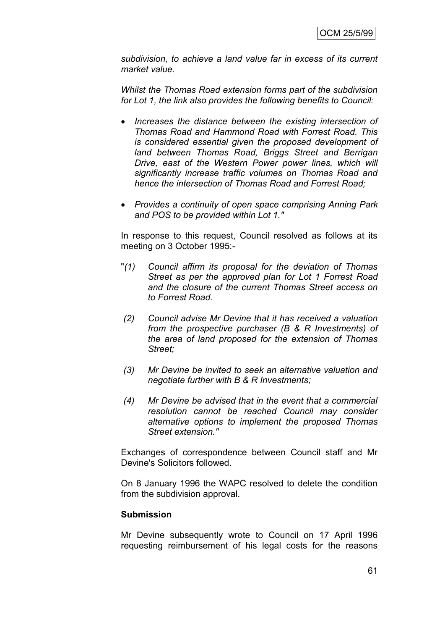*subdivision, to achieve a land value far in excess of its current market value.*

*Whilst the Thomas Road extension forms part of the subdivision for Lot 1, the link also provides the following benefits to Council:*

- *Increases the distance between the existing intersection of Thomas Road and Hammond Road with Forrest Road. This is considered essential given the proposed development of land between Thomas Road, Briggs Street and Berrigan Drive, east of the Western Power power lines, which will significantly increase traffic volumes on Thomas Road and hence the intersection of Thomas Road and Forrest Road;*
- *Provides a continuity of open space comprising Anning Park and POS to be provided within Lot 1."*

In response to this request, Council resolved as follows at its meeting on 3 October 1995:-

- "*(1) Council affirm its proposal for the deviation of Thomas Street as per the approved plan for Lot 1 Forrest Road and the closure of the current Thomas Street access on to Forrest Road.*
- *(2) Council advise Mr Devine that it has received a valuation from the prospective purchaser (B & R Investments) of the area of land proposed for the extension of Thomas Street;*
- *(3) Mr Devine be invited to seek an alternative valuation and negotiate further with B & R Investments;*
- *(4) Mr Devine be advised that in the event that a commercial resolution cannot be reached Council may consider alternative options to implement the proposed Thomas Street extension."*

Exchanges of correspondence between Council staff and Mr Devine's Solicitors followed.

On 8 January 1996 the WAPC resolved to delete the condition from the subdivision approval.

#### **Submission**

Mr Devine subsequently wrote to Council on 17 April 1996 requesting reimbursement of his legal costs for the reasons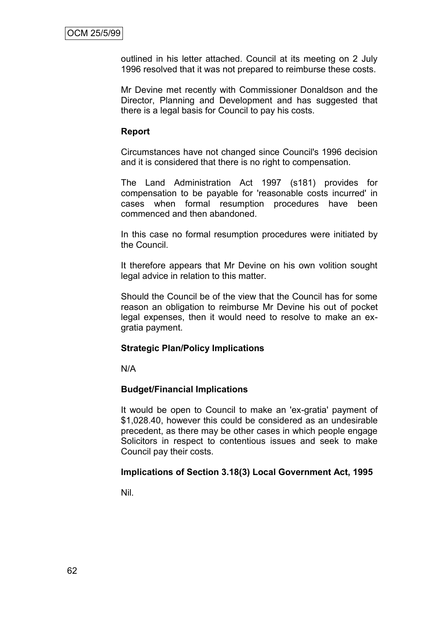outlined in his letter attached. Council at its meeting on 2 July 1996 resolved that it was not prepared to reimburse these costs.

Mr Devine met recently with Commissioner Donaldson and the Director, Planning and Development and has suggested that there is a legal basis for Council to pay his costs.

#### **Report**

Circumstances have not changed since Council's 1996 decision and it is considered that there is no right to compensation.

The Land Administration Act 1997 (s181) provides for compensation to be payable for 'reasonable costs incurred' in cases when formal resumption procedures have been commenced and then abandoned.

In this case no formal resumption procedures were initiated by the Council.

It therefore appears that Mr Devine on his own volition sought legal advice in relation to this matter.

Should the Council be of the view that the Council has for some reason an obligation to reimburse Mr Devine his out of pocket legal expenses, then it would need to resolve to make an exgratia payment.

#### **Strategic Plan/Policy Implications**

N/A

#### **Budget/Financial Implications**

It would be open to Council to make an 'ex-gratia' payment of \$1,028.40, however this could be considered as an undesirable precedent, as there may be other cases in which people engage Solicitors in respect to contentious issues and seek to make Council pay their costs.

#### **Implications of Section 3.18(3) Local Government Act, 1995**

Nil.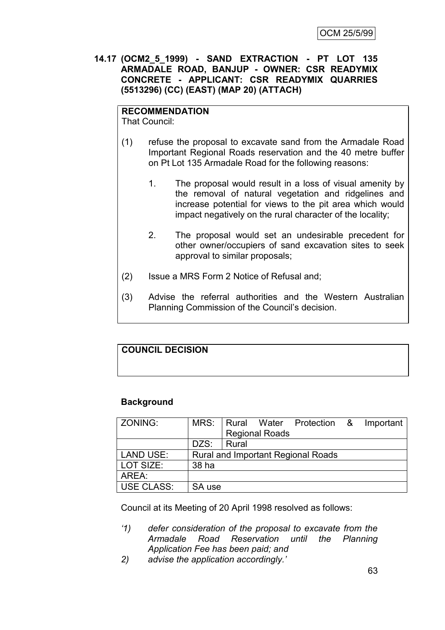#### **14.17 (OCM2\_5\_1999) - SAND EXTRACTION - PT LOT 135 ARMADALE ROAD, BANJUP - OWNER: CSR READYMIX CONCRETE - APPLICANT: CSR READYMIX QUARRIES (5513296) (CC) (EAST) (MAP 20) (ATTACH)**

# **RECOMMENDATION**

That Council:

- (1) refuse the proposal to excavate sand from the Armadale Road Important Regional Roads reservation and the 40 metre buffer on Pt Lot 135 Armadale Road for the following reasons:
	- 1. The proposal would result in a loss of visual amenity by the removal of natural vegetation and ridgelines and increase potential for views to the pit area which would impact negatively on the rural character of the locality;
	- 2. The proposal would set an undesirable precedent for other owner/occupiers of sand excavation sites to seek approval to similar proposals;
- (2) Issue a MRS Form 2 Notice of Refusal and;
- (3) Advise the referral authorities and the Western Australian Planning Commission of the Council's decision.

#### **COUNCIL DECISION**

# **Background**

| <b>ZONING:</b> |        | MRS: Rural Water Protection & Important   |
|----------------|--------|-------------------------------------------|
|                |        | <b>Regional Roads</b>                     |
|                | DZS:   | Rural                                     |
| LAND USE:      |        | <b>Rural and Important Regional Roads</b> |
| LOT SIZE:      | 38 ha  |                                           |
| AREA:          |        |                                           |
| USE CLASS:     | SA use |                                           |

Council at its Meeting of 20 April 1998 resolved as follows:

- *'1) defer consideration of the proposal to excavate from the Armadale Road Reservation until the Planning Application Fee has been paid; and*
- *2) advise the application accordingly.'*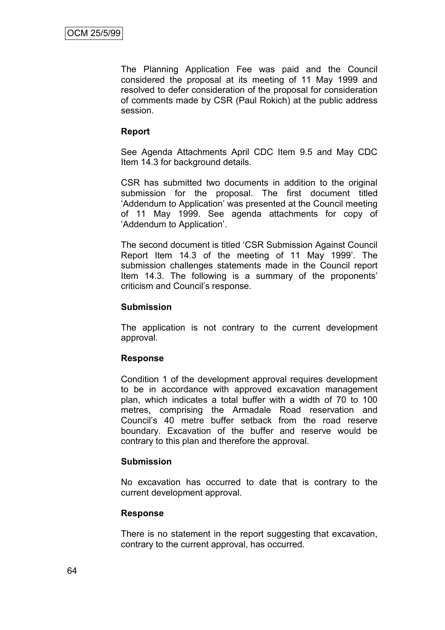The Planning Application Fee was paid and the Council considered the proposal at its meeting of 11 May 1999 and resolved to defer consideration of the proposal for consideration of comments made by CSR (Paul Rokich) at the public address session.

#### **Report**

See Agenda Attachments April CDC Item 9.5 and May CDC Item 14.3 for background details.

CSR has submitted two documents in addition to the original submission for the proposal. The first document titled 'Addendum to Application' was presented at the Council meeting of 11 May 1999. See agenda attachments for copy of 'Addendum to Application'.

The second document is titled 'CSR Submission Against Council Report Item 14.3 of the meeting of 11 May 1999'. The submission challenges statements made in the Council report Item 14.3. The following is a summary of the proponents' criticism and Council's response.

#### **Submission**

The application is not contrary to the current development approval.

#### **Response**

Condition 1 of the development approval requires development to be in accordance with approved excavation management plan, which indicates a total buffer with a width of 70 to 100 metres, comprising the Armadale Road reservation and Council's 40 metre buffer setback from the road reserve boundary. Excavation of the buffer and reserve would be contrary to this plan and therefore the approval.

#### **Submission**

No excavation has occurred to date that is contrary to the current development approval.

#### **Response**

There is no statement in the report suggesting that excavation, contrary to the current approval, has occurred.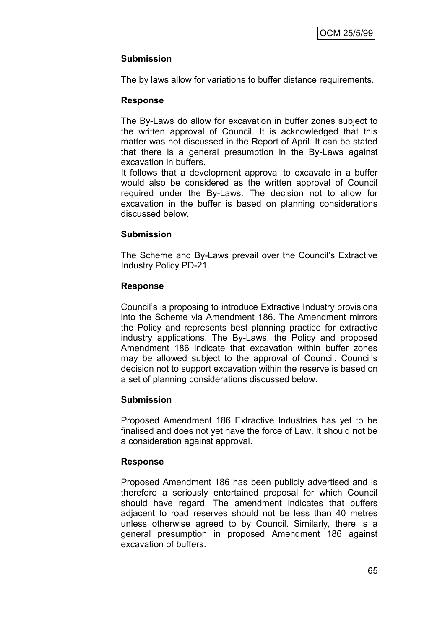# **Submission**

The by laws allow for variations to buffer distance requirements.

#### **Response**

The By-Laws do allow for excavation in buffer zones subject to the written approval of Council. It is acknowledged that this matter was not discussed in the Report of April. It can be stated that there is a general presumption in the By-Laws against excavation in buffers.

It follows that a development approval to excavate in a buffer would also be considered as the written approval of Council required under the By-Laws. The decision not to allow for excavation in the buffer is based on planning considerations discussed below.

#### **Submission**

The Scheme and By-Laws prevail over the Council's Extractive Industry Policy PD-21.

#### **Response**

Council's is proposing to introduce Extractive Industry provisions into the Scheme via Amendment 186. The Amendment mirrors the Policy and represents best planning practice for extractive industry applications. The By-Laws, the Policy and proposed Amendment 186 indicate that excavation within buffer zones may be allowed subject to the approval of Council. Council's decision not to support excavation within the reserve is based on a set of planning considerations discussed below.

#### **Submission**

Proposed Amendment 186 Extractive Industries has yet to be finalised and does not yet have the force of Law. It should not be a consideration against approval.

#### **Response**

Proposed Amendment 186 has been publicly advertised and is therefore a seriously entertained proposal for which Council should have regard. The amendment indicates that buffers adjacent to road reserves should not be less than 40 metres unless otherwise agreed to by Council. Similarly, there is a general presumption in proposed Amendment 186 against excavation of buffers.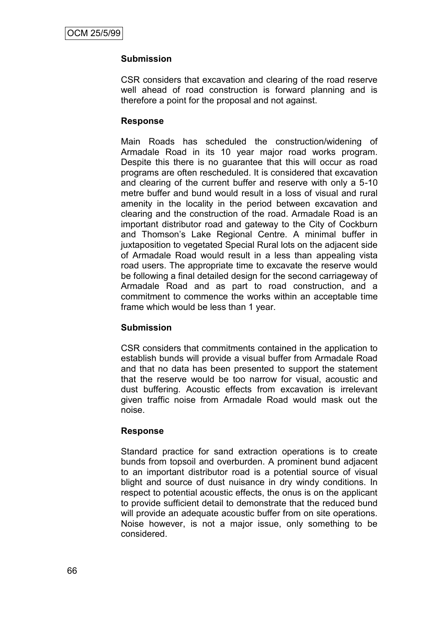# **Submission**

CSR considers that excavation and clearing of the road reserve well ahead of road construction is forward planning and is therefore a point for the proposal and not against.

#### **Response**

Main Roads has scheduled the construction/widening of Armadale Road in its 10 year major road works program. Despite this there is no guarantee that this will occur as road programs are often rescheduled. It is considered that excavation and clearing of the current buffer and reserve with only a 5-10 metre buffer and bund would result in a loss of visual and rural amenity in the locality in the period between excavation and clearing and the construction of the road. Armadale Road is an important distributor road and gateway to the City of Cockburn and Thomson's Lake Regional Centre. A minimal buffer in juxtaposition to vegetated Special Rural lots on the adjacent side of Armadale Road would result in a less than appealing vista road users. The appropriate time to excavate the reserve would be following a final detailed design for the second carriageway of Armadale Road and as part to road construction, and a commitment to commence the works within an acceptable time frame which would be less than 1 year.

#### **Submission**

CSR considers that commitments contained in the application to establish bunds will provide a visual buffer from Armadale Road and that no data has been presented to support the statement that the reserve would be too narrow for visual, acoustic and dust buffering. Acoustic effects from excavation is irrelevant given traffic noise from Armadale Road would mask out the noise.

#### **Response**

Standard practice for sand extraction operations is to create bunds from topsoil and overburden. A prominent bund adjacent to an important distributor road is a potential source of visual blight and source of dust nuisance in dry windy conditions. In respect to potential acoustic effects, the onus is on the applicant to provide sufficient detail to demonstrate that the reduced bund will provide an adequate acoustic buffer from on site operations. Noise however, is not a major issue, only something to be considered.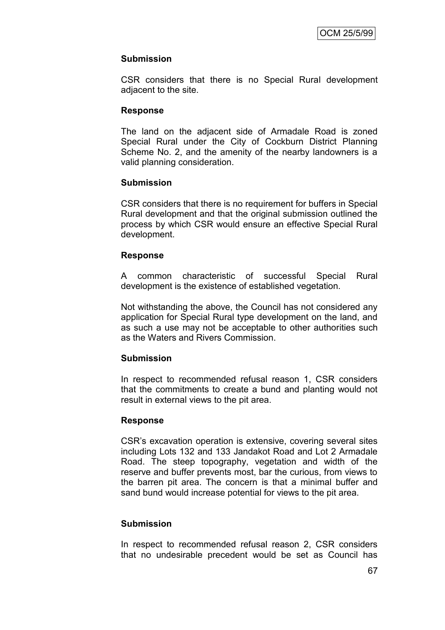## **Submission**

CSR considers that there is no Special Rural development adjacent to the site.

## **Response**

The land on the adjacent side of Armadale Road is zoned Special Rural under the City of Cockburn District Planning Scheme No. 2, and the amenity of the nearby landowners is a valid planning consideration.

## **Submission**

CSR considers that there is no requirement for buffers in Special Rural development and that the original submission outlined the process by which CSR would ensure an effective Special Rural development.

### **Response**

A common characteristic of successful Special Rural development is the existence of established vegetation.

Not withstanding the above, the Council has not considered any application for Special Rural type development on the land, and as such a use may not be acceptable to other authorities such as the Waters and Rivers Commission.

### **Submission**

In respect to recommended refusal reason 1, CSR considers that the commitments to create a bund and planting would not result in external views to the pit area.

### **Response**

CSR's excavation operation is extensive, covering several sites including Lots 132 and 133 Jandakot Road and Lot 2 Armadale Road. The steep topography, vegetation and width of the reserve and buffer prevents most, bar the curious, from views to the barren pit area. The concern is that a minimal buffer and sand bund would increase potential for views to the pit area.

### **Submission**

In respect to recommended refusal reason 2, CSR considers that no undesirable precedent would be set as Council has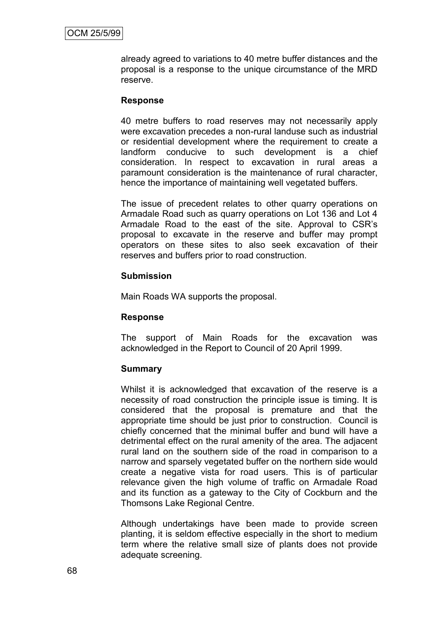already agreed to variations to 40 metre buffer distances and the proposal is a response to the unique circumstance of the MRD reserve.

#### **Response**

40 metre buffers to road reserves may not necessarily apply were excavation precedes a non-rural landuse such as industrial or residential development where the requirement to create a landform conducive to such development is a chief consideration. In respect to excavation in rural areas a paramount consideration is the maintenance of rural character, hence the importance of maintaining well vegetated buffers.

The issue of precedent relates to other quarry operations on Armadale Road such as quarry operations on Lot 136 and Lot 4 Armadale Road to the east of the site. Approval to CSR's proposal to excavate in the reserve and buffer may prompt operators on these sites to also seek excavation of their reserves and buffers prior to road construction.

#### **Submission**

Main Roads WA supports the proposal.

#### **Response**

The support of Main Roads for the excavation was acknowledged in the Report to Council of 20 April 1999.

#### **Summary**

Whilst it is acknowledged that excavation of the reserve is a necessity of road construction the principle issue is timing. It is considered that the proposal is premature and that the appropriate time should be just prior to construction. Council is chiefly concerned that the minimal buffer and bund will have a detrimental effect on the rural amenity of the area. The adjacent rural land on the southern side of the road in comparison to a narrow and sparsely vegetated buffer on the northern side would create a negative vista for road users. This is of particular relevance given the high volume of traffic on Armadale Road and its function as a gateway to the City of Cockburn and the Thomsons Lake Regional Centre.

Although undertakings have been made to provide screen planting, it is seldom effective especially in the short to medium term where the relative small size of plants does not provide adequate screening.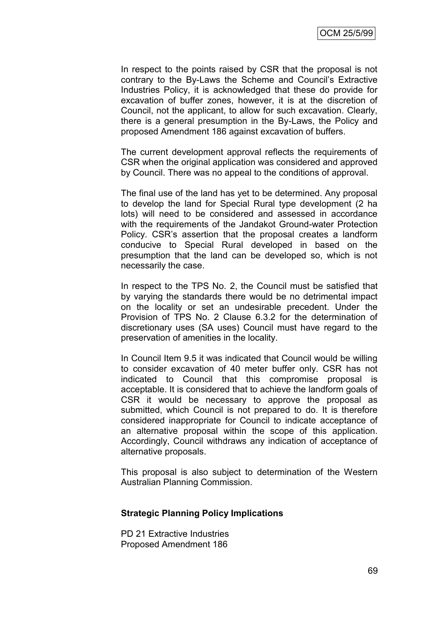In respect to the points raised by CSR that the proposal is not contrary to the By-Laws the Scheme and Council's Extractive Industries Policy, it is acknowledged that these do provide for excavation of buffer zones, however, it is at the discretion of Council, not the applicant, to allow for such excavation. Clearly, there is a general presumption in the By-Laws, the Policy and proposed Amendment 186 against excavation of buffers.

The current development approval reflects the requirements of CSR when the original application was considered and approved by Council. There was no appeal to the conditions of approval.

The final use of the land has yet to be determined. Any proposal to develop the land for Special Rural type development (2 ha lots) will need to be considered and assessed in accordance with the requirements of the Jandakot Ground-water Protection Policy. CSR's assertion that the proposal creates a landform conducive to Special Rural developed in based on the presumption that the land can be developed so, which is not necessarily the case.

In respect to the TPS No. 2, the Council must be satisfied that by varying the standards there would be no detrimental impact on the locality or set an undesirable precedent. Under the Provision of TPS No. 2 Clause 6.3.2 for the determination of discretionary uses (SA uses) Council must have regard to the preservation of amenities in the locality.

In Council Item 9.5 it was indicated that Council would be willing to consider excavation of 40 meter buffer only. CSR has not indicated to Council that this compromise proposal is acceptable. It is considered that to achieve the landform goals of CSR it would be necessary to approve the proposal as submitted, which Council is not prepared to do. It is therefore considered inappropriate for Council to indicate acceptance of an alternative proposal within the scope of this application. Accordingly, Council withdraws any indication of acceptance of alternative proposals.

This proposal is also subject to determination of the Western Australian Planning Commission.

#### **Strategic Planning Policy Implications**

PD 21 Extractive Industries Proposed Amendment 186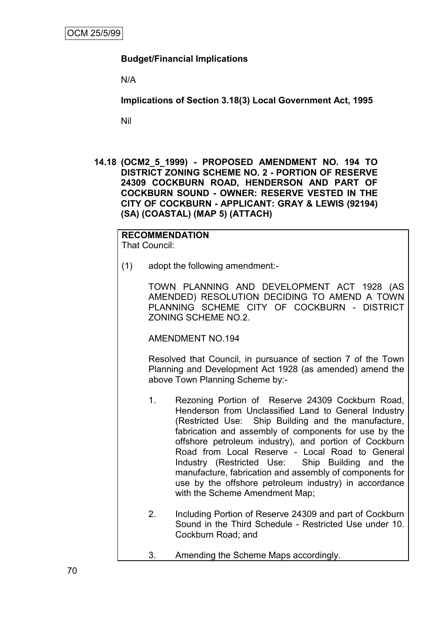## **Budget/Financial Implications**

N/A

**Implications of Section 3.18(3) Local Government Act, 1995**

Nil

**14.18 (OCM2\_5\_1999) - PROPOSED AMENDMENT NO. 194 TO DISTRICT ZONING SCHEME NO. 2 - PORTION OF RESERVE 24309 COCKBURN ROAD, HENDERSON AND PART OF COCKBURN SOUND - OWNER: RESERVE VESTED IN THE CITY OF COCKBURN - APPLICANT: GRAY & LEWIS (92194) (SA) (COASTAL) (MAP 5) (ATTACH)**

#### **RECOMMENDATION** That Council:

(1) adopt the following amendment:-

TOWN PLANNING AND DEVELOPMENT ACT 1928 (AS AMENDED) RESOLUTION DECIDING TO AMEND A TOWN PLANNING SCHEME CITY OF COCKBURN - DISTRICT ZONING SCHEME NO.2.

AMENDMENT NO.194

Resolved that Council, in pursuance of section 7 of the Town Planning and Development Act 1928 (as amended) amend the above Town Planning Scheme by:-

- 1. Rezoning Portion of Reserve 24309 Cockburn Road, Henderson from Unclassified Land to General Industry (Restricted Use: Ship Building and the manufacture, fabrication and assembly of components for use by the offshore petroleum industry), and portion of Cockburn Road from Local Reserve - Local Road to General Industry (Restricted Use: Ship Building and the manufacture, fabrication and assembly of components for use by the offshore petroleum industry) in accordance with the Scheme Amendment Map;
- 2. Including Portion of Reserve 24309 and part of Cockburn Sound in the Third Schedule - Restricted Use under 10. Cockburn Road; and
- 3. Amending the Scheme Maps accordingly.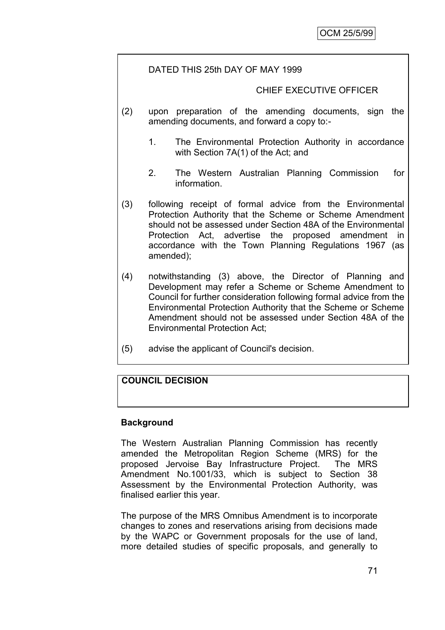# DATED THIS 25th DAY OF MAY 1999

### CHIEF EXECUTIVE OFFICER

- (2) upon preparation of the amending documents, sign the amending documents, and forward a copy to:-
	- 1. The Environmental Protection Authority in accordance with Section 7A(1) of the Act; and
	- 2. The Western Australian Planning Commission for information.
- (3) following receipt of formal advice from the Environmental Protection Authority that the Scheme or Scheme Amendment should not be assessed under Section 48A of the Environmental Protection Act, advertise the proposed amendment in accordance with the Town Planning Regulations 1967 (as amended);
- (4) notwithstanding (3) above, the Director of Planning and Development may refer a Scheme or Scheme Amendment to Council for further consideration following formal advice from the Environmental Protection Authority that the Scheme or Scheme Amendment should not be assessed under Section 48A of the Environmental Protection Act;
- (5) advise the applicant of Council's decision.

# **COUNCIL DECISION**

### **Background**

The Western Australian Planning Commission has recently amended the Metropolitan Region Scheme (MRS) for the proposed Jervoise Bay Infrastructure Project. The MRS Amendment No.1001/33, which is subject to Section 38 Assessment by the Environmental Protection Authority, was finalised earlier this year.

The purpose of the MRS Omnibus Amendment is to incorporate changes to zones and reservations arising from decisions made by the WAPC or Government proposals for the use of land, more detailed studies of specific proposals, and generally to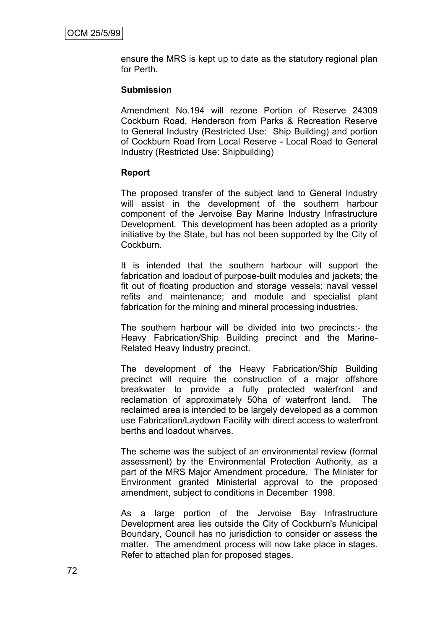ensure the MRS is kept up to date as the statutory regional plan for Perth.

### **Submission**

Amendment No.194 will rezone Portion of Reserve 24309 Cockburn Road, Henderson from Parks & Recreation Reserve to General Industry (Restricted Use: Ship Building) and portion of Cockburn Road from Local Reserve - Local Road to General Industry (Restricted Use: Shipbuilding)

#### **Report**

The proposed transfer of the subject land to General Industry will assist in the development of the southern harbour component of the Jervoise Bay Marine Industry Infrastructure Development. This development has been adopted as a priority initiative by the State, but has not been supported by the City of Cockburn.

It is intended that the southern harbour will support the fabrication and loadout of purpose-built modules and jackets; the fit out of floating production and storage vessels; naval vessel refits and maintenance; and module and specialist plant fabrication for the mining and mineral processing industries.

The southern harbour will be divided into two precincts:- the Heavy Fabrication/Ship Building precinct and the Marine-Related Heavy Industry precinct.

The development of the Heavy Fabrication/Ship Building precinct will require the construction of a major offshore breakwater to provide a fully protected waterfront and reclamation of approximately 50ha of waterfront land. The reclaimed area is intended to be largely developed as a common use Fabrication/Laydown Facility with direct access to waterfront berths and loadout wharves.

The scheme was the subject of an environmental review (formal assessment) by the Environmental Protection Authority, as a part of the MRS Major Amendment procedure. The Minister for Environment granted Ministerial approval to the proposed amendment, subject to conditions in December 1998.

As a large portion of the Jervoise Bay Infrastructure Development area lies outside the City of Cockburn's Municipal Boundary, Council has no jurisdiction to consider or assess the matter. The amendment process will now take place in stages. Refer to attached plan for proposed stages.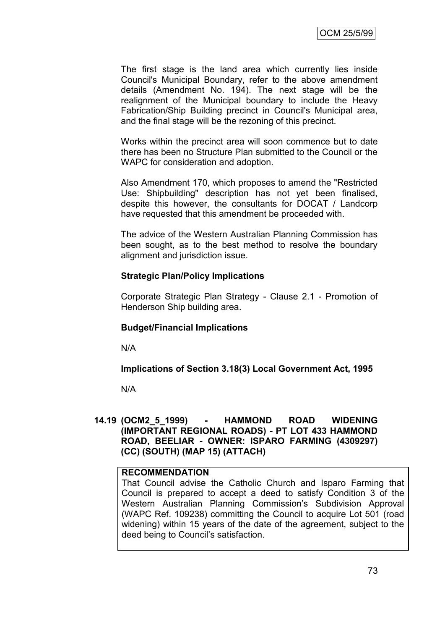The first stage is the land area which currently lies inside Council's Municipal Boundary, refer to the above amendment details (Amendment No. 194). The next stage will be the realignment of the Municipal boundary to include the Heavy Fabrication/Ship Building precinct in Council's Municipal area, and the final stage will be the rezoning of this precinct.

Works within the precinct area will soon commence but to date there has been no Structure Plan submitted to the Council or the WAPC for consideration and adoption.

Also Amendment 170, which proposes to amend the "Restricted Use: Shipbuilding" description has not yet been finalised, despite this however, the consultants for DOCAT / Landcorp have requested that this amendment be proceeded with.

The advice of the Western Australian Planning Commission has been sought, as to the best method to resolve the boundary alignment and jurisdiction issue.

#### **Strategic Plan/Policy Implications**

Corporate Strategic Plan Strategy - Clause 2.1 - Promotion of Henderson Ship building area.

### **Budget/Financial Implications**

N/A

### **Implications of Section 3.18(3) Local Government Act, 1995**

N/A

#### **14.19 (OCM2\_5\_1999) - HAMMOND ROAD WIDENING (IMPORTANT REGIONAL ROADS) - PT LOT 433 HAMMOND ROAD, BEELIAR - OWNER: ISPARO FARMING (4309297) (CC) (SOUTH) (MAP 15) (ATTACH)**

### **RECOMMENDATION**

That Council advise the Catholic Church and Isparo Farming that Council is prepared to accept a deed to satisfy Condition 3 of the Western Australian Planning Commission's Subdivision Approval (WAPC Ref. 109238) committing the Council to acquire Lot 501 (road widening) within 15 years of the date of the agreement, subject to the deed being to Council's satisfaction.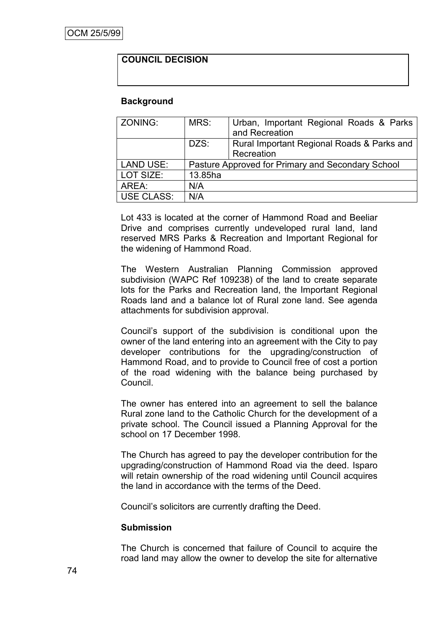# **COUNCIL DECISION**

#### **Background**

| ZONING:          | MRS:    | Urban, Important Regional Roads & Parks<br>and Recreation |
|------------------|---------|-----------------------------------------------------------|
|                  | DZS:    | Rural Important Regional Roads & Parks and                |
|                  |         | Recreation                                                |
| <b>LAND USE:</b> |         | Pasture Approved for Primary and Secondary School         |
| LOT SIZE:        | 13.85ha |                                                           |
| AREA:            | N/A     |                                                           |
| USE CLASS:       | N/A     |                                                           |

Lot 433 is located at the corner of Hammond Road and Beeliar Drive and comprises currently undeveloped rural land, land reserved MRS Parks & Recreation and Important Regional for the widening of Hammond Road.

The Western Australian Planning Commission approved subdivision (WAPC Ref 109238) of the land to create separate lots for the Parks and Recreation land, the Important Regional Roads land and a balance lot of Rural zone land. See agenda attachments for subdivision approval.

Council's support of the subdivision is conditional upon the owner of the land entering into an agreement with the City to pay developer contributions for the upgrading/construction of Hammond Road, and to provide to Council free of cost a portion of the road widening with the balance being purchased by Council.

The owner has entered into an agreement to sell the balance Rural zone land to the Catholic Church for the development of a private school. The Council issued a Planning Approval for the school on 17 December 1998.

The Church has agreed to pay the developer contribution for the upgrading/construction of Hammond Road via the deed. Isparo will retain ownership of the road widening until Council acquires the land in accordance with the terms of the Deed.

Council's solicitors are currently drafting the Deed.

### **Submission**

The Church is concerned that failure of Council to acquire the road land may allow the owner to develop the site for alternative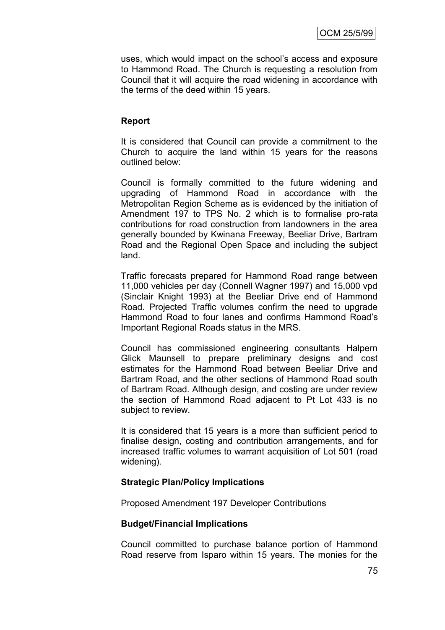uses, which would impact on the school's access and exposure to Hammond Road. The Church is requesting a resolution from Council that it will acquire the road widening in accordance with the terms of the deed within 15 years.

## **Report**

It is considered that Council can provide a commitment to the Church to acquire the land within 15 years for the reasons outlined below:

Council is formally committed to the future widening and upgrading of Hammond Road in accordance with the Metropolitan Region Scheme as is evidenced by the initiation of Amendment 197 to TPS No. 2 which is to formalise pro-rata contributions for road construction from landowners in the area generally bounded by Kwinana Freeway, Beeliar Drive, Bartram Road and the Regional Open Space and including the subject land.

Traffic forecasts prepared for Hammond Road range between 11,000 vehicles per day (Connell Wagner 1997) and 15,000 vpd (Sinclair Knight 1993) at the Beeliar Drive end of Hammond Road. Projected Traffic volumes confirm the need to upgrade Hammond Road to four lanes and confirms Hammond Road's Important Regional Roads status in the MRS.

Council has commissioned engineering consultants Halpern Glick Maunsell to prepare preliminary designs and cost estimates for the Hammond Road between Beeliar Drive and Bartram Road, and the other sections of Hammond Road south of Bartram Road. Although design, and costing are under review the section of Hammond Road adjacent to Pt Lot 433 is no subject to review.

It is considered that 15 years is a more than sufficient period to finalise design, costing and contribution arrangements, and for increased traffic volumes to warrant acquisition of Lot 501 (road widening).

### **Strategic Plan/Policy Implications**

Proposed Amendment 197 Developer Contributions

### **Budget/Financial Implications**

Council committed to purchase balance portion of Hammond Road reserve from Isparo within 15 years. The monies for the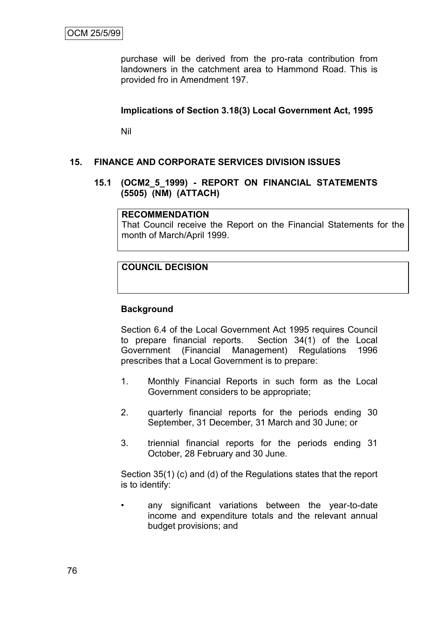purchase will be derived from the pro-rata contribution from landowners in the catchment area to Hammond Road. This is provided fro in Amendment 197.

## **Implications of Section 3.18(3) Local Government Act, 1995**

Nil

## **15. FINANCE AND CORPORATE SERVICES DIVISION ISSUES**

#### **15.1 (OCM2\_5\_1999) - REPORT ON FINANCIAL STATEMENTS (5505) (NM) (ATTACH)**

#### **RECOMMENDATION**

That Council receive the Report on the Financial Statements for the month of March/April 1999.

### **COUNCIL DECISION**

### **Background**

Section 6.4 of the Local Government Act 1995 requires Council to prepare financial reports. Section 34(1) of the Local Government (Financial Management) Regulations 1996 prescribes that a Local Government is to prepare:

- 1. Monthly Financial Reports in such form as the Local Government considers to be appropriate;
- 2. quarterly financial reports for the periods ending 30 September, 31 December, 31 March and 30 June; or
- 3. triennial financial reports for the periods ending 31 October, 28 February and 30 June.

Section 35(1) (c) and (d) of the Regulations states that the report is to identify:

• any significant variations between the year-to-date income and expenditure totals and the relevant annual budget provisions; and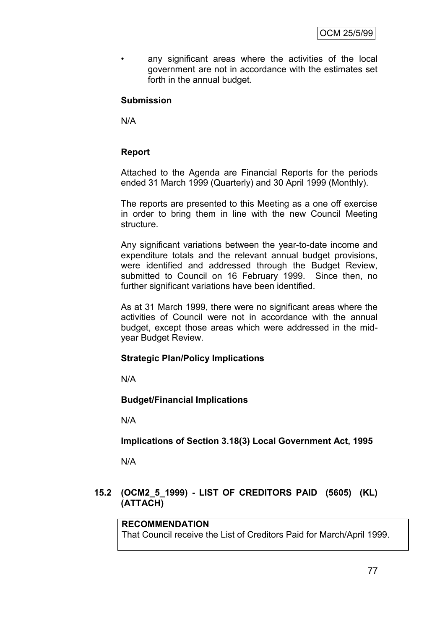• any significant areas where the activities of the local government are not in accordance with the estimates set forth in the annual budget.

## **Submission**

N/A

## **Report**

Attached to the Agenda are Financial Reports for the periods ended 31 March 1999 (Quarterly) and 30 April 1999 (Monthly).

The reports are presented to this Meeting as a one off exercise in order to bring them in line with the new Council Meeting structure.

Any significant variations between the year-to-date income and expenditure totals and the relevant annual budget provisions, were identified and addressed through the Budget Review, submitted to Council on 16 February 1999. Since then, no further significant variations have been identified.

As at 31 March 1999, there were no significant areas where the activities of Council were not in accordance with the annual budget, except those areas which were addressed in the midyear Budget Review.

### **Strategic Plan/Policy Implications**

N/A

**Budget/Financial Implications**

N/A

**Implications of Section 3.18(3) Local Government Act, 1995**

N/A

## **15.2 (OCM2\_5\_1999) - LIST OF CREDITORS PAID (5605) (KL) (ATTACH)**

## **RECOMMENDATION**

That Council receive the List of Creditors Paid for March/April 1999.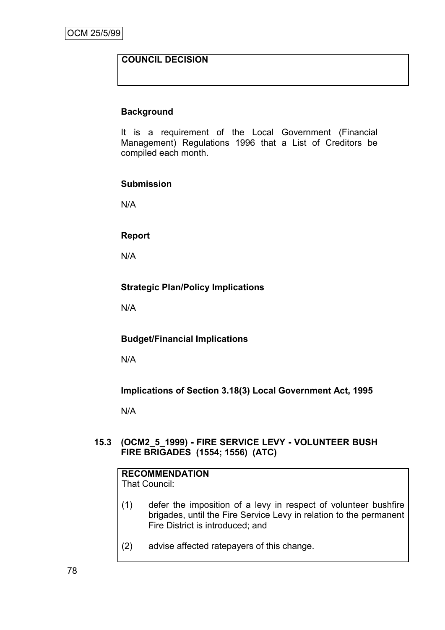# **COUNCIL DECISION**

### **Background**

It is a requirement of the Local Government (Financial Management) Regulations 1996 that a List of Creditors be compiled each month.

#### **Submission**

N/A

### **Report**

N/A

### **Strategic Plan/Policy Implications**

N/A

### **Budget/Financial Implications**

N/A

# **Implications of Section 3.18(3) Local Government Act, 1995**

N/A

### **15.3 (OCM2\_5\_1999) - FIRE SERVICE LEVY - VOLUNTEER BUSH FIRE BRIGADES (1554; 1556) (ATC)**

|         |  |  |  |  | <b>RECOMMENDATION</b> |  |  |
|---------|--|--|--|--|-----------------------|--|--|
| — 100 U |  |  |  |  |                       |  |  |

That Council:

- (1) defer the imposition of a levy in respect of volunteer bushfire brigades, until the Fire Service Levy in relation to the permanent Fire District is introduced; and
- (2) advise affected ratepayers of this change.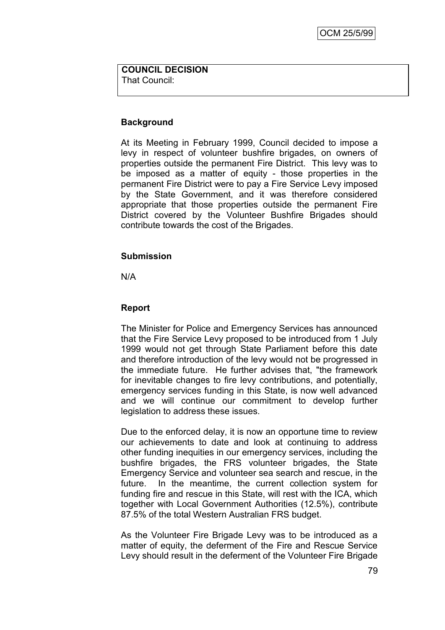#### **COUNCIL DECISION** That Council:

## **Background**

At its Meeting in February 1999, Council decided to impose a levy in respect of volunteer bushfire brigades, on owners of properties outside the permanent Fire District. This levy was to be imposed as a matter of equity - those properties in the permanent Fire District were to pay a Fire Service Levy imposed by the State Government, and it was therefore considered appropriate that those properties outside the permanent Fire District covered by the Volunteer Bushfire Brigades should contribute towards the cost of the Brigades.

### **Submission**

N/A

## **Report**

The Minister for Police and Emergency Services has announced that the Fire Service Levy proposed to be introduced from 1 July 1999 would not get through State Parliament before this date and therefore introduction of the levy would not be progressed in the immediate future. He further advises that, "the framework for inevitable changes to fire levy contributions, and potentially, emergency services funding in this State, is now well advanced and we will continue our commitment to develop further legislation to address these issues.

Due to the enforced delay, it is now an opportune time to review our achievements to date and look at continuing to address other funding inequities in our emergency services, including the bushfire brigades, the FRS volunteer brigades, the State Emergency Service and volunteer sea search and rescue, in the future. In the meantime, the current collection system for funding fire and rescue in this State, will rest with the ICA, which together with Local Government Authorities (12.5%), contribute 87.5% of the total Western Australian FRS budget.

As the Volunteer Fire Brigade Levy was to be introduced as a matter of equity, the deferment of the Fire and Rescue Service Levy should result in the deferment of the Volunteer Fire Brigade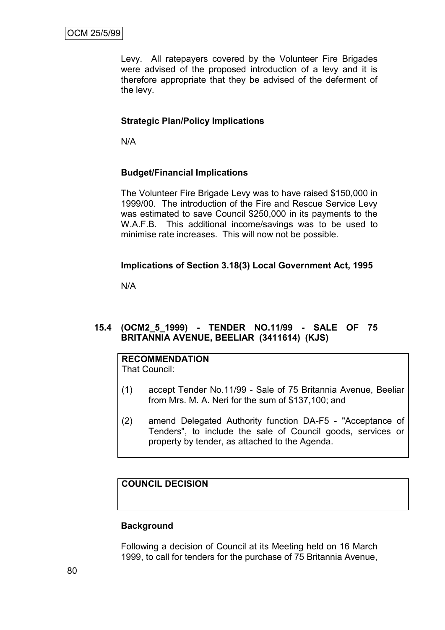Levy. All ratepayers covered by the Volunteer Fire Brigades were advised of the proposed introduction of a levy and it is therefore appropriate that they be advised of the deferment of the levy.

# **Strategic Plan/Policy Implications**

N/A

# **Budget/Financial Implications**

The Volunteer Fire Brigade Levy was to have raised \$150,000 in 1999/00. The introduction of the Fire and Rescue Service Levy was estimated to save Council \$250,000 in its payments to the W.A.F.B. This additional income/savings was to be used to minimise rate increases. This will now not be possible.

# **Implications of Section 3.18(3) Local Government Act, 1995**

N/A

# **15.4 (OCM2\_5\_1999) - TENDER NO.11/99 - SALE OF 75 BRITANNIA AVENUE, BEELIAR (3411614) (KJS)**

# **RECOMMENDATION**

That Council:

- (1) accept Tender No.11/99 Sale of 75 Britannia Avenue, Beeliar from Mrs. M. A. Neri for the sum of \$137,100; and
- (2) amend Delegated Authority function DA-F5 "Acceptance of Tenders", to include the sale of Council goods, services or property by tender, as attached to the Agenda.

# **COUNCIL DECISION**

### **Background**

Following a decision of Council at its Meeting held on 16 March 1999, to call for tenders for the purchase of 75 Britannia Avenue,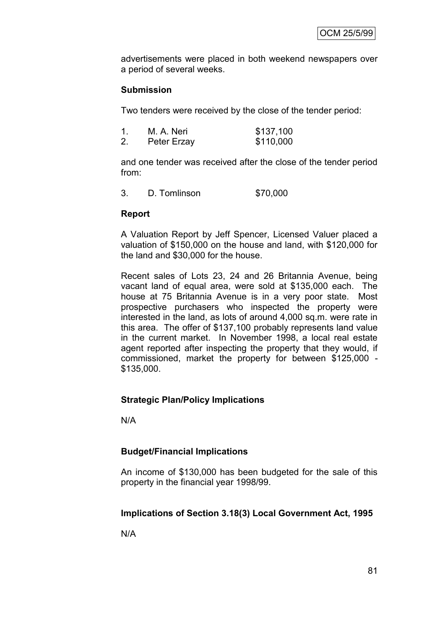advertisements were placed in both weekend newspapers over a period of several weeks.

## **Submission**

Two tenders were received by the close of the tender period:

|    | M. A. Neri  | \$137,100 |
|----|-------------|-----------|
| 2. | Peter Erzay | \$110,000 |

and one tender was received after the close of the tender period from:

3. D. Tomlinson \$70,000

### **Report**

A Valuation Report by Jeff Spencer, Licensed Valuer placed a valuation of \$150,000 on the house and land, with \$120,000 for the land and \$30,000 for the house.

Recent sales of Lots 23, 24 and 26 Britannia Avenue, being vacant land of equal area, were sold at \$135,000 each. The house at 75 Britannia Avenue is in a very poor state. Most prospective purchasers who inspected the property were interested in the land, as lots of around 4,000 sq.m. were rate in this area. The offer of \$137,100 probably represents land value in the current market. In November 1998, a local real estate agent reported after inspecting the property that they would, if commissioned, market the property for between \$125,000 - \$135,000.

### **Strategic Plan/Policy Implications**

N/A

### **Budget/Financial Implications**

An income of \$130,000 has been budgeted for the sale of this property in the financial year 1998/99.

### **Implications of Section 3.18(3) Local Government Act, 1995**

N/A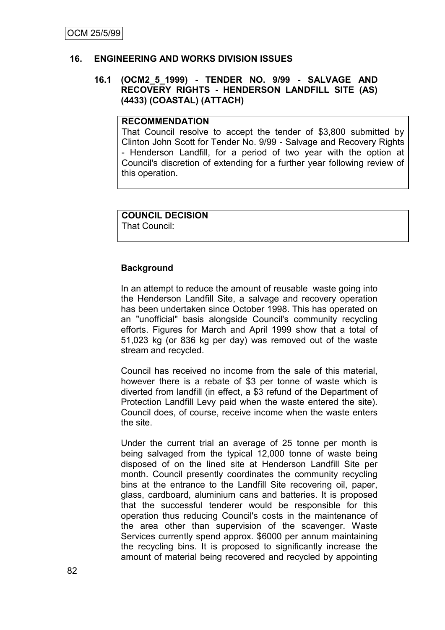### **16. ENGINEERING AND WORKS DIVISION ISSUES**

#### **16.1 (OCM2\_5\_1999) - TENDER NO. 9/99 - SALVAGE AND RECOVERY RIGHTS - HENDERSON LANDFILL SITE (AS) (4433) (COASTAL) (ATTACH)**

## **RECOMMENDATION**

That Council resolve to accept the tender of \$3,800 submitted by Clinton John Scott for Tender No. 9/99 - Salvage and Recovery Rights - Henderson Landfill, for a period of two year with the option at Council's discretion of extending for a further year following review of this operation.

# **COUNCIL DECISION**

That Council:

### **Background**

In an attempt to reduce the amount of reusable waste going into the Henderson Landfill Site, a salvage and recovery operation has been undertaken since October 1998. This has operated on an "unofficial" basis alongside Council's community recycling efforts. Figures for March and April 1999 show that a total of 51,023 kg (or 836 kg per day) was removed out of the waste stream and recycled.

Council has received no income from the sale of this material, however there is a rebate of \$3 per tonne of waste which is diverted from landfill (in effect, a \$3 refund of the Department of Protection Landfill Levy paid when the waste entered the site). Council does, of course, receive income when the waste enters the site.

Under the current trial an average of 25 tonne per month is being salvaged from the typical 12,000 tonne of waste being disposed of on the lined site at Henderson Landfill Site per month. Council presently coordinates the community recycling bins at the entrance to the Landfill Site recovering oil, paper, glass, cardboard, aluminium cans and batteries. It is proposed that the successful tenderer would be responsible for this operation thus reducing Council's costs in the maintenance of the area other than supervision of the scavenger. Waste Services currently spend approx. \$6000 per annum maintaining the recycling bins. It is proposed to significantly increase the amount of material being recovered and recycled by appointing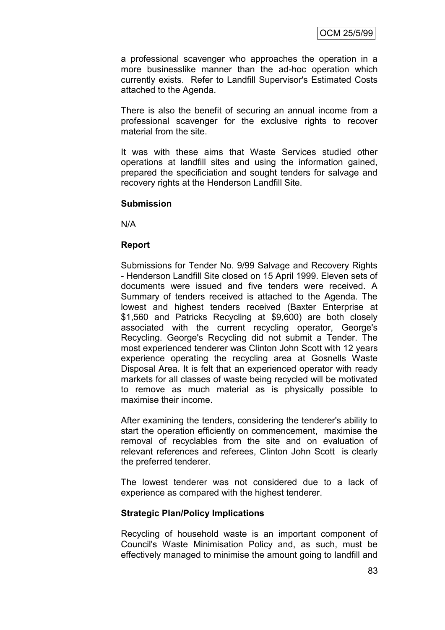a professional scavenger who approaches the operation in a more businesslike manner than the ad-hoc operation which currently exists. Refer to Landfill Supervisor's Estimated Costs attached to the Agenda.

There is also the benefit of securing an annual income from a professional scavenger for the exclusive rights to recover material from the site.

It was with these aims that Waste Services studied other operations at landfill sites and using the information gained, prepared the specificiation and sought tenders for salvage and recovery rights at the Henderson Landfill Site.

#### **Submission**

N/A

#### **Report**

Submissions for Tender No. 9/99 Salvage and Recovery Rights - Henderson Landfill Site closed on 15 April 1999. Eleven sets of documents were issued and five tenders were received. A Summary of tenders received is attached to the Agenda. The lowest and highest tenders received (Baxter Enterprise at \$1,560 and Patricks Recycling at \$9,600) are both closely associated with the current recycling operator, George's Recycling. George's Recycling did not submit a Tender. The most experienced tenderer was Clinton John Scott with 12 years experience operating the recycling area at Gosnells Waste Disposal Area. It is felt that an experienced operator with ready markets for all classes of waste being recycled will be motivated to remove as much material as is physically possible to maximise their income.

After examining the tenders, considering the tenderer's ability to start the operation efficiently on commencement, maximise the removal of recyclables from the site and on evaluation of relevant references and referees, Clinton John Scott is clearly the preferred tenderer.

The lowest tenderer was not considered due to a lack of experience as compared with the highest tenderer.

### **Strategic Plan/Policy Implications**

Recycling of household waste is an important component of Council's Waste Minimisation Policy and, as such, must be effectively managed to minimise the amount going to landfill and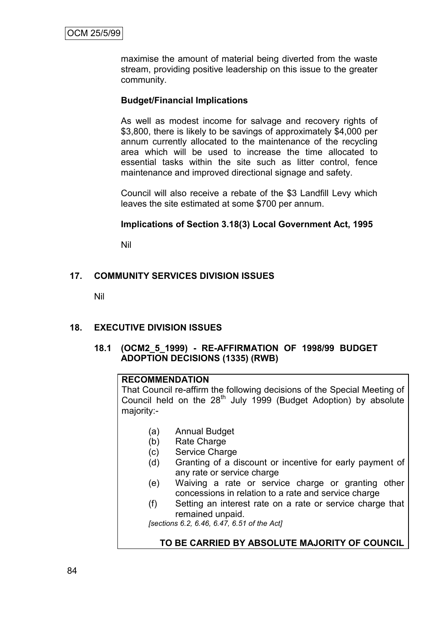maximise the amount of material being diverted from the waste stream, providing positive leadership on this issue to the greater community.

## **Budget/Financial Implications**

As well as modest income for salvage and recovery rights of \$3,800, there is likely to be savings of approximately \$4,000 per annum currently allocated to the maintenance of the recycling area which will be used to increase the time allocated to essential tasks within the site such as litter control, fence maintenance and improved directional signage and safety.

Council will also receive a rebate of the \$3 Landfill Levy which leaves the site estimated at some \$700 per annum.

#### **Implications of Section 3.18(3) Local Government Act, 1995**

Nil

## **17. COMMUNITY SERVICES DIVISION ISSUES**

Nil

### **18. EXECUTIVE DIVISION ISSUES**

## **18.1 (OCM2\_5\_1999) - RE-AFFIRMATION OF 1998/99 BUDGET ADOPTION DECISIONS (1335) (RWB)**

#### **RECOMMENDATION**

That Council re-affirm the following decisions of the Special Meeting of Council held on the 28<sup>th</sup> July 1999 (Budget Adoption) by absolute majority:-

- (a) Annual Budget
- (b) Rate Charge
- (c) Service Charge
- (d) Granting of a discount or incentive for early payment of any rate or service charge
- (e) Waiving a rate or service charge or granting other concessions in relation to a rate and service charge
- (f) Setting an interest rate on a rate or service charge that remained unpaid.

*[sections 6.2, 6.46, 6.47, 6.51 of the Act]*

### **TO BE CARRIED BY ABSOLUTE MAJORITY OF COUNCIL**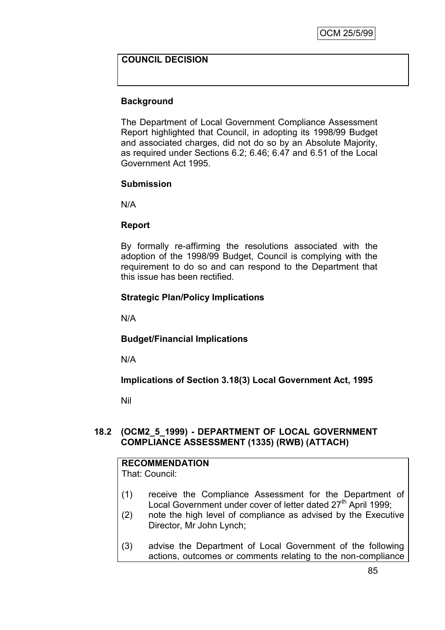## **COUNCIL DECISION**

## **Background**

The Department of Local Government Compliance Assessment Report highlighted that Council, in adopting its 1998/99 Budget and associated charges, did not do so by an Absolute Majority, as required under Sections 6.2; 6.46; 6.47 and 6.51 of the Local Government Act 1995.

#### **Submission**

N/A

### **Report**

By formally re-affirming the resolutions associated with the adoption of the 1998/99 Budget, Council is complying with the requirement to do so and can respond to the Department that this issue has been rectified.

## **Strategic Plan/Policy Implications**

N/A

**Budget/Financial Implications**

N/A

**Implications of Section 3.18(3) Local Government Act, 1995**

Nil

### **18.2 (OCM2\_5\_1999) - DEPARTMENT OF LOCAL GOVERNMENT COMPLIANCE ASSESSMENT (1335) (RWB) (ATTACH)**

# **RECOMMENDATION**

That: Council:

- (1) receive the Compliance Assessment for the Department of Local Government under cover of letter dated 27<sup>th</sup> April 1999;
- (2) note the high level of compliance as advised by the Executive Director, Mr John Lynch;
- (3) advise the Department of Local Government of the following actions, outcomes or comments relating to the non-compliance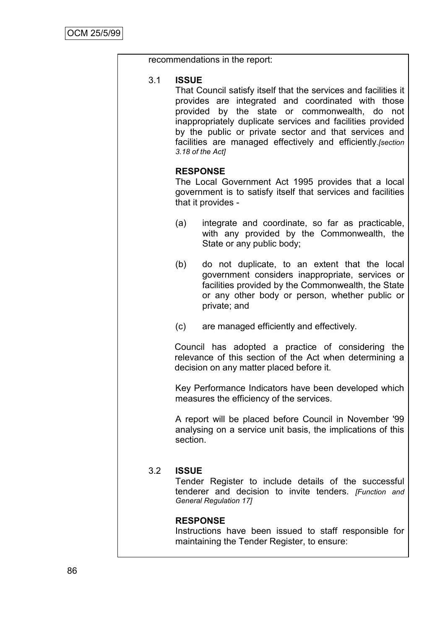|     | recommendations in the report:                                                                                                                                                                                                                                                                                                                                                                   |                                                                                                                                                                                                                          |  |  |  |
|-----|--------------------------------------------------------------------------------------------------------------------------------------------------------------------------------------------------------------------------------------------------------------------------------------------------------------------------------------------------------------------------------------------------|--------------------------------------------------------------------------------------------------------------------------------------------------------------------------------------------------------------------------|--|--|--|
| 3.1 | <b>ISSUE</b><br>That Council satisfy itself that the services and facilities it<br>provides are integrated and coordinated with those<br>provided by the state or commonwealth, do not<br>inappropriately duplicate services and facilities provided<br>by the public or private sector and that services and<br>facilities are managed effectively and efficiently.[section<br>3.18 of the Act] |                                                                                                                                                                                                                          |  |  |  |
|     |                                                                                                                                                                                                                                                                                                                                                                                                  | <b>RESPONSE</b><br>The Local Government Act 1995 provides that a local<br>government is to satisfy itself that services and facilities<br>that it provides -                                                             |  |  |  |
|     | (a)                                                                                                                                                                                                                                                                                                                                                                                              | integrate and coordinate, so far as practicable,<br>with any provided by the Commonwealth, the<br>State or any public body;                                                                                              |  |  |  |
|     | (b)                                                                                                                                                                                                                                                                                                                                                                                              | do not duplicate, to an extent that the local<br>government considers inappropriate, services or<br>facilities provided by the Commonwealth, the State<br>or any other body or person, whether public or<br>private; and |  |  |  |
|     | (c)                                                                                                                                                                                                                                                                                                                                                                                              | are managed efficiently and effectively.                                                                                                                                                                                 |  |  |  |
|     | Council has adopted a practice of considering<br>the<br>relevance of this section of the Act when determining a<br>decision on any matter placed before it.                                                                                                                                                                                                                                      |                                                                                                                                                                                                                          |  |  |  |
|     |                                                                                                                                                                                                                                                                                                                                                                                                  | Key Performance Indicators have been developed which<br>measures the efficiency of the services.                                                                                                                         |  |  |  |
|     | section.                                                                                                                                                                                                                                                                                                                                                                                         | A report will be placed before Council in November '99<br>analysing on a service unit basis, the implications of this                                                                                                    |  |  |  |
| 3.2 | <b>ISSUE</b><br>Tender Register to include details of the successful<br>tenderer and decision to invite tenders. [Function and<br><b>General Regulation 17]</b>                                                                                                                                                                                                                                  |                                                                                                                                                                                                                          |  |  |  |
|     |                                                                                                                                                                                                                                                                                                                                                                                                  | <b>RESPONSE</b><br>Instructions have been issued to staff responsible for<br>maintaining the Tender Register, to ensure:                                                                                                 |  |  |  |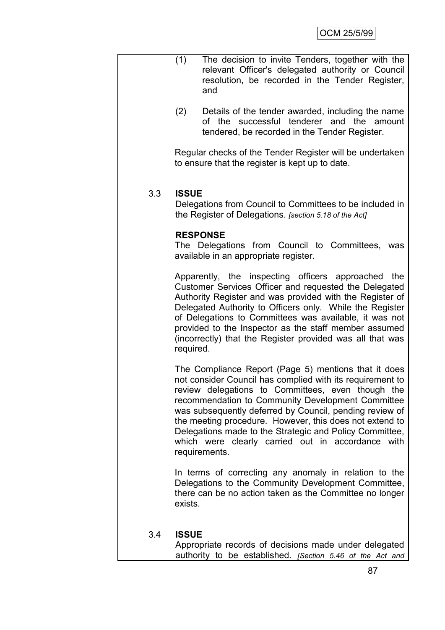|     | (1)          | The decision to invite Tenders, together with the<br>relevant Officer's delegated authority or Council<br>resolution, be recorded in the Tender Register,<br>and                                                                                                                                                                                                                                                                                                                   |
|-----|--------------|------------------------------------------------------------------------------------------------------------------------------------------------------------------------------------------------------------------------------------------------------------------------------------------------------------------------------------------------------------------------------------------------------------------------------------------------------------------------------------|
|     | (2)          | Details of the tender awarded, including the name<br>the successful tenderer and the amount<br>of<br>tendered, be recorded in the Tender Register.                                                                                                                                                                                                                                                                                                                                 |
|     |              | Regular checks of the Tender Register will be undertaken<br>to ensure that the register is kept up to date.                                                                                                                                                                                                                                                                                                                                                                        |
| 3.3 | <b>ISSUE</b> | Delegations from Council to Committees to be included in<br>the Register of Delegations. [section 5.18 of the Act]                                                                                                                                                                                                                                                                                                                                                                 |
|     |              | <b>RESPONSE</b><br>The Delegations from Council to Committees, was<br>available in an appropriate register.                                                                                                                                                                                                                                                                                                                                                                        |
|     | required.    | Apparently, the inspecting officers approached<br>the<br>Customer Services Officer and requested the Delegated<br>Authority Register and was provided with the Register of<br>Delegated Authority to Officers only. While the Register<br>of Delegations to Committees was available, it was not<br>provided to the Inspector as the staff member assumed<br>(incorrectly) that the Register provided was all that was                                                             |
|     |              | The Compliance Report (Page 5) mentions that it does<br>not consider Council has complied with its requirement to<br>review delegations to Committees, even though the<br>recommendation to Community Development Committee<br>was subsequently deferred by Council, pending review of<br>the meeting procedure. However, this does not extend to<br>Delegations made to the Strategic and Policy Committee,<br>which were clearly carried out in accordance with<br>requirements. |
|     | exists.      | In terms of correcting any anomaly in relation to the<br>Delegations to the Community Development Committee,<br>there can be no action taken as the Committee no longer                                                                                                                                                                                                                                                                                                            |
| 3.4 | <b>ISSUE</b> | Appropriate records of decisions made under delegated<br>authority to be established. [Section 5.46 of the Act and                                                                                                                                                                                                                                                                                                                                                                 |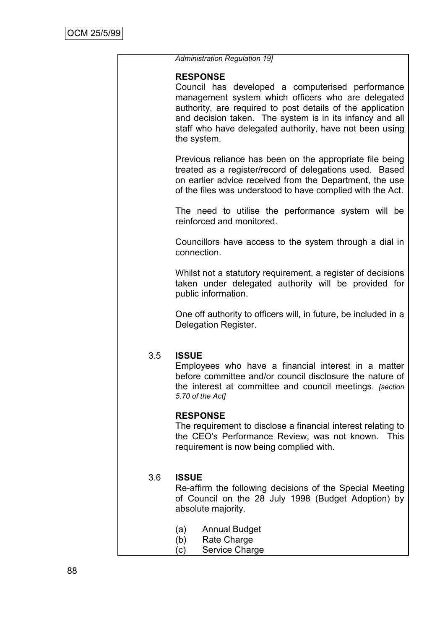|     | <b>Administration Regulation 19]</b>                                                                                                                                                                                                                                                                                          |
|-----|-------------------------------------------------------------------------------------------------------------------------------------------------------------------------------------------------------------------------------------------------------------------------------------------------------------------------------|
|     | <b>RESPONSE</b><br>Council has developed a computerised performance<br>management system which officers who are delegated<br>authority, are required to post details of the application<br>and decision taken. The system is in its infancy and all<br>staff who have delegated authority, have not been using<br>the system. |
|     | Previous reliance has been on the appropriate file being<br>treated as a register/record of delegations used. Based<br>on earlier advice received from the Department, the use<br>of the files was understood to have complied with the Act.                                                                                  |
|     | The need to utilise the performance system will be<br>reinforced and monitored.                                                                                                                                                                                                                                               |
|     | Councillors have access to the system through a dial in<br>connection.                                                                                                                                                                                                                                                        |
|     | Whilst not a statutory requirement, a register of decisions<br>taken under delegated authority will be provided for<br>public information.                                                                                                                                                                                    |
|     | One off authority to officers will, in future, be included in a<br>Delegation Register.                                                                                                                                                                                                                                       |
| 3.5 | <b>ISSUE</b><br>Employees who have a financial interest in a matter<br>before committee and/or council disclosure the nature of<br>the interest at committee and council meetings. [section<br>5.70 of the Act]                                                                                                               |
|     | <b>RESPONSE</b><br>The requirement to disclose a financial interest relating to<br>the CEO's Performance Review, was not known.<br><b>This</b><br>requirement is now being complied with.                                                                                                                                     |
| 3.6 | <b>ISSUE</b><br>Re-affirm the following decisions of the Special Meeting<br>of Council on the 28 July 1998 (Budget Adoption) by<br>absolute majority.                                                                                                                                                                         |
|     | (a)<br><b>Annual Budget</b><br>(b)<br>Rate Charge<br>Service Charge<br>(c)                                                                                                                                                                                                                                                    |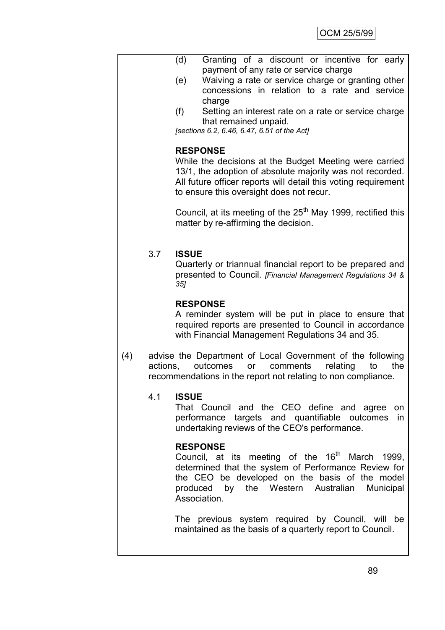- (d) Granting of a discount or incentive for early payment of any rate or service charge
	- (e) Waiving a rate or service charge or granting other concessions in relation to a rate and service charge
	- (f) Setting an interest rate on a rate or service charge that remained unpaid.

*[sections 6.2, 6.46, 6.47, 6.51 of the Act]*

#### **RESPONSE**

While the decisions at the Budget Meeting were carried 13/1, the adoption of absolute majority was not recorded. All future officer reports will detail this voting requirement to ensure this oversight does not recur.

Council, at its meeting of the  $25<sup>th</sup>$  May 1999, rectified this matter by re-affirming the decision.

## 3.7 **ISSUE**

Quarterly or triannual financial report to be prepared and presented to Council. *[Financial Management Regulations 34 & 35]*

### **RESPONSE**

A reminder system will be put in place to ensure that required reports are presented to Council in accordance with Financial Management Regulations 34 and 35.

(4) advise the Department of Local Government of the following actions, outcomes or comments relating to the recommendations in the report not relating to non compliance.

### 4.1 **ISSUE**

That Council and the CEO define and agree on performance targets and quantifiable outcomes in undertaking reviews of the CEO's performance.

### **RESPONSE**

Council, at its meeting of the  $16<sup>th</sup>$  March 1999, determined that the system of Performance Review for the CEO be developed on the basis of the model produced by the Western Australian Municipal Association.

The previous system required by Council, will be maintained as the basis of a quarterly report to Council.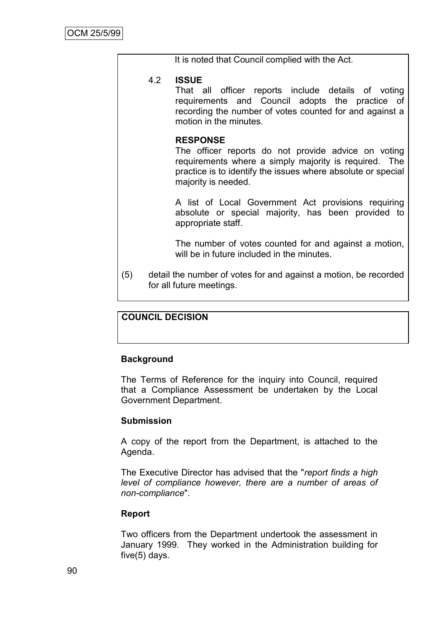|     |     | It is noted that Council complied with the Act.                                                                                                                                                                        |
|-----|-----|------------------------------------------------------------------------------------------------------------------------------------------------------------------------------------------------------------------------|
|     | 4.2 | <b>ISSUE</b><br>That all officer reports include details of voting<br>requirements and Council adopts the practice of<br>recording the number of votes counted for and against a<br>motion in the minutes.             |
|     |     | <b>RESPONSE</b><br>The officer reports do not provide advice on voting<br>requirements where a simply majority is required. The<br>practice is to identify the issues where absolute or special<br>majority is needed. |
|     |     | A list of Local Government Act provisions requiring<br>absolute or special majority, has been provided to<br>appropriate staff.                                                                                        |
|     |     | The number of votes counted for and against a motion,<br>will be in future included in the minutes.                                                                                                                    |
| (5) |     | detail the number of votes for and against a motion, be recorded<br>for all future meetings.                                                                                                                           |

## **COUNCIL DECISION**

### **Background**

The Terms of Reference for the inquiry into Council, required that a Compliance Assessment be undertaken by the Local Government Department.

### **Submission**

A copy of the report from the Department, is attached to the Agenda.

The Executive Director has advised that the "*report finds a high level of compliance however, there are a number of areas of non-compliance*".

### **Report**

Two officers from the Department undertook the assessment in January 1999. They worked in the Administration building for five(5) days.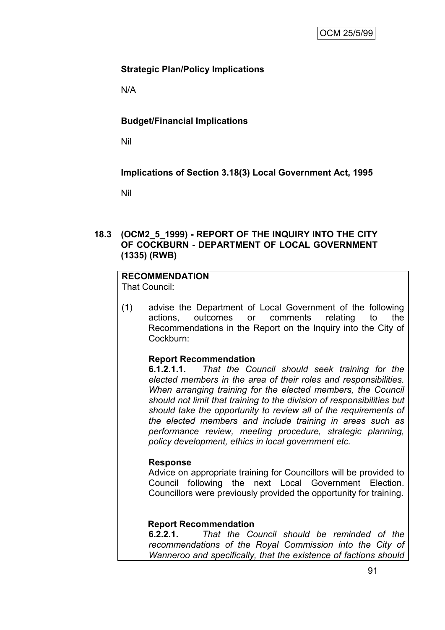# **Strategic Plan/Policy Implications**

N/A

# **Budget/Financial Implications**

Nil

**Implications of Section 3.18(3) Local Government Act, 1995**

Nil

## **18.3 (OCM2\_5\_1999) - REPORT OF THE INQUIRY INTO THE CITY OF COCKBURN - DEPARTMENT OF LOCAL GOVERNMENT (1335) (RWB)**

## **RECOMMENDATION**

That Council:

(1) advise the Department of Local Government of the following actions, outcomes or comments relating to the Recommendations in the Report on the Inquiry into the City of Cockburn:

# **Report Recommendation**

**6.1.2.1.1.** *That the Council should seek training for the elected members in the area of their roles and responsibilities. When arranging training for the elected members, the Council should not limit that training to the division of responsibilities but should take the opportunity to review all of the requirements of the elected members and include training in areas such as performance review, meeting procedure, strategic planning, policy development, ethics in local government etc.*

### **Response**

Advice on appropriate training for Councillors will be provided to Council following the next Local Government Election. Councillors were previously provided the opportunity for training.

# **Report Recommendation**

**6.2.2.1.** *That the Council should be reminded of the recommendations of the Royal Commission into the City of Wanneroo and specifically, that the existence of factions should*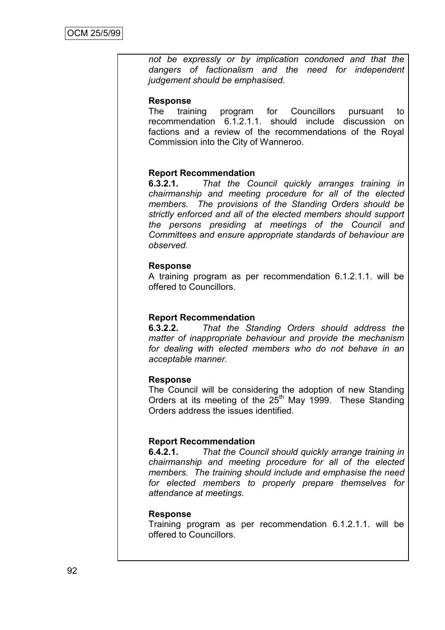*not be expressly or by implication condoned and that the dangers of factionalism and the need for independent judgement should be emphasised.*

#### **Response**

The training program for Councillors pursuant to recommendation 6.1.2.1.1. should include discussion on factions and a review of the recommendations of the Royal Commission into the City of Wanneroo.

### **Report Recommendation**

**6.3.2.1.** *That the Council quickly arranges training in chairmanship and meeting procedure for all of the elected members. The provisions of the Standing Orders should be strictly enforced and all of the elected members should support the persons presiding at meetings of the Council and Committees and ensure appropriate standards of behaviour are observed.*

#### **Response**

A training program as per recommendation 6.1.2.1.1. will be offered to Councillors.

### **Report Recommendation**

**6.3.2.2.** *That the Standing Orders should address the matter of inappropriate behaviour and provide the mechanism for dealing with elected members who do not behave in an acceptable manner.*

### **Response**

The Council will be considering the adoption of new Standing Orders at its meeting of the  $25<sup>th</sup>$  May 1999. These Standing Orders address the issues identified.

### **Report Recommendation**

**6.4.2.1.** *That the Council should quickly arrange training in chairmanship and meeting procedure for all of the elected members. The training should include and emphasise the need for elected members to properly prepare themselves for attendance at meetings.*

#### **Response**

Training program as per recommendation 6.1.2.1.1. will be offered to Councillors.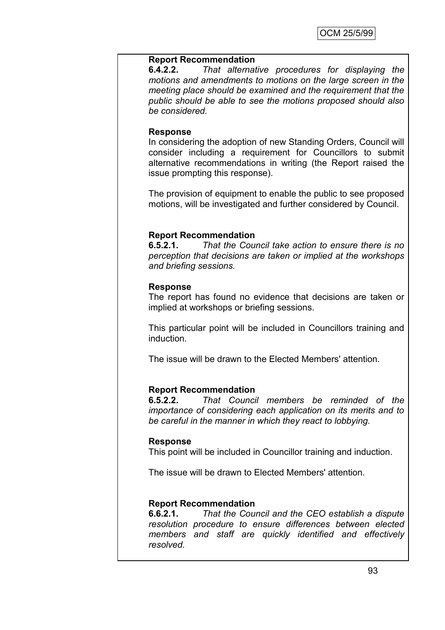#### **Report Recommendation**

**6.4.2.2.** *That alternative procedures for displaying the motions and amendments to motions on the large screen in the meeting place should be examined and the requirement that the public should be able to see the motions proposed should also be considered.*

#### **Response**

In considering the adoption of new Standing Orders, Council will consider including a requirement for Councillors to submit alternative recommendations in writing (the Report raised the issue prompting this response).

The provision of equipment to enable the public to see proposed motions, will be investigated and further considered by Council.

### **Report Recommendation**

**6.5.2.1.** *That the Council take action to ensure there is no perception that decisions are taken or implied at the workshops and briefing sessions.*

#### **Response**

The report has found no evidence that decisions are taken or implied at workshops or briefing sessions.

This particular point will be included in Councillors training and induction.

The issue will be drawn to the Elected Members' attention.

### **Report Recommendation**

**6.5.2.2.** *That Council members be reminded of the importance of considering each application on its merits and to be careful in the manner in which they react to lobbying.*

#### **Response**

This point will be included in Councillor training and induction.

The issue will be drawn to Elected Members' attention.

### **Report Recommendation**

**6.6.2.1.** *That the Council and the CEO establish a dispute resolution procedure to ensure differences between elected members and staff are quickly identified and effectively resolved.*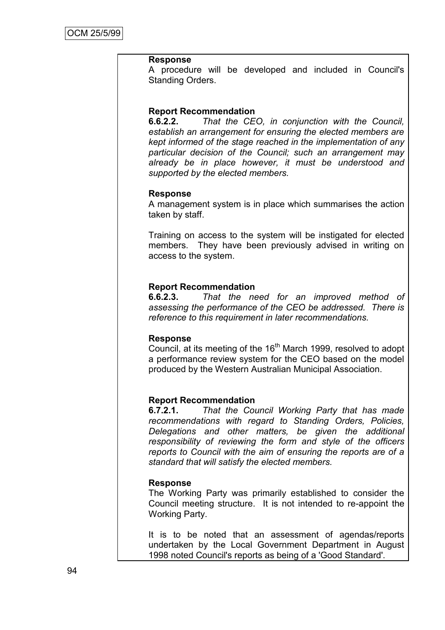#### **Response**

A procedure will be developed and included in Council's Standing Orders.

#### **Report Recommendation**

**6.6.2.2.** *That the CEO, in conjunction with the Council, establish an arrangement for ensuring the elected members are kept informed of the stage reached in the implementation of any particular decision of the Council; such an arrangement may already be in place however, it must be understood and supported by the elected members.*

#### **Response**

A management system is in place which summarises the action taken by staff.

Training on access to the system will be instigated for elected members. They have been previously advised in writing on access to the system.

#### **Report Recommendation**

**6.6.2.3.** *That the need for an improved method of assessing the performance of the CEO be addressed. There is reference to this requirement in later recommendations.*

#### **Response**

Council, at its meeting of the  $16<sup>th</sup>$  March 1999, resolved to adopt a performance review system for the CEO based on the model produced by the Western Australian Municipal Association.

#### **Report Recommendation**

**6.7.2.1.** *That the Council Working Party that has made recommendations with regard to Standing Orders, Policies, Delegations and other matters, be given the additional responsibility of reviewing the form and style of the officers reports to Council with the aim of ensuring the reports are of a standard that will satisfy the elected members.*

#### **Response**

The Working Party was primarily established to consider the Council meeting structure. It is not intended to re-appoint the Working Party.

It is to be noted that an assessment of agendas/reports undertaken by the Local Government Department in August 1998 noted Council's reports as being of a 'Good Standard'.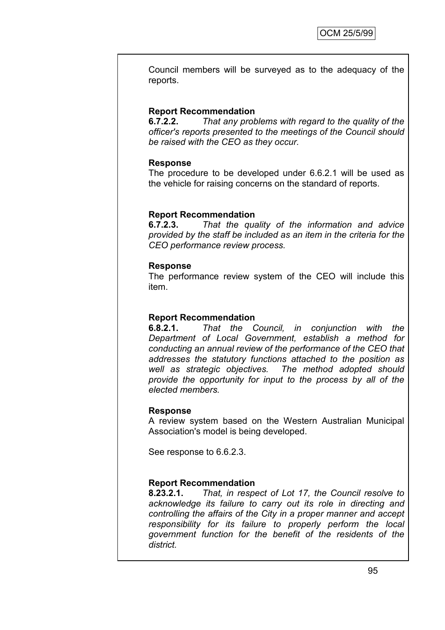Council members will be surveyed as to the adequacy of the reports.

## **Report Recommendation**

**6.7.2.2.** *That any problems with regard to the quality of the officer's reports presented to the meetings of the Council should be raised with the CEO as they occur.*

## **Response**

The procedure to be developed under 6.6.2.1 will be used as the vehicle for raising concerns on the standard of reports.

## **Report Recommendation**

**6.7.2.3.** *That the quality of the information and advice provided by the staff be included as an item in the criteria for the CEO performance review process.*

### **Response**

The performance review system of the CEO will include this item.

### **Report Recommendation**

**6.8.2.1.** *That the Council, in conjunction with the Department of Local Government, establish a method for conducting an annual review of the performance of the CEO that addresses the statutory functions attached to the position as well as strategic objectives. The method adopted should provide the opportunity for input to the process by all of the elected members.*

### **Response**

A review system based on the Western Australian Municipal Association's model is being developed.

See response to 6.6.2.3.

# **Report Recommendation**

**8.23.2.1.** *That, in respect of Lot 17, the Council resolve to acknowledge its failure to carry out its role in directing and controlling the affairs of the City in a proper manner and accept responsibility for its failure to properly perform the local government function for the benefit of the residents of the district.*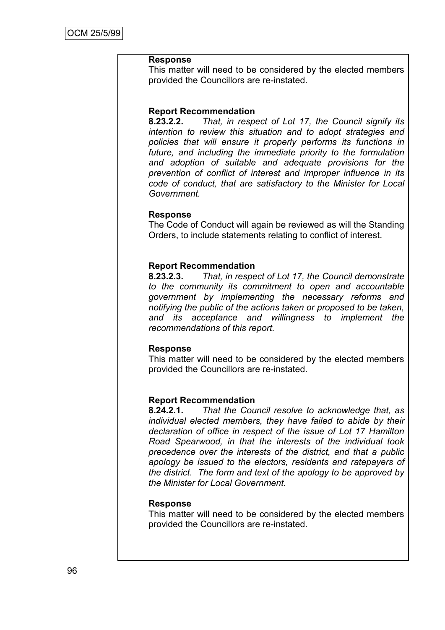#### **Response**

This matter will need to be considered by the elected members provided the Councillors are re-instated.

#### **Report Recommendation**

**8.23.2.2.** *That, in respect of Lot 17, the Council signify its intention to review this situation and to adopt strategies and policies that will ensure it properly performs its functions in future, and including the immediate priority to the formulation and adoption of suitable and adequate provisions for the prevention of conflict of interest and improper influence in its code of conduct, that are satisfactory to the Minister for Local Government.*

#### **Response**

The Code of Conduct will again be reviewed as will the Standing Orders, to include statements relating to conflict of interest.

#### **Report Recommendation**

**8.23.2.3.** *That, in respect of Lot 17, the Council demonstrate to the community its commitment to open and accountable government by implementing the necessary reforms and notifying the public of the actions taken or proposed to be taken, and its acceptance and willingness to implement the recommendations of this report.*

#### **Response**

This matter will need to be considered by the elected members provided the Councillors are re-instated.

#### **Report Recommendation**

**8.24.2.1.** *That the Council resolve to acknowledge that, as individual elected members, they have failed to abide by their declaration of office in respect of the issue of Lot 17 Hamilton Road Spearwood, in that the interests of the individual took precedence over the interests of the district, and that a public apology be issued to the electors, residents and ratepayers of the district. The form and text of the apology to be approved by the Minister for Local Government.*

#### **Response**

This matter will need to be considered by the elected members provided the Councillors are re-instated.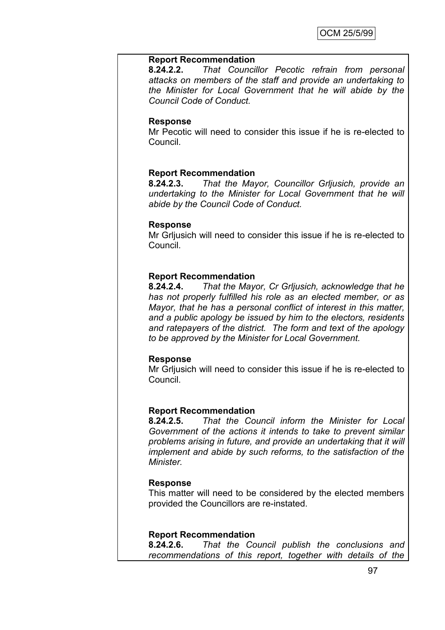#### **Report Recommendation**

**8.24.2.2.** *That Councillor Pecotic refrain from personal attacks on members of the staff and provide an undertaking to the Minister for Local Government that he will abide by the Council Code of Conduct.*

#### **Response**

Mr Pecotic will need to consider this issue if he is re-elected to Council.

#### **Report Recommendation**

**8.24.2.3.** *That the Mayor, Councillor Grljusich, provide an undertaking to the Minister for Local Government that he will abide by the Council Code of Conduct.*

#### **Response**

Mr Grljusich will need to consider this issue if he is re-elected to Council.

#### **Report Recommendation**

**8.24.2.4.** *That the Mayor, Cr Grljusich, acknowledge that he has not properly fulfilled his role as an elected member, or as Mayor, that he has a personal conflict of interest in this matter, and a public apology be issued by him to the electors, residents and ratepayers of the district. The form and text of the apology to be approved by the Minister for Local Government.*

#### **Response**

Mr Grljusich will need to consider this issue if he is re-elected to Council.

#### **Report Recommendation**

**8.24.2.5.** *That the Council inform the Minister for Local Government of the actions it intends to take to prevent similar problems arising in future, and provide an undertaking that it will implement and abide by such reforms, to the satisfaction of the Minister.*

### **Response**

This matter will need to be considered by the elected members provided the Councillors are re-instated.

#### **Report Recommendation**

**8.24.2.6.** *That the Council publish the conclusions and recommendations of this report, together with details of the*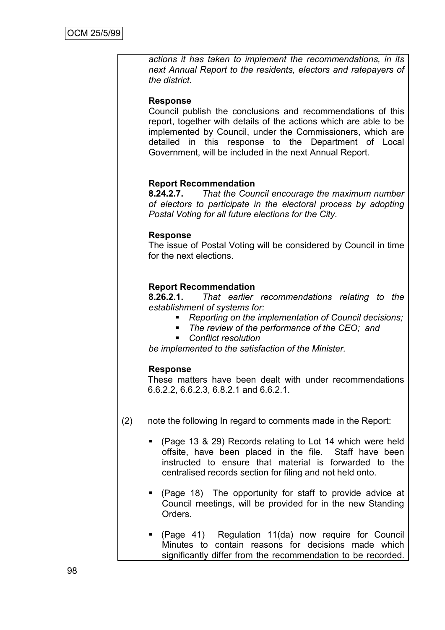*actions it has taken to implement the recommendations, in its next Annual Report to the residents, electors and ratepayers of the district.*

### **Response**

Council publish the conclusions and recommendations of this report, together with details of the actions which are able to be implemented by Council, under the Commissioners, which are detailed in this response to the Department of Local Government, will be included in the next Annual Report.

### **Report Recommendation**

**8.24.2.7.** *That the Council encourage the maximum number of electors to participate in the electoral process by adopting Postal Voting for all future elections for the City.*

### **Response**

The issue of Postal Voting will be considered by Council in time for the next elections.

#### **Report Recommendation**

**8.26.2.1.** *That earlier recommendations relating to the establishment of systems for:*

- *Reporting on the implementation of Council decisions;*
- *The review of the performance of the CEO; and*
- *Conflict resolution*

*be implemented to the satisfaction of the Minister.*

#### **Response**

These matters have been dealt with under recommendations 6.6.2.2, 6.6.2.3, 6.8.2.1 and 6.6.2.1.

- (2) note the following In regard to comments made in the Report:
	- (Page 13 & 29) Records relating to Lot 14 which were held offsite, have been placed in the file. Staff have been instructed to ensure that material is forwarded to the centralised records section for filing and not held onto.
	- (Page 18) The opportunity for staff to provide advice at Council meetings, will be provided for in the new Standing Orders.
	- (Page 41) Regulation 11(da) now require for Council Minutes to contain reasons for decisions made which significantly differ from the recommendation to be recorded.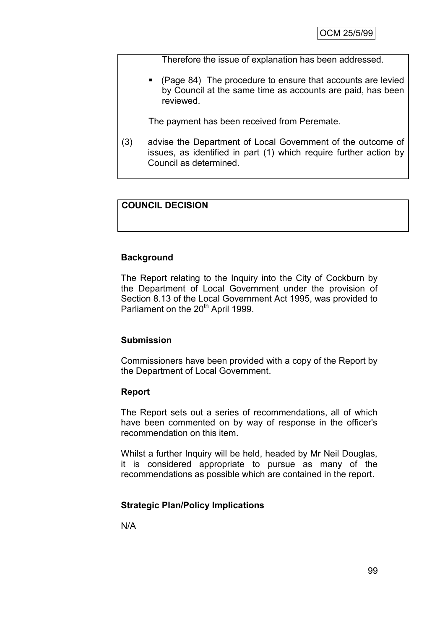Therefore the issue of explanation has been addressed.

 (Page 84) The procedure to ensure that accounts are levied by Council at the same time as accounts are paid, has been reviewed.

The payment has been received from Peremate.

(3) advise the Department of Local Government of the outcome of issues, as identified in part (1) which require further action by Council as determined.

## **COUNCIL DECISION**

#### **Background**

The Report relating to the Inquiry into the City of Cockburn by the Department of Local Government under the provision of Section 8.13 of the Local Government Act 1995, was provided to Parliament on the 20<sup>th</sup> April 1999.

#### **Submission**

Commissioners have been provided with a copy of the Report by the Department of Local Government.

#### **Report**

The Report sets out a series of recommendations, all of which have been commented on by way of response in the officer's recommendation on this item.

Whilst a further Inquiry will be held, headed by Mr Neil Douglas, it is considered appropriate to pursue as many of the recommendations as possible which are contained in the report.

#### **Strategic Plan/Policy Implications**

N/A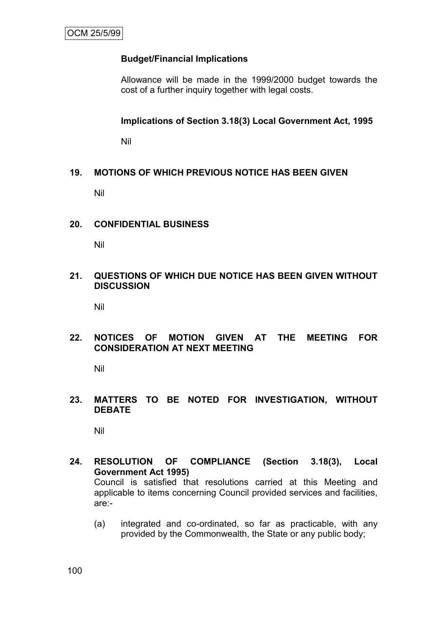# **Budget/Financial Implications**

Allowance will be made in the 1999/2000 budget towards the cost of a further inquiry together with legal costs.

**Implications of Section 3.18(3) Local Government Act, 1995**

Nil

# **19. MOTIONS OF WHICH PREVIOUS NOTICE HAS BEEN GIVEN**

Nil

## **20. CONFIDENTIAL BUSINESS**

Nil

## **21. QUESTIONS OF WHICH DUE NOTICE HAS BEEN GIVEN WITHOUT DISCUSSION**

Nil

## **22. NOTICES OF MOTION GIVEN AT THE MEETING FOR CONSIDERATION AT NEXT MEETING**

Nil

## **23. MATTERS TO BE NOTED FOR INVESTIGATION, WITHOUT DEBATE**

Nil

- **24. RESOLUTION OF COMPLIANCE (Section 3.18(3), Local Government Act 1995)** Council is satisfied that resolutions carried at this Meeting and applicable to items concerning Council provided services and facilities, are:-
	- (a) integrated and co-ordinated, so far as practicable, with any provided by the Commonwealth, the State or any public body;